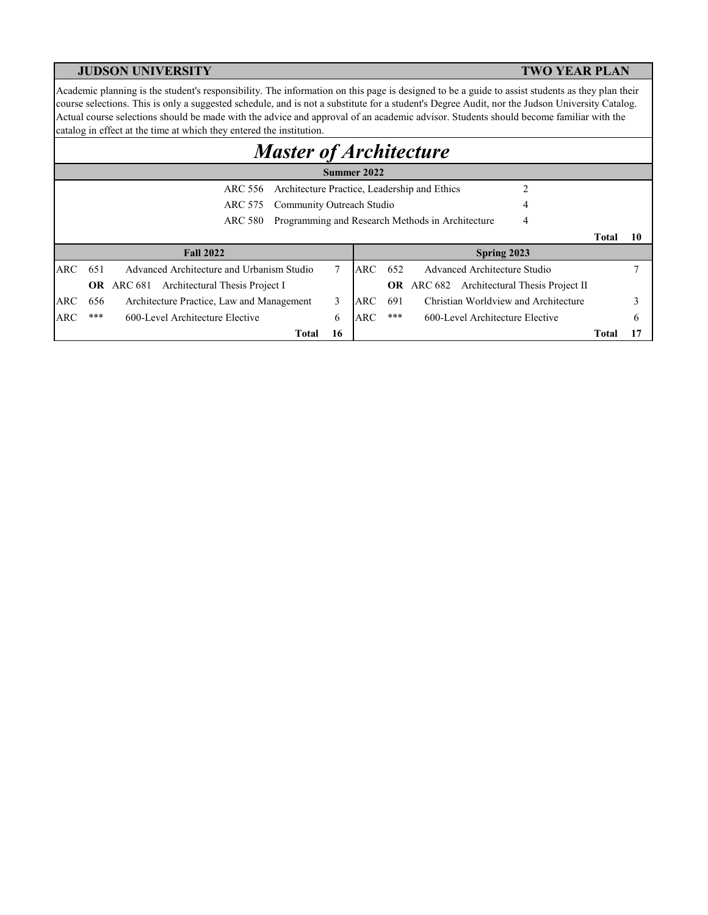Academic planning is the student's responsibility. The information on this page is designed to be a guide to assist students as they plan their course selections. This is only a suggested schedule, and is not a substitute for a student's Degree Audit, nor the Judson University Catalog. Actual course selections should be made with the advice and approval of an academic advisor. Students should become familiar with the catalog in effect at the time at which they entered the institution.

# *Master of Architecture*

|            |     |                                                         |    | Summer 2022 |           |                                                       |       |    |
|------------|-----|---------------------------------------------------------|----|-------------|-----------|-------------------------------------------------------|-------|----|
|            |     | Architecture Practice, Leadership and Ethics<br>ARC 556 |    |             |           | ↑                                                     |       |    |
|            |     | Community Outreach Studio<br>ARC 575                    |    |             |           | 4                                                     |       |    |
|            |     | ARC 580                                                 |    |             |           | Programming and Research Methods in Architecture<br>4 |       |    |
|            |     |                                                         |    |             |           |                                                       | Total | 10 |
|            |     | <b>Fall 2022</b>                                        |    |             |           | Spring 2023                                           |       |    |
| ARC.       | 651 | Advanced Architecture and Urbanism Studio               |    | <b>ARC</b>  | 652       | Advanced Architecture Studio                          |       |    |
|            |     | Architectural Thesis Project I<br>OR ARC 681            |    |             | <b>OR</b> | ARC 682 Architectural Thesis Project II               |       |    |
| ARC        | 656 | Architecture Practice, Law and Management               | 3  | <b>ARC</b>  | 691       | Christian Worldview and Architecture                  |       |    |
| <b>ARC</b> | *** | 600-Level Architecture Elective                         | 6  | <b>ARC</b>  | ***       | 600-Level Architecture Elective                       |       | 6  |
|            |     | Total                                                   | 16 |             |           |                                                       | Total |    |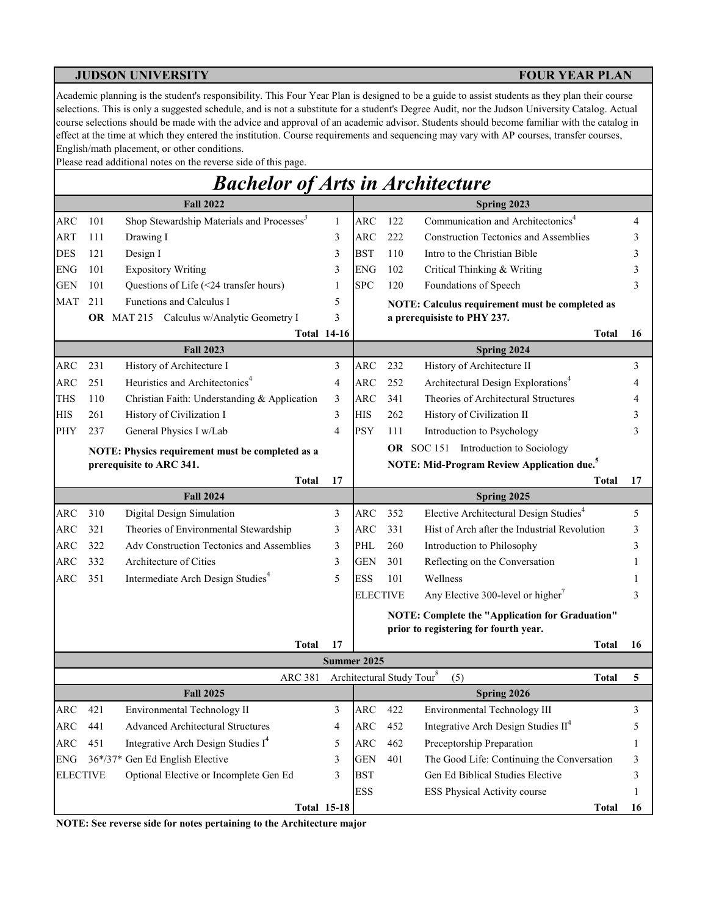Academic planning is the student's responsibility. This Four Year Plan is designed to be a guide to assist students as they plan their course selections. This is only a suggested schedule, and is not a substitute for a student's Degree Audit, nor the Judson University Catalog. Actual course selections should be made with the advice and approval of an academic advisor. Students should become familiar with the catalog in effect at the time at which they entered the institution. Course requirements and sequencing may vary with AP courses, transfer courses, English/math placement, or other conditions.

Please read additional notes on the reverse side of this page.

# *Bachelor of Arts in Architecture*

|                 |     | <b>Fall 2022</b>                                      |                    |                 |     | Spring 2023                                                  |    |
|-----------------|-----|-------------------------------------------------------|--------------------|-----------------|-----|--------------------------------------------------------------|----|
| <b>ARC</b>      | 101 | Shop Stewardship Materials and Processes <sup>3</sup> | $\mathbf{1}$       | <b>ARC</b>      | 122 | Communication and Architectonics <sup>4</sup>                | 4  |
| ART             | 111 | Drawing I                                             | 3                  | ARC             | 222 | <b>Construction Tectonics and Assemblies</b>                 | 3  |
| <b>DES</b>      | 121 | Design I                                              | 3                  | <b>BST</b>      | 110 | Intro to the Christian Bible                                 | 3  |
| <b>ENG</b>      | 101 | <b>Expository Writing</b>                             | 3                  | <b>ENG</b>      | 102 | Critical Thinking & Writing                                  | 3  |
| <b>GEN</b>      | 101 | Questions of Life (<24 transfer hours)                | 1                  | <b>SPC</b>      | 120 | Foundations of Speech                                        | 3  |
| <b>MAT</b>      | 211 | Functions and Calculus I                              | 5                  |                 |     | NOTE: Calculus requirement must be completed as              |    |
|                 |     | OR MAT 215 Calculus w/Analytic Geometry I             | 3                  |                 |     | a prerequisiste to PHY 237.                                  |    |
|                 |     |                                                       | <b>Total 14-16</b> |                 |     | <b>Total</b>                                                 | 16 |
|                 |     | <b>Fall 2023</b>                                      |                    |                 |     | Spring 2024                                                  |    |
| <b>ARC</b>      | 231 | History of Architecture I                             | 3                  | ARC             | 232 | History of Architecture II                                   | 3  |
| $\rm{ARC}$      | 251 | Heuristics and Architectonics <sup>4</sup>            | 4                  | <b>ARC</b>      | 252 | Architectural Design Explorations <sup>4</sup>               | 4  |
| <b>THS</b>      | 110 | Christian Faith: Understanding & Application          | 3                  | ARC             | 341 | Theories of Architectural Structures                         | 4  |
| <b>HIS</b>      | 261 | History of Civilization I                             | 3                  | <b>HIS</b>      | 262 | History of Civilization II                                   | 3  |
| PHY             | 237 | General Physics I w/Lab                               | 4                  | <b>PSY</b>      | 111 | Introduction to Psychology                                   | 3  |
|                 |     | NOTE: Physics requirement must be completed as a      |                    |                 |     | OR SOC 151 Introduction to Sociology                         |    |
|                 |     | prerequisite to ARC 341.                              |                    |                 |     | NOTE: Mid-Program Review Application due. <sup>5</sup>       |    |
|                 |     | <b>Total</b>                                          | 17                 |                 |     | Total                                                        | 17 |
|                 |     | <b>Fall 2024</b>                                      |                    |                 |     | Spring 2025                                                  |    |
| <b>ARC</b>      | 310 | Digital Design Simulation                             | 3                  | ARC             | 352 | Elective Architectural Design Studies <sup>4</sup>           | 5  |
| ARC             | 321 | Theories of Environmental Stewardship                 | 3                  | ARC             | 331 | Hist of Arch after the Industrial Revolution                 | 3  |
| ARC             | 322 | Adv Construction Tectonics and Assemblies             | 3                  | PHL             | 260 | Introduction to Philosophy                                   | 3  |
| <b>ARC</b>      | 332 | Architecture of Cities                                | 3                  | <b>GEN</b>      | 301 | Reflecting on the Conversation                               |    |
| ARC             | 351 | Intermediate Arch Design Studies <sup>4</sup>         | 5                  | <b>ESS</b>      | 101 | Wellness                                                     |    |
|                 |     |                                                       |                    | <b>ELECTIVE</b> |     | Any Elective 300-level or higher <sup>7</sup>                | 3  |
|                 |     |                                                       |                    |                 |     | <b>NOTE: Complete the "Application for Graduation"</b>       |    |
|                 |     |                                                       |                    |                 |     | prior to registering for fourth year.                        |    |
|                 |     | <b>Total</b>                                          | 17                 |                 |     | <b>Total</b>                                                 | 16 |
|                 |     |                                                       | Summer 2025        |                 |     |                                                              |    |
|                 |     | <b>ARC 381</b>                                        |                    |                 |     | Architectural Study Tour <sup>8</sup><br>(5)<br><b>Total</b> | 5  |
|                 |     | <b>Fall 2025</b>                                      |                    |                 |     | Spring 2026                                                  |    |
| <b>ARC</b>      | 421 | Environmental Technology II                           | 3                  | ARC             | 422 | Environmental Technology III                                 | 3  |
| ARC             | 441 | Advanced Architectural Structures                     | 4                  | ARC             | 452 | Integrative Arch Design Studies II <sup>4</sup>              | 5  |
| ARC             | 451 | Integrative Arch Design Studies I <sup>4</sup>        | 5                  | <b>ARC</b>      | 462 | Preceptorship Preparation                                    | 1  |
| ${\rm ENG}$     |     | 36*/37* Gen Ed English Elective                       | 3                  | <b>GEN</b>      | 401 | The Good Life: Continuing the Conversation                   | 3  |
| <b>ELECTIVE</b> |     | Optional Elective or Incomplete Gen Ed                | 3                  | <b>BST</b>      |     | Gen Ed Biblical Studies Elective                             | 3  |
|                 |     |                                                       |                    | <b>ESS</b>      |     | ESS Physical Activity course                                 | 1  |
|                 |     |                                                       | <b>Total 15-18</b> |                 |     | <b>Total</b>                                                 | 16 |

**NOTE: See reverse side for notes pertaining to the Architecture major**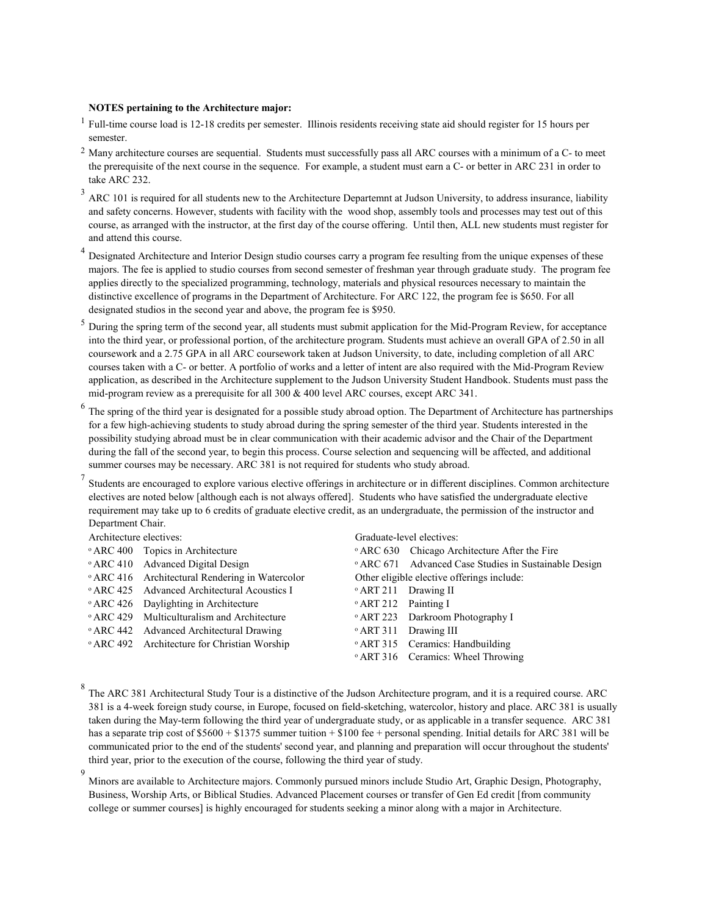### **NOTES pertaining to the Architecture major:**

- <sup>1</sup> Full-time course load is 12-18 credits per semester. Illinois residents receiving state aid should register for 15 hours per semester.
- <sup>2</sup> Many architecture courses are sequential. Students must successfully pass all ARC courses with a minimum of a C- to meet the prerequisite of the next course in the sequence. For example, a student must earn a C- or better in ARC 231 in order to take ARC 232.
- 3 ARC 101 is required for all students new to the Architecture Departemnt at Judson University, to address insurance, liability and safety concerns. However, students with facility with the wood shop, assembly tools and processes may test out of this course, as arranged with the instructor, at the first day of the course offering. Until then, ALL new students must register for and attend this course.
- 4 Designated Architecture and Interior Design studio courses carry a program fee resulting from the unique expenses of these majors. The fee is applied to studio courses from second semester of freshman year through graduate study. The program fee applies directly to the specialized programming, technology, materials and physical resources necessary to maintain the distinctive excellence of programs in the Department of Architecture. For ARC 122, the program fee is \$650. For all designated studios in the second year and above, the program fee is \$950.
- 5 During the spring term of the second year, all students must submit application for the Mid-Program Review, for acceptance into the third year, or professional portion, of the architecture program. Students must achieve an overall GPA of 2.50 in all coursework and a 2.75 GPA in all ARC coursework taken at Judson University, to date, including completion of all ARC courses taken with a C- or better. A portfolio of works and a letter of intent are also required with the Mid-Program Review application, as described in the Architecture supplement to the Judson University Student Handbook. Students must pass the mid-program review as a prerequisite for all 300 & 400 level ARC courses, except ARC 341.
- $^6$  The spring of the third year is designated for a possible study abroad option. The Department of Architecture has partnerships for a few high-achieving students to study abroad during the spring semester of the third year. Students interested in the possibility studying abroad must be in clear communication with their academic advisor and the Chair of the Department during the fall of the second year, to begin this process. Course selection and sequencing will be affected, and additional summer courses may be necessary. ARC 381 is not required for students who study abroad.

7 Students are encouraged to explore various elective offerings in architecture or in different disciplines. Common architecture electives are noted below [although each is not always offered]. Students who have satisfied the undergraduate elective requirement may take up to 6 credits of graduate elective credit, as an undergraduate, the permission of the instructor and Department Chair.

| Architecture electives: |                                                            |                                 | Graduate-level electives:                                        |
|-------------------------|------------------------------------------------------------|---------------------------------|------------------------------------------------------------------|
|                         | <sup>o</sup> ARC 400 Topics in Architecture                |                                 | • ARC 630 Chicago Architecture After the Fire                    |
|                         | <sup>o</sup> ARC 410 Advanced Digital Design               |                                 | <sup>o</sup> ARC 671 Advanced Case Studies in Sustainable Design |
|                         | <sup>o</sup> ARC 416 Architectural Rendering in Watercolor |                                 | Other eligible elective offerings include:                       |
|                         | <sup>o</sup> ARC 425 Advanced Architectural Acoustics I    |                                 | <sup>o</sup> ART 211 Drawing II                                  |
|                         | <sup>o</sup> ARC 426 Daylighting in Architecture           | <sup>o</sup> ART 212 Painting I |                                                                  |
|                         | • ARC 429 Multiculturalism and Architecture                |                                 | <sup>o</sup> ART 223 Darkroom Photography I                      |
|                         | <sup>o</sup> ARC 442 Advanced Architectural Drawing        |                                 | <sup>o</sup> ART 311 Drawing III                                 |
|                         | <sup>o</sup> ARC 492 Architecture for Christian Worship    |                                 | <sup>o</sup> ART 315 Ceramics: Handbuilding                      |
|                         |                                                            |                                 | <sup>o</sup> ART 316 Ceramics: Wheel Throwing                    |

<sup>8</sup> The ARC 381 Architectural Study Tour is a distinctive of the Judson Architecture program, and it is a required course. ARC 381 is a 4-week foreign study course, in Europe, focused on field-sketching, watercolor, history and place. ARC 381 is usually taken during the May-term following the third year of undergraduate study, or as applicable in a transfer sequence. ARC 381 has a separate trip cost of \$5600 + \$1375 summer tuition + \$100 fee + personal spending. Initial details for ARC 381 will be communicated prior to the end of the students' second year, and planning and preparation will occur throughout the students' third year, prior to the execution of the course, following the third year of study.

9 Minors are available to Architecture majors. Commonly pursued minors include Studio Art, Graphic Design, Photography, Business, Worship Arts, or Biblical Studies. Advanced Placement courses or transfer of Gen Ed credit [from community college or summer courses] is highly encouraged for students seeking a minor along with a major in Architecture.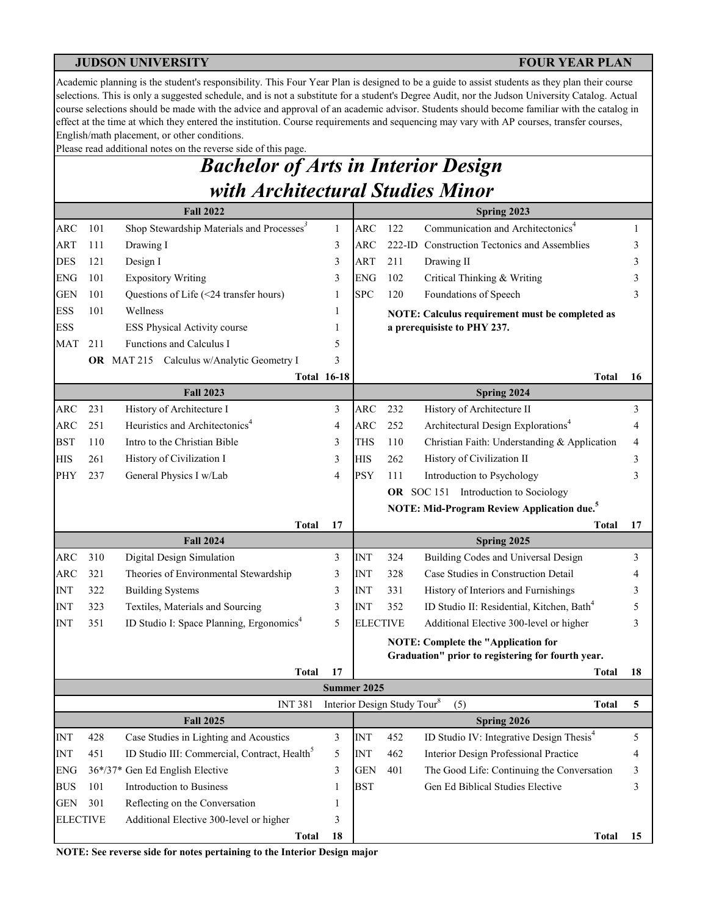Academic planning is the student's responsibility. This Four Year Plan is designed to be a guide to assist students as they plan their course selections. This is only a suggested schedule, and is not a substitute for a student's Degree Audit, nor the Judson University Catalog. Actual course selections should be made with the advice and approval of an academic advisor. Students should become familiar with the catalog in effect at the time at which they entered the institution. Course requirements and sequencing may vary with AP courses, transfer courses, English/math placement, or other conditions.

Please read additional notes on the reverse side of this page.

# *Bachelor of Arts in Interior Design with Architectural Studies Minor*

|                           |     | <b>Fall 2022</b>                                         |                    |                 |           | Spring 2023                                                         |    |
|---------------------------|-----|----------------------------------------------------------|--------------------|-----------------|-----------|---------------------------------------------------------------------|----|
| <b>ARC</b>                | 101 | Shop Stewardship Materials and Processes <sup>3</sup>    | $\mathbf{1}$       | <b>ARC</b>      | 122       | Communication and Architectonics <sup>4</sup>                       | 1  |
| ART                       | 111 | Drawing I                                                | 3                  | <b>ARC</b>      | $222$ -ID | <b>Construction Tectonics and Assemblies</b>                        | 3  |
| <b>DES</b>                | 121 | Design I                                                 | 3                  | ART             | 211       | Drawing II                                                          | 3  |
| <b>ENG</b>                | 101 | <b>Expository Writing</b>                                | 3                  | <b>ENG</b>      | 102       | Critical Thinking & Writing                                         | 3  |
| <b>GEN</b>                | 101 | Questions of Life (<24 transfer hours)                   | 1                  | <b>SPC</b>      | 120       | Foundations of Speech                                               | 3  |
| <b>ESS</b>                | 101 | Wellness                                                 | 1                  |                 |           | NOTE: Calculus requirement must be completed as                     |    |
| <b>ESS</b>                |     | ESS Physical Activity course                             | 1                  |                 |           | a prerequisiste to PHY 237.                                         |    |
| <b>MAT</b>                | 211 | Functions and Calculus I                                 | 5                  |                 |           |                                                                     |    |
|                           |     | OR MAT 215 Calculus w/Analytic Geometry I                | 3                  |                 |           |                                                                     |    |
|                           |     |                                                          | <b>Total 16-18</b> |                 |           | <b>Total</b>                                                        | 16 |
|                           |     | <b>Fall 2023</b>                                         |                    |                 |           | Spring 2024                                                         |    |
| ARC                       | 231 | History of Architecture I                                | 3                  | <b>ARC</b>      | 232       | History of Architecture II                                          | 3  |
| ARC                       | 251 | Heuristics and Architectonics <sup>4</sup>               | 4                  | <b>ARC</b>      | 252       | Architectural Design Explorations <sup>4</sup>                      | 4  |
| <b>BST</b>                | 110 | Intro to the Christian Bible                             | 3                  | THS             | 110       | Christian Faith: Understanding & Application                        | 4  |
| <b>HIS</b>                | 261 | History of Civilization I                                | 3                  | <b>HIS</b>      | 262       | History of Civilization II                                          | 3  |
| PHY                       | 237 | General Physics I w/Lab                                  | 4                  | <b>PSY</b>      | 111       | Introduction to Psychology                                          | 3  |
|                           |     |                                                          |                    |                 |           | OR SOC 151 Introduction to Sociology                                |    |
|                           |     |                                                          |                    |                 |           | <b>NOTE: Mid-Program Review Application due.</b> <sup>5</sup>       |    |
|                           |     | <b>Total</b>                                             | 17                 |                 |           | Total                                                               | 17 |
|                           |     | <b>Fall 2024</b>                                         |                    |                 |           | Spring 2025                                                         |    |
| <b>ARC</b>                | 310 | Digital Design Simulation                                | 3                  | <b>INT</b>      | 324       | Building Codes and Universal Design                                 | 3  |
| <b>ARC</b>                | 321 | Theories of Environmental Stewardship                    | 3                  | <b>INT</b>      | 328       | Case Studies in Construction Detail                                 | 4  |
| <b>INT</b>                | 322 | <b>Building Systems</b>                                  | 3                  | <b>INT</b>      | 331       | History of Interiors and Furnishings                                | 3  |
| <b>INT</b>                | 323 | Textiles, Materials and Sourcing                         | 3                  | <b>INT</b>      | 352       | ID Studio II: Residential, Kitchen, Bath <sup>4</sup>               | 5  |
| <b>INT</b>                | 351 | ID Studio I: Space Planning, Ergonomics <sup>4</sup>     | 5                  | <b>ELECTIVE</b> |           | Additional Elective 300-level or higher                             | 3  |
|                           |     |                                                          |                    |                 |           | <b>NOTE: Complete the "Application for</b>                          |    |
|                           |     |                                                          |                    |                 |           | Graduation" prior to registering for fourth year.                   |    |
|                           |     | Total                                                    | 17                 |                 |           | Total                                                               | 18 |
|                           |     |                                                          |                    | Summer 2025     |           |                                                                     |    |
|                           |     | <b>INT 381</b><br><b>Fall 2025</b>                       |                    |                 |           | Interior Design Study Tour <sup>8</sup><br>(5)<br><b>Total</b>      | 5  |
| $\ensuremath{\text{INT}}$ | 428 | Case Studies in Lighting and Acoustics                   | 3                  | <b>INT</b>      | 452       | Spring 2026<br>ID Studio IV: Integrative Design Thesis <sup>4</sup> | 5  |
| <b>INT</b>                | 451 | ID Studio III: Commercial, Contract, Health <sup>3</sup> | 5                  | <b>INT</b>      | 462       | Interior Design Professional Practice                               | 4  |
| <b>ENG</b>                |     | 36*/37* Gen Ed English Elective                          | 3                  | <b>GEN</b>      | 401       | The Good Life: Continuing the Conversation                          | 3  |
| <b>BUS</b>                | 101 | Introduction to Business                                 | 1                  | <b>BST</b>      |           | Gen Ed Biblical Studies Elective                                    | 3  |
| <b>GEN</b>                | 301 | Reflecting on the Conversation                           |                    |                 |           |                                                                     |    |
| <b>ELECTIVE</b>           |     | Additional Elective 300-level or higher                  | 3                  |                 |           |                                                                     |    |
|                           |     | <b>Total</b>                                             | 18                 |                 |           | <b>Total</b>                                                        | 15 |

**NOTE: See reverse side for notes pertaining to the Interior Design major**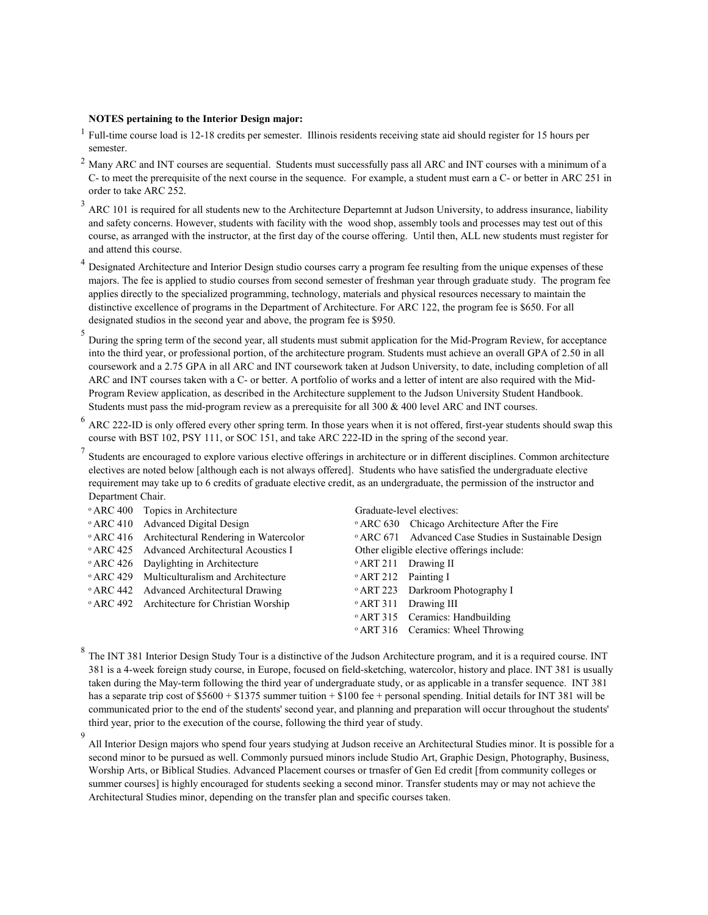### **NOTES pertaining to the Interior Design major:**

9

- 1 Full-time course load is 12-18 credits per semester. Illinois residents receiving state aid should register for 15 hours per semester.
- $^2$  Many ARC and INT courses are sequential. Students must successfully pass all ARC and INT courses with a minimum of a C- to meet the prerequisite of the next course in the sequence. For example, a student must earn a C- or better in ARC 251 in order to take ARC 252.
- $3$  ARC 101 is required for all students new to the Architecture Departemnt at Judson University, to address insurance, liability and safety concerns. However, students with facility with the wood shop, assembly tools and processes may test out of this course, as arranged with the instructor, at the first day of the course offering. Until then, ALL new students must register for and attend this course.
- 4 Designated Architecture and Interior Design studio courses carry a program fee resulting from the unique expenses of these majors. The fee is applied to studio courses from second semester of freshman year through graduate study. The program fee applies directly to the specialized programming, technology, materials and physical resources necessary to maintain the distinctive excellence of programs in the Department of Architecture. For ARC 122, the program fee is \$650. For all designated studios in the second year and above, the program fee is \$950.
- 5 During the spring term of the second year, all students must submit application for the Mid-Program Review, for acceptance into the third year, or professional portion, of the architecture program. Students must achieve an overall GPA of 2.50 in all coursework and a 2.75 GPA in all ARC and INT coursework taken at Judson University, to date, including completion of all ARC and INT courses taken with a C- or better. A portfolio of works and a letter of intent are also required with the Mid-Program Review application, as described in the Architecture supplement to the Judson University Student Handbook. Students must pass the mid-program review as a prerequisite for all 300 & 400 level ARC and INT courses.
- $^6$  ARC 222-ID is only offered every other spring term. In those years when it is not offered, first-year students should swap this course with BST 102, PSY 111, or SOC 151, and take ARC 222-ID in the spring of the second year.
- 7 Students are encouraged to explore various elective offerings in architecture or in different disciplines. Common architecture electives are noted below [although each is not always offered]. Students who have satisfied the undergraduate elective requirement may take up to 6 credits of graduate elective credit, as an undergraduate, the permission of the instructor and Department Chair.

|  | <sup>o</sup> ARC 400 Topics in Architecture                |                                 | Graduate-level electives:                                        |
|--|------------------------------------------------------------|---------------------------------|------------------------------------------------------------------|
|  | <sup>o</sup> ARC 410 Advanced Digital Design               |                                 | <sup>o</sup> ARC 630 Chicago Architecture After the Fire         |
|  | <sup>o</sup> ARC 416 Architectural Rendering in Watercolor |                                 | <sup>o</sup> ARC 671 Advanced Case Studies in Sustainable Design |
|  | <sup>o</sup> ARC 425 Advanced Architectural Acoustics I    |                                 | Other eligible elective offerings include:                       |
|  | • ARC 426 Daylighting in Architecture                      | <sup>o</sup> ART 211 Drawing II |                                                                  |
|  | • ARC 429 Multiculturalism and Architecture                | <sup>o</sup> ART 212 Painting I |                                                                  |
|  | <sup>o</sup> ARC 442 Advanced Architectural Drawing        |                                 | <sup>o</sup> ART 223 Darkroom Photography I                      |
|  | <sup>o</sup> ARC 492 Architecture for Christian Worship    |                                 | <sup>o</sup> ART 311 Drawing III                                 |
|  |                                                            |                                 | <sup>o</sup> ART 315 Ceramics: Handbuilding                      |
|  |                                                            |                                 | <sup>o</sup> ART 316 Ceramics: Wheel Throwing                    |
|  |                                                            |                                 |                                                                  |

8 The INT 381 Interior Design Study Tour is a distinctive of the Judson Architecture program, and it is a required course. INT 381 is a 4-week foreign study course, in Europe, focused on field-sketching, watercolor, history and place. INT 381 is usually taken during the May-term following the third year of undergraduate study, or as applicable in a transfer sequence. INT 381 has a separate trip cost of  $$5600 + $1375$  summer tuition  $+ $100$  fee + personal spending. Initial details for INT 381 will be communicated prior to the end of the students' second year, and planning and preparation will occur throughout the students' third year, prior to the execution of the course, following the third year of study.

All Interior Design majors who spend four years studying at Judson receive an Architectural Studies minor. It is possible for a second minor to be pursued as well. Commonly pursued minors include Studio Art, Graphic Design, Photography, Business, Worship Arts, or Biblical Studies. Advanced Placement courses or trnasfer of Gen Ed credit [from community colleges or summer courses] is highly encouraged for students seeking a second minor. Transfer students may or may not achieve the Architectural Studies minor, depending on the transfer plan and specific courses taken.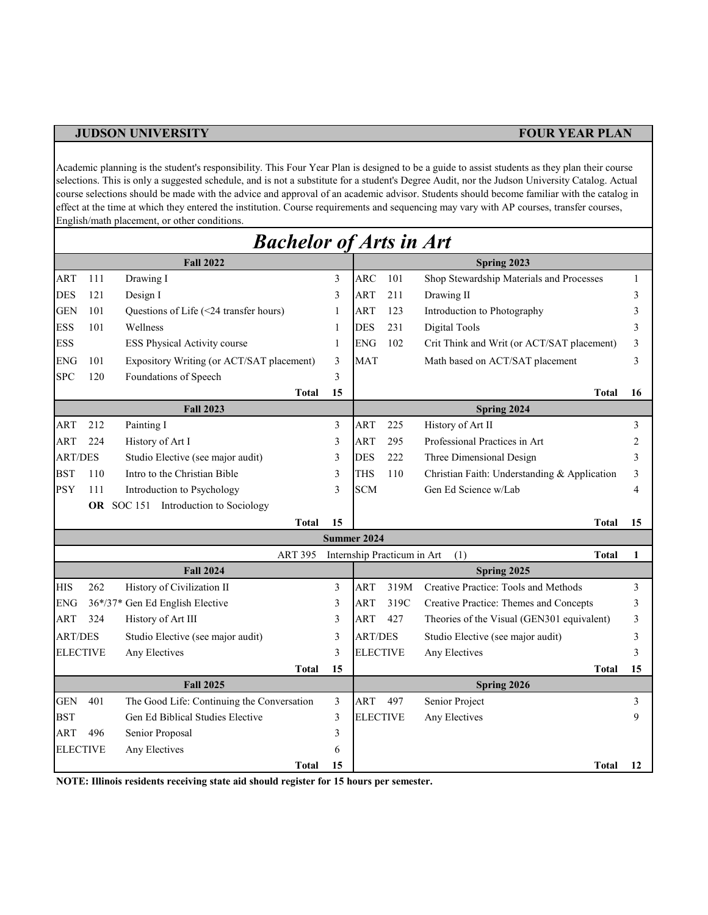Academic planning is the student's responsibility. This Four Year Plan is designed to be a guide to assist students as they plan their course selections. This is only a suggested schedule, and is not a substitute for a student's Degree Audit, nor the Judson University Catalog. Actual course selections should be made with the advice and approval of an academic advisor. Students should become familiar with the catalog in effect at the time at which they entered the institution. Course requirements and sequencing may vary with AP courses, transfer courses, English/math placement, or other conditions.

|                        |     | <b>Bachelor of Arts in Art</b>                                                 |        |                 |                             |                                              |    |
|------------------------|-----|--------------------------------------------------------------------------------|--------|-----------------|-----------------------------|----------------------------------------------|----|
|                        |     | <b>Fall 2022</b>                                                               |        |                 |                             | Spring 2023                                  |    |
| <b>ART</b>             | 111 | Drawing I                                                                      | 3      | <b>ARC</b>      | 101                         | Shop Stewardship Materials and Processes     | 1  |
| <b>DES</b>             | 121 | Design I                                                                       | 3      | <b>ART</b>      | 211                         | Drawing II                                   | 3  |
| <b>GEN</b>             | 101 | Questions of Life (<24 transfer hours)                                         | 1      | <b>ART</b>      | 123                         | Introduction to Photography                  | 3  |
| <b>ESS</b>             | 101 | Wellness                                                                       | 1      | <b>DES</b>      | 231                         | Digital Tools                                | 3  |
| <b>ESS</b>             |     | ESS Physical Activity course                                                   | 1      | <b>ENG</b>      | 102                         | Crit Think and Writ (or ACT/SAT placement)   | 3  |
| ENG                    | 101 | Expository Writing (or ACT/SAT placement)                                      | 3      | <b>MAT</b>      |                             | Math based on ACT/SAT placement              | 3  |
| <b>SPC</b>             | 120 | Foundations of Speech                                                          | 3      |                 |                             |                                              |    |
|                        |     | <b>Total</b>                                                                   | 15     |                 |                             | <b>Total</b>                                 | 16 |
|                        |     | <b>Fall 2023</b>                                                               |        |                 |                             | Spring 2024                                  |    |
| <b>ART</b>             | 212 | Painting I                                                                     | 3      | <b>ART</b>      | 225                         | History of Art II                            | 3  |
| <b>ART</b>             | 224 | History of Art I                                                               | 3      | <b>ART</b>      | 295                         | Professional Practices in Art                | 2  |
| <b>ART/DES</b>         |     | Studio Elective (see major audit)                                              | 3      | <b>DES</b>      | 222                         | Three Dimensional Design                     | 3  |
| <b>BST</b>             | 110 | Intro to the Christian Bible                                                   | 3      | THS             | 110                         | Christian Faith: Understanding & Application | 3  |
| <b>PSY</b>             | 111 | Introduction to Psychology                                                     | 3      | <b>SCM</b>      |                             | Gen Ed Science w/Lab                         | 4  |
|                        |     | OR SOC 151 Introduction to Sociology                                           |        |                 |                             |                                              |    |
|                        |     | <b>Total</b>                                                                   | 15     |                 |                             | <b>Total</b>                                 | 15 |
|                        |     |                                                                                |        | Summer 2024     |                             |                                              |    |
|                        |     | <b>ART 395</b>                                                                 |        |                 | Internship Practicum in Art | (1)<br><b>Total</b>                          | 1  |
|                        |     | <b>Fall 2024</b>                                                               |        |                 |                             | Spring 2025                                  |    |
| <b>HIS</b>             | 262 | History of Civilization II                                                     | 3      | <b>ART</b>      | 319M                        | Creative Practice: Tools and Methods         | 3  |
| ENG                    |     | 36*/37* Gen Ed English Elective                                                | 3      | ART             | 319C                        | Creative Practice: Themes and Concepts       | 3  |
| <b>ART</b>             | 324 | History of Art III                                                             | 3      | <b>ART</b>      | 427                         | Theories of the Visual (GEN301 equivalent)   | 3  |
| <b>ART/DES</b>         |     | Studio Elective (see major audit)                                              | 3      | <b>ART/DES</b>  |                             | Studio Elective (see major audit)            | 3  |
| <b>ELECTIVE</b>        |     | Any Electives                                                                  | 3      | <b>ELECTIVE</b> |                             | Any Electives                                | 3  |
|                        |     | <b>Total</b>                                                                   | 15     |                 |                             | <b>Total</b>                                 | 15 |
|                        | 401 | <b>Fall 2025</b>                                                               |        |                 |                             | Spring 2026                                  |    |
| <b>GEN</b>             |     | The Good Life: Continuing the Conversation<br>Gen Ed Biblical Studies Elective | 3<br>3 | ART             | 497                         | Senior Project                               | 3  |
| <b>BST</b>             |     |                                                                                |        | <b>ELECTIVE</b> |                             | Any Electives                                | 9  |
| ART<br><b>ELECTIVE</b> | 496 | Senior Proposal<br>Any Electives                                               | 3<br>6 |                 |                             |                                              |    |
|                        |     | Total                                                                          | 15     |                 |                             | Total                                        | 12 |
|                        |     |                                                                                |        |                 |                             |                                              |    |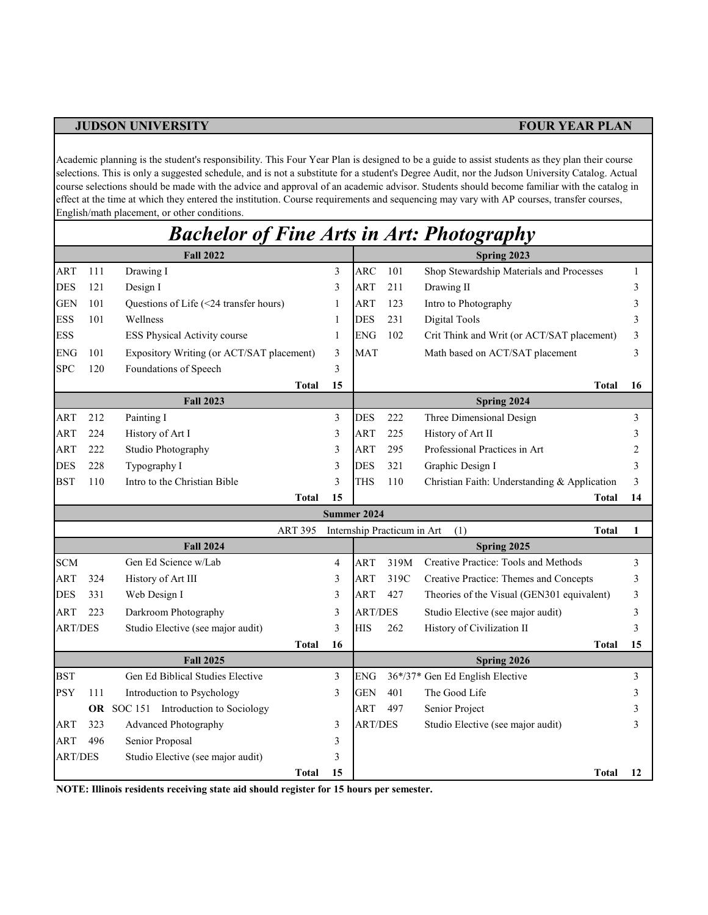Academic planning is the student's responsibility. This Four Year Plan is designed to be a guide to assist students as they plan their course selections. This is only a suggested schedule, and is not a substitute for a student's Degree Audit, nor the Judson University Catalog. Actual course selections should be made with the advice and approval of an academic advisor. Students should become familiar with the catalog in effect at the time at which they entered the institution. Course requirements and sequencing may vary with AP courses, transfer courses, English/math placement, or other conditions.

|                |            | <b>Bachelor of Fine Arts in Art: Photography</b> |                |                     |                    |                             |                                              |                |
|----------------|------------|--------------------------------------------------|----------------|---------------------|--------------------|-----------------------------|----------------------------------------------|----------------|
|                |            | <b>Fall 2022</b>                                 |                |                     |                    |                             | Spring 2023                                  |                |
| ART            | 111        | Drawing I                                        |                | $\mathfrak{Z}$      | ARC                | 101                         | Shop Stewardship Materials and Processes     | 1              |
| <b>DES</b>     | 121        | Design I                                         |                | 3                   | <b>ART</b>         | 211                         | Drawing II                                   | 3              |
| <b>GEN</b>     | 101        | Questions of Life (<24 transfer hours)           |                | 1                   | <b>ART</b>         | 123                         | Intro to Photography                         | 3              |
| <b>ESS</b>     | 101        | Wellness                                         |                | 1                   | <b>DES</b>         | 231                         | Digital Tools                                | 3              |
| <b>ESS</b>     |            | ESS Physical Activity course                     |                | $\mathbf{1}$        | <b>ENG</b>         | 102                         | Crit Think and Writ (or ACT/SAT placement)   | 3              |
| <b>ENG</b>     | 101        | Expository Writing (or ACT/SAT placement)        |                | 3                   | <b>MAT</b>         |                             | Math based on ACT/SAT placement              | 3              |
| <b>SPC</b>     | 120        | Foundations of Speech                            |                | 3                   |                    |                             |                                              |                |
|                |            |                                                  | <b>Total</b>   | 15                  |                    |                             | Total                                        | 16             |
|                |            | <b>Fall 2023</b>                                 |                |                     |                    |                             | Spring 2024                                  |                |
| ART            | 212        | Painting I                                       |                | 3                   | DES                | 222                         | Three Dimensional Design                     | $\mathfrak{Z}$ |
| ART            | 224        | History of Art I                                 |                | 3                   | <b>ART</b>         | 225                         | History of Art II                            | 3              |
| <b>ART</b>     | 222        | Studio Photography                               |                | 3                   | <b>ART</b>         | 295                         | Professional Practices in Art                | $\overline{c}$ |
| <b>DES</b>     | 228        | Typography I                                     |                | 3                   | <b>DES</b>         | 321                         | Graphic Design I                             | 3              |
| <b>BST</b>     | 110        | Intro to the Christian Bible                     |                | 3                   | <b>THS</b>         | 110                         | Christian Faith: Understanding & Application | 3              |
|                |            |                                                  | <b>Total</b>   | 15                  |                    |                             | Total                                        | 14             |
|                |            |                                                  |                |                     | <b>Summer 2024</b> |                             |                                              |                |
|                |            |                                                  | <b>ART 395</b> |                     |                    | Internship Practicum in Art | (1)<br><b>Total</b>                          | 1              |
|                |            | <b>Fall 2024</b>                                 |                |                     |                    |                             | Spring 2025                                  |                |
| <b>SCM</b>     |            | Gen Ed Science w/Lab                             |                | $\overline{4}$      | <b>ART</b>         | 319M                        | Creative Practice: Tools and Methods         | 3              |
| ART            | 324<br>331 | History of Art III                               |                | $\mathfrak{Z}$<br>3 | ART<br><b>ART</b>  | 319C<br>427                 | Creative Practice: Themes and Concepts       | 3<br>3         |
| DES            |            | Web Design I                                     |                |                     |                    |                             | Theories of the Visual (GEN301 equivalent)   |                |
| ART            | 223        | Darkroom Photography                             |                | 3                   | <b>ART/DES</b>     |                             | Studio Elective (see major audit)            | 3              |
| <b>ART/DES</b> |            | Studio Elective (see major audit)                | <b>Total</b>   | 3<br>16             | <b>HIS</b>         | 262                         | History of Civilization II<br>Total          | 3<br>15        |
|                |            | <b>Fall 2025</b>                                 |                |                     |                    |                             | Spring 2026                                  |                |
| <b>BST</b>     |            | Gen Ed Biblical Studies Elective                 |                | 3                   | <b>ENG</b>         |                             | 36*/37* Gen Ed English Elective              | 3              |
| <b>PSY</b>     | 111        | Introduction to Psychology                       |                | 3                   | GEN                | 401                         | The Good Life                                | 3              |
|                |            | OR SOC 151 Introduction to Sociology             |                |                     | ART                | 497                         | Senior Project                               | 3              |
| ART            | 323        | <b>Advanced Photography</b>                      |                | 3                   | <b>ART/DES</b>     |                             | Studio Elective (see major audit)            | 3              |
| <b>ART</b>     | 496        | Senior Proposal                                  |                | 3                   |                    |                             |                                              |                |
| <b>ART/DES</b> |            | Studio Elective (see major audit)                |                | 3                   |                    |                             |                                              |                |
|                |            |                                                  | <b>Total</b>   | 15                  |                    |                             | Total                                        | 12             |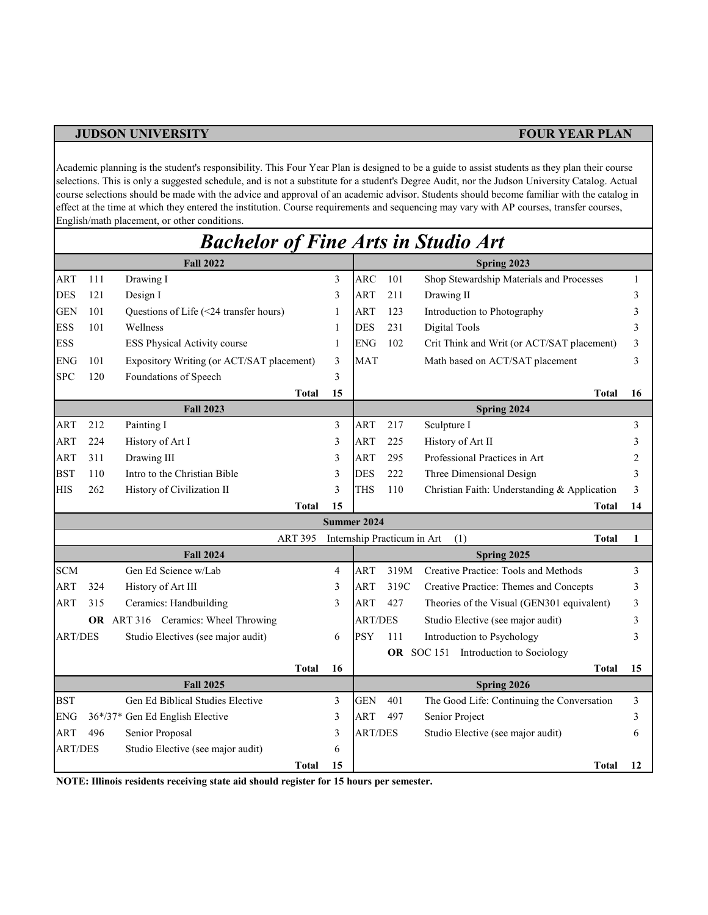Academic planning is the student's responsibility. This Four Year Plan is designed to be a guide to assist students as they plan their course selections. This is only a suggested schedule, and is not a substitute for a student's Degree Audit, nor the Judson University Catalog. Actual course selections should be made with the advice and approval of an academic advisor. Students should become familiar with the catalog in effect at the time at which they entered the institution. Course requirements and sequencing may vary with AP courses, transfer courses, English/math placement, or other conditions.

| <b>Fall 2022</b><br>Spring 2023<br>ART<br>Drawing I<br><b>ARC</b><br>101<br>Shop Stewardship Materials and Processes<br>111<br>3<br><b>DES</b><br>121<br>3<br><b>ART</b><br>211<br>Design I<br>Drawing II<br>101<br>Questions of Life (<24 transfer hours)<br>ART<br>123<br>Introduction to Photography<br><b>GEN</b><br>1<br><b>ESS</b><br>101<br>Wellness<br><b>DES</b><br>231<br>Digital Tools<br>1<br><b>ESS</b><br>ESS Physical Activity course<br><b>ENG</b><br>102<br>Crit Think and Writ (or ACT/SAT placement)<br>$\mathbf{1}$ |              | 1  |
|-----------------------------------------------------------------------------------------------------------------------------------------------------------------------------------------------------------------------------------------------------------------------------------------------------------------------------------------------------------------------------------------------------------------------------------------------------------------------------------------------------------------------------------------|--------------|----|
|                                                                                                                                                                                                                                                                                                                                                                                                                                                                                                                                         |              |    |
|                                                                                                                                                                                                                                                                                                                                                                                                                                                                                                                                         |              |    |
|                                                                                                                                                                                                                                                                                                                                                                                                                                                                                                                                         |              | 3  |
|                                                                                                                                                                                                                                                                                                                                                                                                                                                                                                                                         |              | 3  |
|                                                                                                                                                                                                                                                                                                                                                                                                                                                                                                                                         |              | 3  |
|                                                                                                                                                                                                                                                                                                                                                                                                                                                                                                                                         |              | 3  |
| <b>ENG</b><br>101<br>Expository Writing (or ACT/SAT placement)<br><b>MAT</b><br>Math based on ACT/SAT placement<br>3                                                                                                                                                                                                                                                                                                                                                                                                                    |              | 3  |
| Foundations of Speech<br><b>SPC</b><br>120<br>3                                                                                                                                                                                                                                                                                                                                                                                                                                                                                         |              |    |
| <b>Total</b><br>15                                                                                                                                                                                                                                                                                                                                                                                                                                                                                                                      | <b>Total</b> | 16 |
| Spring 2024<br><b>Fall 2023</b>                                                                                                                                                                                                                                                                                                                                                                                                                                                                                                         |              |    |
| Painting I<br>Sculpture I<br><b>ART</b><br>212<br>3<br>ART<br>217                                                                                                                                                                                                                                                                                                                                                                                                                                                                       |              | 3  |
| <b>ART</b><br>224<br>History of Art I<br>3<br><b>ART</b><br>225<br>History of Art II                                                                                                                                                                                                                                                                                                                                                                                                                                                    |              | 3  |
| Professional Practices in Art<br><b>ART</b><br>311<br>Drawing III<br><b>ART</b><br>295<br>3                                                                                                                                                                                                                                                                                                                                                                                                                                             |              | 2  |
| <b>BST</b><br>110<br>Intro to the Christian Bible<br><b>DES</b><br>222<br>Three Dimensional Design<br>3                                                                                                                                                                                                                                                                                                                                                                                                                                 |              | 3  |
| <b>HIS</b><br>3<br>THS<br>110<br>Christian Faith: Understanding & Application<br>262<br>History of Civilization II                                                                                                                                                                                                                                                                                                                                                                                                                      |              | 3  |
| 15<br><b>Total</b>                                                                                                                                                                                                                                                                                                                                                                                                                                                                                                                      | Total        | 14 |
| Summer 2024                                                                                                                                                                                                                                                                                                                                                                                                                                                                                                                             |              |    |
| <b>ART 395</b><br>Internship Practicum in Art<br>(1)                                                                                                                                                                                                                                                                                                                                                                                                                                                                                    | <b>Total</b> | 1  |
| <b>Fall 2024</b><br>Spring 2025                                                                                                                                                                                                                                                                                                                                                                                                                                                                                                         |              |    |
| Gen Ed Science w/Lab<br><b>SCM</b><br>Creative Practice: Tools and Methods<br>4<br>ART<br>319M                                                                                                                                                                                                                                                                                                                                                                                                                                          |              | 3  |
| <b>ART</b><br>324<br>History of Art III<br><b>ART</b><br>319C<br>Creative Practice: Themes and Concepts<br>3                                                                                                                                                                                                                                                                                                                                                                                                                            |              | 3  |
| ART<br>315<br>Ceramics: Handbuilding<br>3<br>ART<br>427<br>Theories of the Visual (GEN301 equivalent)                                                                                                                                                                                                                                                                                                                                                                                                                                   |              | 3  |
| OR ART 316 Ceramics: Wheel Throwing<br><b>ART/DES</b><br>Studio Elective (see major audit)                                                                                                                                                                                                                                                                                                                                                                                                                                              |              | 3  |
| <b>PSY</b><br>Introduction to Psychology<br><b>ART/DES</b><br>Studio Electives (see major audit)<br>111<br>6                                                                                                                                                                                                                                                                                                                                                                                                                            |              | 3  |
| OR SOC 151 Introduction to Sociology                                                                                                                                                                                                                                                                                                                                                                                                                                                                                                    |              |    |
| <b>Total</b><br>16                                                                                                                                                                                                                                                                                                                                                                                                                                                                                                                      | <b>Total</b> | 15 |
| <b>Fall 2025</b><br>Spring 2026                                                                                                                                                                                                                                                                                                                                                                                                                                                                                                         |              |    |
| <b>BST</b><br>Gen Ed Biblical Studies Elective<br><b>GEN</b><br>401<br>The Good Life: Continuing the Conversation<br>3<br><b>ART</b><br>497                                                                                                                                                                                                                                                                                                                                                                                             |              | 3  |
| 36*/37* Gen Ed English Elective<br>3<br>Senior Project<br>ENG                                                                                                                                                                                                                                                                                                                                                                                                                                                                           |              | 3  |
| 496<br>Senior Proposal<br><b>ART/DES</b><br><b>ART</b><br>3<br>Studio Elective (see major audit)<br>Studio Elective (see major audit)<br><b>ART/DES</b><br>6                                                                                                                                                                                                                                                                                                                                                                            |              | 6  |
|                                                                                                                                                                                                                                                                                                                                                                                                                                                                                                                                         |              |    |

## *Bachelor of Fine Arts in Studio Art*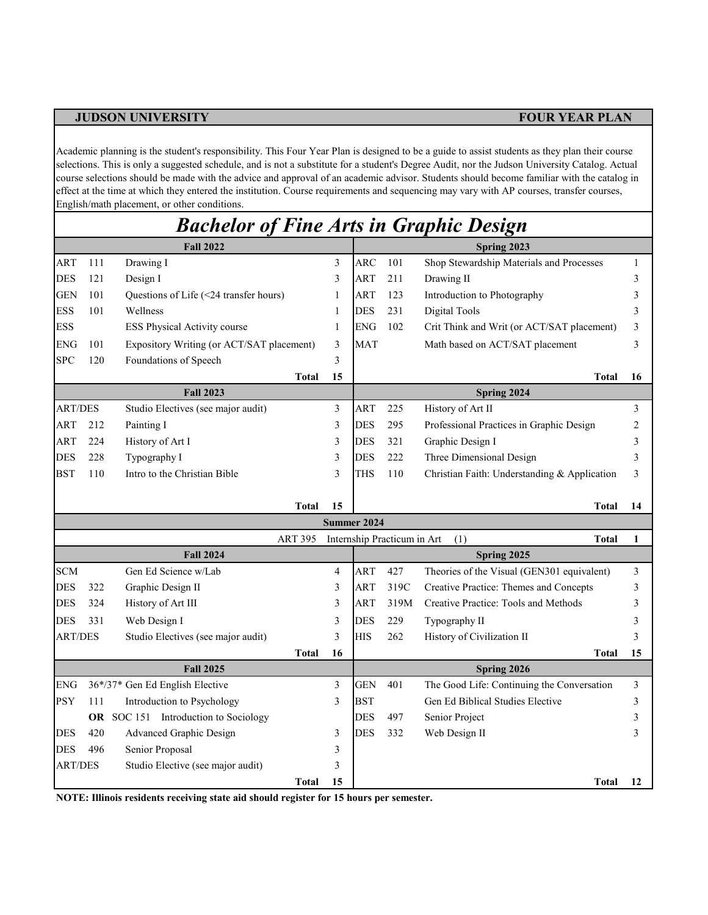Academic planning is the student's responsibility. This Four Year Plan is designed to be a guide to assist students as they plan their course selections. This is only a suggested schedule, and is not a substitute for a student's Degree Audit, nor the Judson University Catalog. Actual course selections should be made with the advice and approval of an academic advisor. Students should become familiar with the catalog in effect at the time at which they entered the institution. Course requirements and sequencing may vary with AP courses, transfer courses, English/math placement, or other conditions.

## *Bachelor of Fine Arts in Graphic Design*

|                |     | <b>Fall 2022</b>                          |                |    | Spring 2023 |                             |                                              |    |  |  |
|----------------|-----|-------------------------------------------|----------------|----|-------------|-----------------------------|----------------------------------------------|----|--|--|
| <b>ART</b>     | 111 | Drawing I                                 |                | 3  | <b>ARC</b>  | 101                         | Shop Stewardship Materials and Processes     | 1  |  |  |
| <b>DES</b>     | 121 | Design I                                  |                | 3  | <b>ART</b>  | 211                         | Drawing II                                   | 3  |  |  |
| <b>GEN</b>     | 101 | Questions of Life (<24 transfer hours)    |                | 1  | <b>ART</b>  | 123                         | Introduction to Photography                  | 3  |  |  |
| <b>ESS</b>     | 101 | Wellness                                  |                | 1  | <b>DES</b>  | 231                         | Digital Tools                                | 3  |  |  |
| <b>ESS</b>     |     | ESS Physical Activity course              |                | 1  | <b>ENG</b>  | 102                         | Crit Think and Writ (or ACT/SAT placement)   | 3  |  |  |
| <b>ENG</b>     | 101 | Expository Writing (or ACT/SAT placement) |                | 3  | <b>MAT</b>  |                             | Math based on ACT/SAT placement              | 3  |  |  |
| <b>SPC</b>     | 120 | Foundations of Speech                     |                | 3  |             |                             |                                              |    |  |  |
|                |     |                                           | <b>Total</b>   | 15 |             |                             | <b>Total</b>                                 | 16 |  |  |
|                |     | <b>Fall 2023</b>                          |                |    |             |                             | Spring 2024                                  |    |  |  |
| <b>ART/DES</b> |     | Studio Electives (see major audit)        |                | 3  | ART         | 225                         | History of Art II                            | 3  |  |  |
| <b>ART</b>     | 212 | Painting I                                |                | 3  | <b>DES</b>  | 295                         | Professional Practices in Graphic Design     | 2  |  |  |
| ART            | 224 | History of Art I                          |                | 3  | <b>DES</b>  | 321                         | Graphic Design I                             | 3  |  |  |
| <b>DES</b>     | 228 | Typography I                              |                | 3  | <b>DES</b>  | 222                         | Three Dimensional Design                     | 3  |  |  |
| <b>BST</b>     | 110 | Intro to the Christian Bible              |                | 3  | THS         | 110                         | Christian Faith: Understanding & Application | 3  |  |  |
|                |     |                                           |                |    |             |                             |                                              |    |  |  |
|                |     |                                           | Total          | 15 |             |                             | Total                                        | 14 |  |  |
|                |     |                                           |                |    | Summer 2024 |                             |                                              |    |  |  |
|                |     |                                           | <b>ART 395</b> |    |             | Internship Practicum in Art | (1)<br><b>Total</b>                          | 1  |  |  |
|                |     | <b>Fall 2024</b>                          |                |    |             |                             | Spring 2025                                  |    |  |  |
| <b>SCM</b>     |     | Gen Ed Science w/Lab                      |                | 4  | <b>ART</b>  | 427                         | Theories of the Visual (GEN301 equivalent)   | 3  |  |  |
| <b>DES</b>     | 322 | Graphic Design II                         |                | 3  | ART         | 319C                        | Creative Practice: Themes and Concepts       | 3  |  |  |
| <b>DES</b>     | 324 | History of Art III                        |                | 3  | ART         | 319M                        | Creative Practice: Tools and Methods         | 3  |  |  |
| <b>DES</b>     | 331 | Web Design I                              |                | 3  | <b>DES</b>  | 229                         | Typography II                                | 3  |  |  |
| <b>ART/DES</b> |     | Studio Electives (see major audit)        |                | 3  | <b>HIS</b>  | 262                         | History of Civilization II                   | 3  |  |  |
|                |     |                                           | <b>Total</b>   | 16 |             |                             | <b>Total</b>                                 | 15 |  |  |
|                |     | <b>Fall 2025</b>                          |                |    |             |                             | Spring 2026                                  |    |  |  |
| <b>ENG</b>     |     | 36*/37* Gen Ed English Elective           |                | 3  | <b>GEN</b>  | 401                         | The Good Life: Continuing the Conversation   | 3  |  |  |
| <b>PSY</b>     | 111 | Introduction to Psychology                |                | 3  | <b>BST</b>  |                             | Gen Ed Biblical Studies Elective             | 3  |  |  |
|                |     | OR SOC 151 Introduction to Sociology      |                |    | DES         | 497                         | Senior Project                               | 3  |  |  |
| <b>DES</b>     | 420 | Advanced Graphic Design                   |                | 3  | <b>DES</b>  | 332                         | Web Design II                                | 3  |  |  |
| <b>DES</b>     | 496 | Senior Proposal                           |                | 3  |             |                             |                                              |    |  |  |
| <b>ART/DES</b> |     | Studio Elective (see major audit)         |                | 3  |             |                             |                                              |    |  |  |
|                |     |                                           | <b>Total</b>   | 15 |             |                             | <b>Total</b>                                 | 12 |  |  |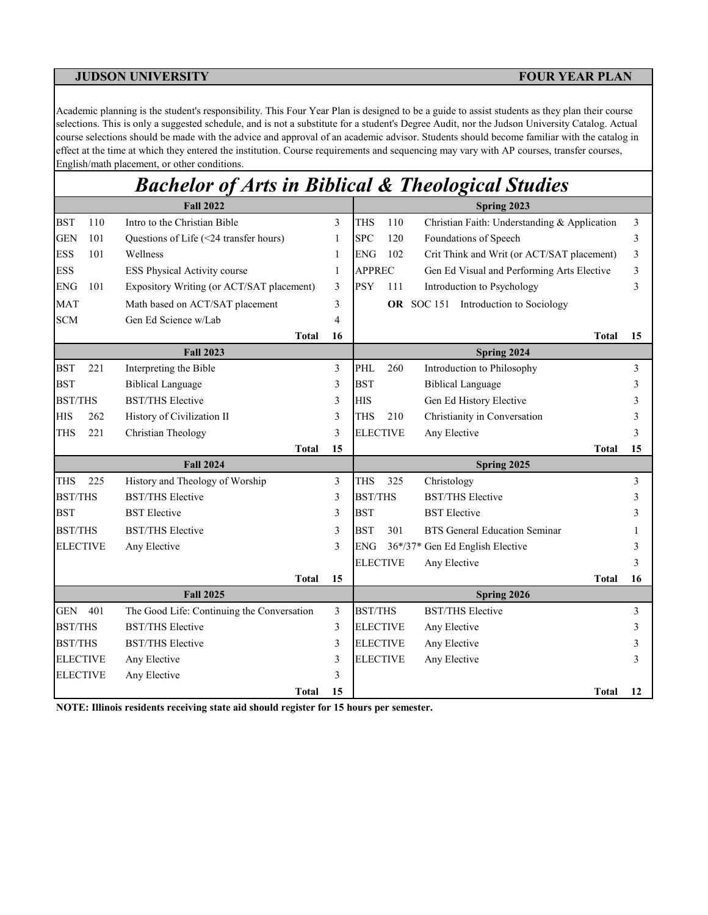Academic planning is the student's responsibility. This Four Year Plan is designed to be a guide to assist students as they plan their course selections. This is only a suggested schedule, and is not a substitute for a student's Degree Audit, nor the Judson University Catalog. Actual course selections should be made with the advice and approval of an academic advisor. Students should become familiar with the catalog in effect at the time at which they entered the institution. Course requirements and sequencing may vary with AP courses, transfer courses, English/math placement, or other conditions.

# *Bachelor of Arts in Biblical & Theological Studies*

|                 |     | <b>Fall 2022</b>                           |    |                 |     | Spring 2023                                  |    |
|-----------------|-----|--------------------------------------------|----|-----------------|-----|----------------------------------------------|----|
| <b>BST</b>      | 110 | Intro to the Christian Bible               | 3  | <b>THS</b>      | 110 | Christian Faith: Understanding & Application | 3  |
| <b>GEN</b>      | 101 | Questions of Life (<24 transfer hours)     | 1  | <b>SPC</b>      | 120 | Foundations of Speech                        | 3  |
| <b>ESS</b>      | 101 | Wellness                                   | 1  | <b>ENG</b>      | 102 | Crit Think and Writ (or ACT/SAT placement)   | 3  |
| <b>ESS</b>      |     | ESS Physical Activity course               | 1  | <b>APPREC</b>   |     | Gen Ed Visual and Performing Arts Elective   | 3  |
| <b>ENG</b>      | 101 | Expository Writing (or ACT/SAT placement)  | 3  | <b>PSY</b>      | 111 | Introduction to Psychology                   | 3  |
| <b>MAT</b>      |     | Math based on ACT/SAT placement            | 3  |                 |     | <b>OR</b> SOC 151 Introduction to Sociology  |    |
| <b>SCM</b>      |     | Gen Ed Science w/Lab                       | 4  |                 |     |                                              |    |
|                 |     | <b>Total</b>                               | 16 |                 |     | <b>Total</b>                                 | 15 |
|                 |     | <b>Fall 2023</b>                           |    |                 |     | Spring 2024                                  |    |
| <b>BST</b>      | 221 | Interpreting the Bible                     | 3  | PHL             | 260 | Introduction to Philosophy                   | 3  |
| <b>BST</b>      |     | <b>Biblical Language</b>                   | 3  | <b>BST</b>      |     | <b>Biblical Language</b>                     | 3  |
| <b>BST/THS</b>  |     | <b>BST/THS Elective</b>                    | 3  | <b>HIS</b>      |     | Gen Ed History Elective                      | 3  |
| <b>HIS</b>      | 262 | History of Civilization II                 | 3  | <b>THS</b>      | 210 | Christianity in Conversation                 |    |
| <b>THS</b>      | 221 | Christian Theology                         | 3  | <b>ELECTIVE</b> |     | Any Elective                                 |    |
|                 |     | Total                                      | 15 |                 |     | Total                                        | 15 |
|                 |     | <b>Fall 2024</b>                           |    |                 |     | Spring 2025                                  |    |
| <b>THS</b>      | 225 | History and Theology of Worship            | 3  | <b>THS</b>      | 325 | Christology                                  | 3  |
| <b>BST/THS</b>  |     | <b>BST/THS Elective</b>                    | 3  | <b>BST/THS</b>  |     | <b>BST/THS Elective</b>                      |    |
| <b>BST</b>      |     | <b>BST</b> Elective                        | 3  | <b>BST</b>      |     | <b>BST</b> Elective                          |    |
| <b>BST/THS</b>  |     | <b>BST/THS Elective</b>                    | 3  | <b>BST</b>      | 301 | <b>BTS</b> General Education Seminar         |    |
| <b>ELECTIVE</b> |     | Any Elective                               | 3  | <b>ENG</b>      |     | 36*/37* Gen Ed English Elective              | 3  |
|                 |     |                                            |    | <b>ELECTIVE</b> |     | Any Elective                                 | 3  |
|                 |     | <b>Total</b>                               | 15 |                 |     | Total                                        | 16 |
|                 |     | <b>Fall 2025</b>                           |    |                 |     | Spring 2026                                  |    |
| <b>GEN</b>      | 401 | The Good Life: Continuing the Conversation | 3  | <b>BST/THS</b>  |     | <b>BST/THS Elective</b>                      | 3  |
| <b>BST/THS</b>  |     | <b>BST/THS Elective</b>                    | 3  | <b>ELECTIVE</b> |     | Any Elective                                 | 3  |
| <b>BST/THS</b>  |     | <b>BST/THS Elective</b>                    | 3  | <b>ELECTIVE</b> |     | Any Elective                                 |    |
| <b>ELECTIVE</b> |     | Any Elective                               | 3  | <b>ELECTIVE</b> |     | Any Elective                                 |    |
| <b>ELECTIVE</b> |     | Any Elective                               | 3  |                 |     |                                              |    |
|                 |     | <b>Total</b>                               | 15 |                 |     | <b>Total</b>                                 | 12 |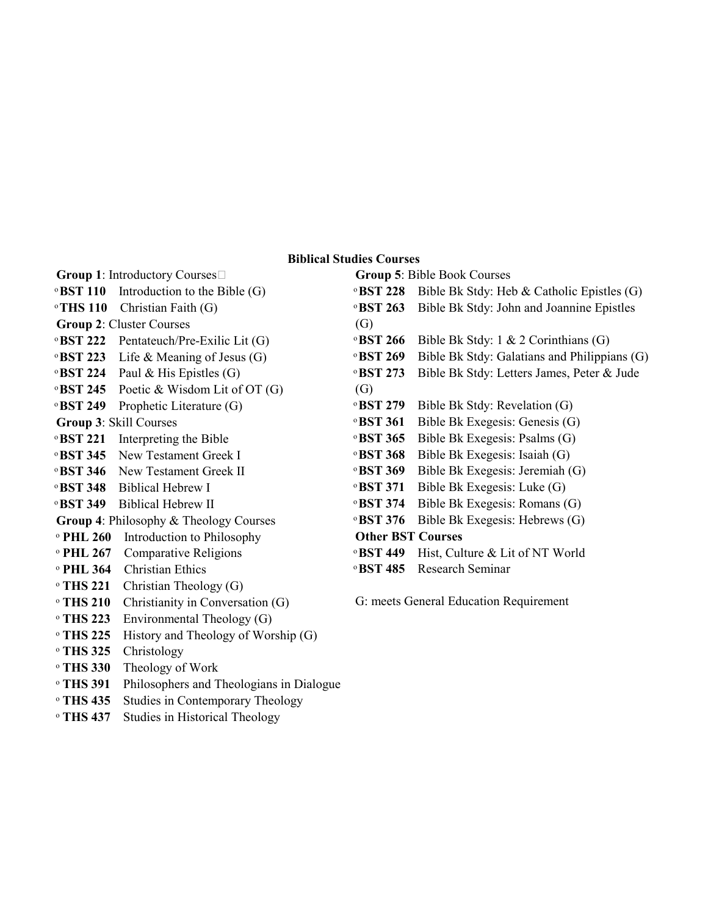### **Biblical Studies Courses**

**Group 1**: Introductory Courses ͦ **BST 110** Introduction to the Bible (G)

ͦ **THS 110** Christian Faith (G)

- **Group 2**: Cluster Courses
- ͦ **BST 222** Pentateuch/Pre-Exilic Lit (G)
- ͦ **BST 223** Life & Meaning of Jesus (G)
- ͦ **BST 224** Paul & His Epistles (G)
- ͦ **BST 245** Poetic & Wisdom Lit of OT (G)
- ͦ **BST 249** Prophetic Literature (G)
- **Group 3**: Skill Courses
- ͦ **BST 221** Interpreting the Bible
- ͦ **BST 345** New Testament Greek I
- ͦ **BST 346** New Testament Greek II
- ͦ **BST 348** Biblical Hebrew I
- ͦ **BST 349** Biblical Hebrew II
- **Group 4**: Philosophy & Theology Courses
- ͦ **PHL 260** Introduction to Philosophy
- ͦ **PHL 267** Comparative Religions
- ͦ **PHL 364** Christian Ethics
- ͦ **THS 221** Christian Theology (G)
- ͦ **THS 210** Christianity in Conversation (G)
- ͦ **THS 223** Environmental Theology (G)
- ͦ **THS 225** History and Theology of Worship (G)
- ͦ **THS 325** Christology
- ͦ **THS 330** Theology of Work
- ͦ **THS 391** Philosophers and Theologians in Dialogue
- ͦ **THS 435** Studies in Contemporary Theology
- ͦ **THS 437** Studies in Historical Theology

**Group 5**: Bible Book Courses ͦ **BST 228** Bible Bk Stdy: Heb & Catholic Epistles (G) ͦ **BST 263** Bible Bk Stdy: John and Joannine Epistles (G) ͦ **BST 266** Bible Bk Stdy: 1 & 2 Corinthians (G) ͦ **BST 269** Bible Bk Stdy: Galatians and Philippians (G) ͦ **BST 273** Bible Bk Stdy: Letters James, Peter & Jude (G) ͦ **BST 279** Bible Bk Stdy: Revelation (G) ͦ **BST 361** Bible Bk Exegesis: Genesis (G) ͦ **BST 365** Bible Bk Exegesis: Psalms (G) ͦ **BST 368** Bible Bk Exegesis: Isaiah (G) ͦ **BST 369** Bible Bk Exegesis: Jeremiah (G) ͦ **BST 371** Bible Bk Exegesis: Luke (G) ͦ **BST 374** Bible Bk Exegesis: Romans (G) ͦ **BST 376** Bible Bk Exegesis: Hebrews (G) **Other BST Courses** ͦ **BST 449** Hist, Culture & Lit of NT World ͦ **BST 485** Research Seminar

G: meets General Education Requirement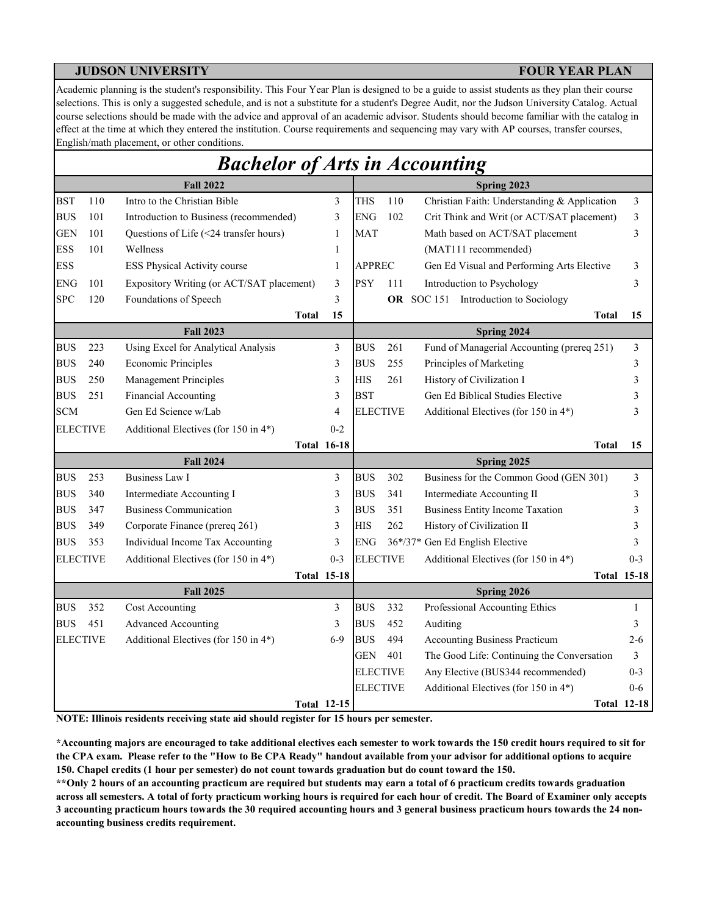Academic planning is the student's responsibility. This Four Year Plan is designed to be a guide to assist students as they plan their course selections. This is only a suggested schedule, and is not a substitute for a student's Degree Audit, nor the Judson University Catalog. Actual course selections should be made with the advice and approval of an academic advisor. Students should become familiar with the catalog in effect at the time at which they entered the institution. Course requirements and sequencing may vary with AP courses, transfer courses, English/math placement, or other conditions.

|                 |     | <b>Bachelor of Arts in Accounting</b>     |                    |                 |     |                                              |                    |
|-----------------|-----|-------------------------------------------|--------------------|-----------------|-----|----------------------------------------------|--------------------|
|                 |     | <b>Fall 2022</b>                          |                    |                 |     | Spring 2023                                  |                    |
| <b>BST</b>      | 110 | Intro to the Christian Bible              | 3                  | <b>THS</b>      | 110 | Christian Faith: Understanding & Application | 3                  |
| <b>BUS</b>      | 101 | Introduction to Business (recommended)    | 3                  | <b>ENG</b>      | 102 | Crit Think and Writ (or ACT/SAT placement)   | 3                  |
| <b>GEN</b>      | 101 | Questions of Life (<24 transfer hours)    | $\mathbf{1}$       | <b>MAT</b>      |     | Math based on ACT/SAT placement              | 3                  |
| <b>ESS</b>      | 101 | Wellness                                  | 1                  |                 |     | (MAT111 recommended)                         |                    |
| <b>ESS</b>      |     | ESS Physical Activity course              | 1                  | <b>APPREC</b>   |     | Gen Ed Visual and Performing Arts Elective   | 3                  |
| <b>ENG</b>      | 101 | Expository Writing (or ACT/SAT placement) | 3                  | <b>PSY</b>      | 111 | Introduction to Psychology                   | 3                  |
| <b>SPC</b>      | 120 | Foundations of Speech                     | 3                  |                 |     | OR SOC 151 Introduction to Sociology         |                    |
|                 |     | <b>Total</b>                              | 15                 |                 |     | Total                                        | 15                 |
|                 |     | <b>Fall 2023</b>                          |                    |                 |     | Spring 2024                                  |                    |
| <b>BUS</b>      | 223 | Using Excel for Analytical Analysis       | 3                  | <b>BUS</b>      | 261 | Fund of Managerial Accounting (prereq 251)   | 3                  |
| <b>BUS</b>      | 240 | <b>Economic Principles</b>                | 3                  | <b>BUS</b>      | 255 | Principles of Marketing                      | 3                  |
| <b>BUS</b>      | 250 | <b>Management Principles</b>              | 3                  | <b>HIS</b>      | 261 | History of Civilization I                    | 3                  |
| <b>BUS</b>      | 251 | Financial Accounting                      | 3                  | <b>BST</b>      |     | Gen Ed Biblical Studies Elective             | 3                  |
| <b>SCM</b>      |     | Gen Ed Science w/Lab                      | 4                  | <b>ELECTIVE</b> |     | Additional Electives (for 150 in 4*)         | 3                  |
| <b>ELECTIVE</b> |     | Additional Electives (for 150 in 4*)      | $0 - 2$            |                 |     |                                              |                    |
|                 |     |                                           | <b>Total 16-18</b> |                 |     | Total                                        | 15                 |
|                 |     | <b>Fall 2024</b>                          |                    |                 |     | Spring 2025                                  |                    |
| <b>BUS</b>      | 253 | <b>Business Law I</b>                     | 3                  | <b>BUS</b>      | 302 | Business for the Common Good (GEN 301)       | 3                  |
| <b>BUS</b>      | 340 | Intermediate Accounting I                 | 3                  | <b>BUS</b>      | 341 | Intermediate Accounting II                   | 3                  |
| <b>BUS</b>      | 347 | <b>Business Communication</b>             | 3                  | <b>BUS</b>      | 351 | <b>Business Entity Income Taxation</b>       | 3                  |
| <b>BUS</b>      | 349 | Corporate Finance (prereq 261)            | 3                  | HIS             | 262 | History of Civilization II                   | 3                  |
| <b>BUS</b>      | 353 | Individual Income Tax Accounting          | 3                  | ENG             |     | 36*/37* Gen Ed English Elective              | 3                  |
| <b>ELECTIVE</b> |     | Additional Electives (for 150 in 4*)      | $0 - 3$            | <b>ELECTIVE</b> |     | Additional Electives (for 150 in 4*)         | $0 - 3$            |
|                 |     |                                           | <b>Total 15-18</b> |                 |     |                                              | <b>Total 15-18</b> |
|                 |     | <b>Fall 2025</b>                          |                    |                 |     | Spring 2026                                  |                    |
| <b>BUS</b>      | 352 | Cost Accounting                           | 3                  | <b>BUS</b>      | 332 | Professional Accounting Ethics               | 1                  |
| <b>BUS</b>      | 451 | <b>Advanced Accounting</b>                | 3                  | BUS             | 452 | Auditing                                     | 3                  |
| <b>ELECTIVE</b> |     | Additional Electives (for 150 in 4*)      | $6-9$              | <b>BUS</b>      | 494 | <b>Accounting Business Practicum</b>         | $2 - 6$            |
|                 |     |                                           |                    | GEN             | 401 | The Good Life: Continuing the Conversation   | 3                  |
|                 |     |                                           |                    | <b>ELECTIVE</b> |     | Any Elective (BUS344 recommended)            | $0 - 3$            |
|                 |     |                                           |                    | <b>ELECTIVE</b> |     | Additional Electives (for 150 in 4*)         | $0 - 6$            |
|                 |     |                                           | <b>Total 12-15</b> |                 |     |                                              | <b>Total 12-18</b> |

**NOTE: Illinois residents receiving state aid should register for 15 hours per semester.**

**\*Accounting majors are encouraged to take additional electives each semester to work towards the 150 credit hours required to sit for the CPA exam. Please refer to the "How to Be CPA Ready" handout available from your advisor for additional options to acquire 150. Chapel credits (1 hour per semester) do not count towards graduation but do count toward the 150.**

**\*\*Only 2 hours of an accounting practicum are required but students may earn a total of 6 practicum credits towards graduation across all semesters. A total of forty practicum working hours is required for each hour of credit. The Board of Examiner only accepts 3 accounting practicum hours towards the 30 required accounting hours and 3 general business practicum hours towards the 24 nonaccounting business credits requirement.**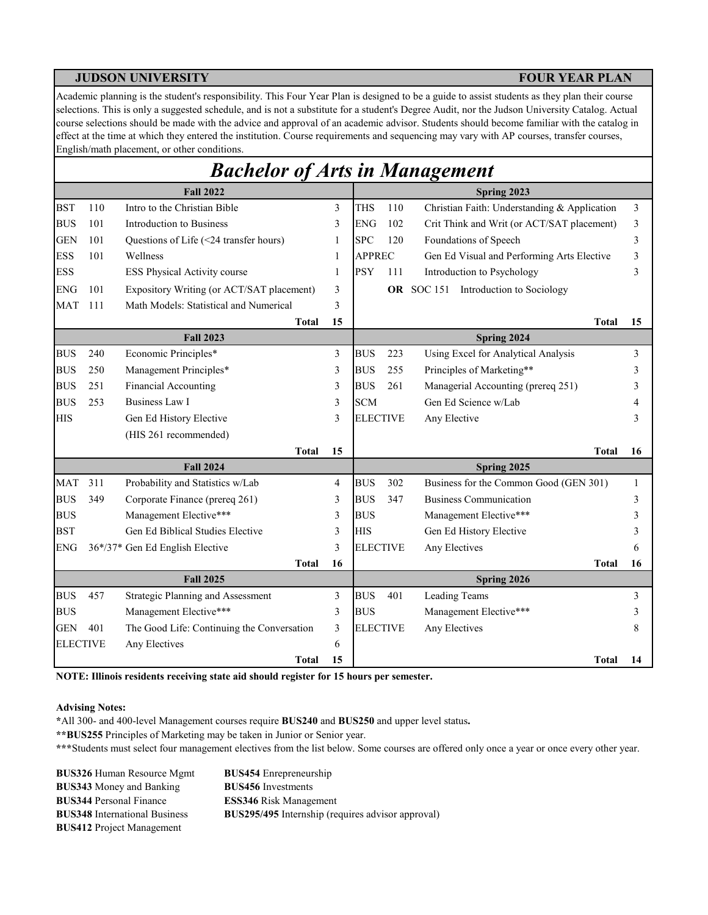Academic planning is the student's responsibility. This Four Year Plan is designed to be a guide to assist students as they plan their course selections. This is only a suggested schedule, and is not a substitute for a student's Degree Audit, nor the Judson University Catalog. Actual course selections should be made with the advice and approval of an academic advisor. Students should become familiar with the catalog in effect at the time at which they entered the institution. Course requirements and sequencing may vary with AP courses, transfer courses, English/math placement, or other conditions.

|                 |     | <b>Bachelor of Arts in Management</b>      |              |                 |     |                                              |                |
|-----------------|-----|--------------------------------------------|--------------|-----------------|-----|----------------------------------------------|----------------|
|                 |     | <b>Fall 2022</b>                           |              |                 |     | Spring 2023                                  |                |
| <b>BST</b>      | 110 | Intro to the Christian Bible               | 3            | <b>THS</b>      | 110 | Christian Faith: Understanding & Application | $\overline{3}$ |
| <b>BUS</b>      | 101 | Introduction to Business                   | 3            | <b>ENG</b>      | 102 | Crit Think and Writ (or ACT/SAT placement)   | 3              |
| <b>GEN</b>      | 101 | Questions of Life (<24 transfer hours)     | $\mathbf{1}$ | <b>SPC</b>      | 120 | Foundations of Speech                        | 3              |
| <b>ESS</b>      | 101 | Wellness                                   | 1            | <b>APPREC</b>   |     | Gen Ed Visual and Performing Arts Elective   | 3              |
| <b>ESS</b>      |     | ESS Physical Activity course               | 1            | <b>PSY</b>      | 111 | Introduction to Psychology                   | 3              |
| ENG             | 101 | Expository Writing (or ACT/SAT placement)  | 3            |                 |     | OR SOC 151 Introduction to Sociology         |                |
| <b>MAT</b>      | 111 | Math Models: Statistical and Numerical     | 3            |                 |     |                                              |                |
|                 |     | Total                                      | 15           |                 |     | <b>Total</b>                                 | 15             |
|                 |     | <b>Fall 2023</b>                           |              |                 |     | Spring 2024                                  |                |
| <b>BUS</b>      | 240 | Economic Principles*                       | 3            | <b>BUS</b>      | 223 | Using Excel for Analytical Analysis          | 3              |
| <b>BUS</b>      | 250 | Management Principles*                     | 3            | <b>BUS</b>      | 255 | Principles of Marketing**                    | 3              |
| <b>BUS</b>      | 251 | Financial Accounting                       | 3            | <b>BUS</b>      | 261 | Managerial Accounting (prereq 251)           | 3              |
| <b>BUS</b>      | 253 | <b>Business Law I</b>                      | 3            | <b>SCM</b>      |     | Gen Ed Science w/Lab                         | 4              |
| <b>HIS</b>      |     | Gen Ed History Elective                    | 3            | <b>ELECTIVE</b> |     | Any Elective                                 | 3              |
|                 |     | (HIS 261 recommended)                      |              |                 |     |                                              |                |
|                 |     | Total                                      | 15           |                 |     | <b>Total</b>                                 | 16             |
|                 |     | <b>Fall 2024</b>                           |              |                 |     | Spring 2025                                  |                |
| <b>MAT</b>      | 311 | Probability and Statistics w/Lab           | 4            | <b>BUS</b>      | 302 | Business for the Common Good (GEN 301)       | 1              |
| <b>BUS</b>      | 349 | Corporate Finance (prereq 261)             | 3            | <b>BUS</b>      | 347 | Business Communication                       | 3              |
| <b>BUS</b>      |     | Management Elective***                     | 3            | <b>BUS</b>      |     | Management Elective***                       | 3              |
| <b>BST</b>      |     | Gen Ed Biblical Studies Elective           | 3            | <b>HIS</b>      |     | Gen Ed History Elective                      | 3              |
| <b>ENG</b>      |     | 36*/37* Gen Ed English Elective            | 3            | <b>ELECTIVE</b> |     | Any Electives                                | 6              |
|                 |     | Total                                      | 16           |                 |     | Total                                        | 16             |
|                 |     | <b>Fall 2025</b>                           |              |                 |     | Spring 2026                                  |                |
| <b>BUS</b>      | 457 | Strategic Planning and Assessment          | 3            | <b>BUS</b>      | 401 | Leading Teams                                | 3              |
| <b>BUS</b>      |     | Management Elective***                     | 3            | <b>BUS</b>      |     | Management Elective***                       | 3              |
| <b>GEN</b>      | 401 | The Good Life: Continuing the Conversation | 3            | <b>ELECTIVE</b> |     | Any Electives                                | 8              |
| <b>ELECTIVE</b> |     | Any Electives                              | 6            |                 |     |                                              |                |
|                 |     | Total                                      | 15           |                 |     | <b>Total</b>                                 | 14             |

**NOTE: Illinois residents receiving state aid should register for 15 hours per semester.**

### **Advising Notes:**

**\***All 300- and 400-level Management courses require **BUS240** and **BUS250** and upper level status**.**

**\*\*BUS255** Principles of Marketing may be taken in Junior or Senior year.

**\*\*\***Students must select four management electives from the list below. Some courses are offered only once a year or once every other year.

| <b>BUS326 Human Resource Mgmt</b>    | <b>BUS454</b> Enrepreneurship                            |
|--------------------------------------|----------------------------------------------------------|
| <b>BUS343</b> Money and Banking      | <b>BUS456</b> Investments                                |
| <b>BUS344 Personal Finance</b>       | <b>ESS346</b> Risk Management                            |
| <b>BUS348</b> International Business | <b>BUS295/495</b> Internship (requires advisor approval) |
| <b>BUS412</b> Project Management     |                                                          |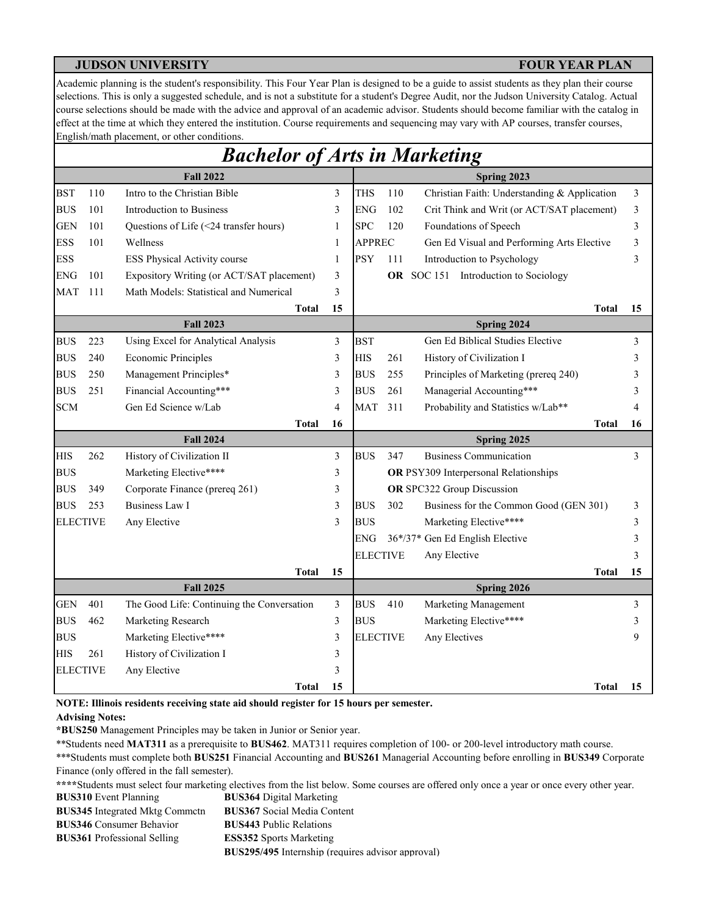Academic planning is the student's responsibility. This Four Year Plan is designed to be a guide to assist students as they plan their course selections. This is only a suggested schedule, and is not a substitute for a student's Degree Audit, nor the Judson University Catalog. Actual course selections should be made with the advice and approval of an academic advisor. Students should become familiar with the catalog in effect at the time at which they entered the institution. Course requirements and sequencing may vary with AP courses, transfer courses, English/math placement, or other conditions.

|                 |     | <b>Bachelor of Arts in Marketing</b>       |    |                 |     |                                                |    |
|-----------------|-----|--------------------------------------------|----|-----------------|-----|------------------------------------------------|----|
|                 |     | <b>Fall 2022</b>                           |    |                 |     | Spring 2023                                    |    |
| <b>BST</b>      | 110 | Intro to the Christian Bible               | 3  | <b>THS</b>      | 110 | Christian Faith: Understanding & Application   | 3  |
| <b>BUS</b>      | 101 | Introduction to Business                   | 3  | <b>ENG</b>      | 102 | Crit Think and Writ (or ACT/SAT placement)     | 3  |
| <b>GEN</b>      | 101 | Questions of Life (<24 transfer hours)     | 1  | <b>SPC</b>      | 120 | Foundations of Speech                          | 3  |
| <b>ESS</b>      | 101 | Wellness                                   | 1  | <b>APPREC</b>   |     | Gen Ed Visual and Performing Arts Elective     | 3  |
| <b>ESS</b>      |     | ESS Physical Activity course               | 1  | <b>PSY</b>      | 111 | Introduction to Psychology                     | 3  |
| <b>ENG</b>      | 101 | Expository Writing (or ACT/SAT placement)  | 3  |                 |     | <b>OR</b> SOC 151<br>Introduction to Sociology |    |
| <b>MAT</b>      | 111 | Math Models: Statistical and Numerical     | 3  |                 |     |                                                |    |
|                 |     | <b>Total</b>                               | 15 |                 |     | Total                                          | 15 |
|                 |     | <b>Fall 2023</b>                           |    |                 |     | Spring 2024                                    |    |
| <b>BUS</b>      | 223 | Using Excel for Analytical Analysis        | 3  | <b>BST</b>      |     | Gen Ed Biblical Studies Elective               | 3  |
| <b>BUS</b>      | 240 | <b>Economic Principles</b>                 | 3  | <b>HIS</b>      | 261 | History of Civilization I                      | 3  |
| <b>BUS</b>      | 250 | Management Principles*                     | 3  | <b>BUS</b>      | 255 | Principles of Marketing (prereq 240)           | 3  |
| <b>BUS</b>      | 251 | Financial Accounting***                    | 3  | <b>BUS</b>      | 261 | Managerial Accounting***                       | 3  |
| <b>SCM</b>      |     | Gen Ed Science w/Lab                       | 4  | <b>MAT</b>      | 311 | Probability and Statistics w/Lab**             | 4  |
|                 |     | <b>Total</b>                               | 16 |                 |     | <b>Total</b>                                   | 16 |
|                 |     | <b>Fall 2024</b>                           |    |                 |     | Spring 2025                                    |    |
| <b>HIS</b>      | 262 | History of Civilization II                 | 3  | <b>BUS</b>      | 347 | <b>Business Communication</b>                  | 3  |
| <b>BUS</b>      |     | Marketing Elective****                     | 3  |                 |     | OR PSY309 Interpersonal Relationships          |    |
| <b>BUS</b>      | 349 | Corporate Finance (prereq 261)             | 3  |                 |     | OR SPC322 Group Discussion                     |    |
| <b>BUS</b>      | 253 | <b>Business Law I</b>                      | 3  | <b>BUS</b>      | 302 | Business for the Common Good (GEN 301)         | 3  |
| <b>ELECTIVE</b> |     | Any Elective                               | 3  | <b>BUS</b>      |     | Marketing Elective****                         | 3  |
|                 |     |                                            |    | <b>ENG</b>      |     | 36*/37* Gen Ed English Elective                | 3  |
|                 |     |                                            |    | <b>ELECTIVE</b> |     | Any Elective                                   | 3  |
|                 |     | <b>Total</b>                               | 15 |                 |     | Total                                          | 15 |
|                 |     | <b>Fall 2025</b>                           |    |                 |     | Spring 2026                                    |    |
| <b>GEN</b>      | 401 | The Good Life: Continuing the Conversation | 3  | <b>BUS</b>      | 410 | Marketing Management                           | 3  |
| <b>BUS</b>      | 462 | Marketing Research                         | 3  | <b>BUS</b>      |     | Marketing Elective****                         | 3  |
| <b>BUS</b>      |     | Marketing Elective****                     | 3  | <b>ELECTIVE</b> |     | Any Electives                                  | 9  |
| <b>HIS</b>      | 261 | History of Civilization I                  | 3  |                 |     |                                                |    |
| <b>ELECTIVE</b> |     | Any Elective                               | 3  |                 |     |                                                |    |
|                 |     | Total                                      | 15 |                 |     | Total                                          | 15 |

**NOTE: Illinois residents receiving state aid should register for 15 hours per semester.**

### **Advising Notes:**

**\*BUS250** Management Principles may be taken in Junior or Senior year.

\*\*Students need **MAT311** as a prerequisite to **BUS462**. MAT311 requires completion of 100- or 200-level introductory math course.

\*\*\*Students must complete both **BUS251** Financial Accounting and **BUS261** Managerial Accounting before enrolling in **BUS349** Corporate Finance (only offered in the fall semester).

**BUS364** Digital Marketing **\*\*\*\***Students must select four marketing electives from the list below. Some courses are offered only once a year or once every other year. **BUS310** Event Planning

**BUS367** Social Media Content **BUS443** Public Relations **ESS352** Sports Marketing **BUS295/495** Internship (requires advisor approval) **BUS345** Integrated Mktg Commctn **BUS346** Consumer Behavior **BUS361** Professional Selling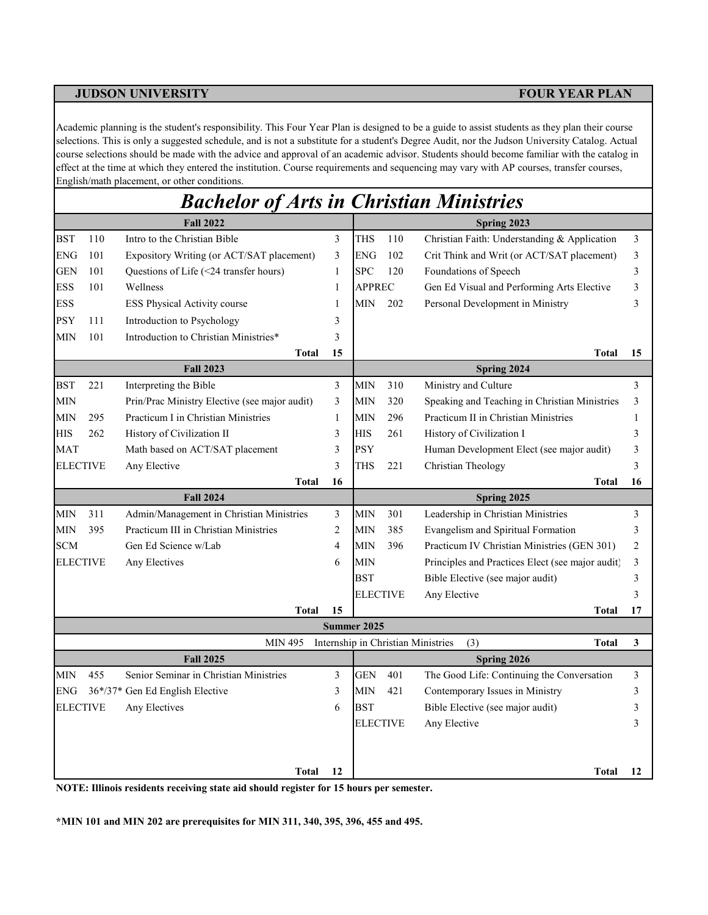Academic planning is the student's responsibility. This Four Year Plan is designed to be a guide to assist students as they plan their course selections. This is only a suggested schedule, and is not a substitute for a student's Degree Audit, nor the Judson University Catalog. Actual course selections should be made with the advice and approval of an academic advisor. Students should become familiar with the catalog in effect at the time at which they entered the institution. Course requirements and sequencing may vary with AP courses, transfer courses, English/math placement, or other conditions.

|                 |     | <b>Bachelor of Arts in Christian Ministries</b> |                |                 |     |                                                           |                |
|-----------------|-----|-------------------------------------------------|----------------|-----------------|-----|-----------------------------------------------------------|----------------|
|                 |     | <b>Fall 2022</b>                                |                |                 |     | Spring 2023                                               |                |
| <b>BST</b>      | 110 | Intro to the Christian Bible                    | 3              | THS             | 110 | Christian Faith: Understanding & Application              | 3              |
| <b>ENG</b>      | 101 | Expository Writing (or ACT/SAT placement)       | 3              | <b>ENG</b>      | 102 | Crit Think and Writ (or ACT/SAT placement)                | 3              |
| <b>GEN</b>      | 101 | Questions of Life (<24 transfer hours)          | 1              | <b>SPC</b>      | 120 | Foundations of Speech                                     | 3              |
| <b>ESS</b>      | 101 | Wellness                                        | 1              | <b>APPREC</b>   |     | Gen Ed Visual and Performing Arts Elective                | 3              |
| <b>ESS</b>      |     | <b>ESS Physical Activity course</b>             | 1              | <b>MIN</b>      | 202 | Personal Development in Ministry                          | 3              |
| <b>PSY</b>      | 111 | Introduction to Psychology                      | 3              |                 |     |                                                           |                |
| <b>MIN</b>      | 101 | Introduction to Christian Ministries*           | 3              |                 |     |                                                           |                |
|                 |     | <b>Total</b>                                    | 15             |                 |     | <b>Total</b>                                              | 15             |
|                 |     | <b>Fall 2023</b>                                |                |                 |     | Spring 2024                                               |                |
| <b>BST</b>      | 221 | Interpreting the Bible                          | 3              | <b>MIN</b>      | 310 | Ministry and Culture                                      | 3              |
| <b>MIN</b>      |     | Prin/Prac Ministry Elective (see major audit)   | 3              | <b>MIN</b>      | 320 | Speaking and Teaching in Christian Ministries             | 3              |
| <b>MIN</b>      | 295 | Practicum I in Christian Ministries             | $\mathbf{1}$   | <b>MIN</b>      | 296 | Practicum II in Christian Ministries                      | $\mathbf{1}$   |
| <b>HIS</b>      | 262 | History of Civilization II                      | 3              | <b>HIS</b>      | 261 | History of Civilization I                                 | 3              |
| <b>MAT</b>      |     | Math based on ACT/SAT placement                 | 3              | <b>PSY</b>      |     | Human Development Elect (see major audit)                 | 3              |
| <b>ELECTIVE</b> |     | Any Elective                                    | 3              | THS             | 221 | Christian Theology                                        | 3              |
|                 |     | <b>Total</b>                                    | 16             |                 |     | <b>Total</b>                                              | 16             |
|                 |     | <b>Fall 2024</b>                                |                |                 |     | Spring 2025                                               |                |
| <b>MIN</b>      | 311 | Admin/Management in Christian Ministries        | 3              | <b>MIN</b>      | 301 | Leadership in Christian Ministries                        | 3              |
| <b>MIN</b>      | 395 | Practicum III in Christian Ministries           | $\overline{c}$ | <b>MIN</b>      | 385 | Evangelism and Spiritual Formation                        | 3              |
| <b>SCM</b>      |     | Gen Ed Science w/Lab                            | $\overline{4}$ | <b>MIN</b>      | 396 | Practicum IV Christian Ministries (GEN 301)               | $\overline{2}$ |
| <b>ELECTIVE</b> |     | Any Electives                                   | 6              | <b>MIN</b>      |     | Principles and Practices Elect (see major audit)          | 3              |
|                 |     |                                                 |                | <b>BST</b>      |     | Bible Elective (see major audit)                          | 3              |
|                 |     |                                                 |                | <b>ELECTIVE</b> |     | Any Elective                                              | 3              |
|                 |     | <b>Total</b>                                    | 15             |                 |     | Total                                                     | 17             |
|                 |     |                                                 |                | Summer 2025     |     |                                                           |                |
|                 |     | <b>MIN 495</b>                                  |                |                 |     | Internship in Christian Ministries<br>(3)<br><b>Total</b> | 3              |
|                 |     | <b>Fall 2025</b>                                |                |                 |     | Spring 2026                                               |                |
| <b>MIN</b>      | 455 | Senior Seminar in Christian Ministries          | 3              | <b>GEN</b>      | 401 | The Good Life: Continuing the Conversation                | 3              |
| <b>ENG</b>      |     | 36*/37* Gen Ed English Elective                 | 3              | <b>MIN</b>      | 421 | Contemporary Issues in Ministry                           | 3              |
| <b>ELECTIVE</b> |     | Any Electives                                   | 6              | <b>BST</b>      |     | Bible Elective (see major audit)                          | 3              |
|                 |     |                                                 |                | <b>ELECTIVE</b> |     | Any Elective                                              | 3              |
|                 |     |                                                 |                |                 |     |                                                           |                |
|                 |     |                                                 |                |                 |     |                                                           |                |
|                 |     | <b>Total</b>                                    | 12             |                 |     | Total                                                     | 12             |

**NOTE: Illinois residents receiving state aid should register for 15 hours per semester.**

**\*MIN 101 and MIN 202 are prerequisites for MIN 311, 340, 395, 396, 455 and 495.**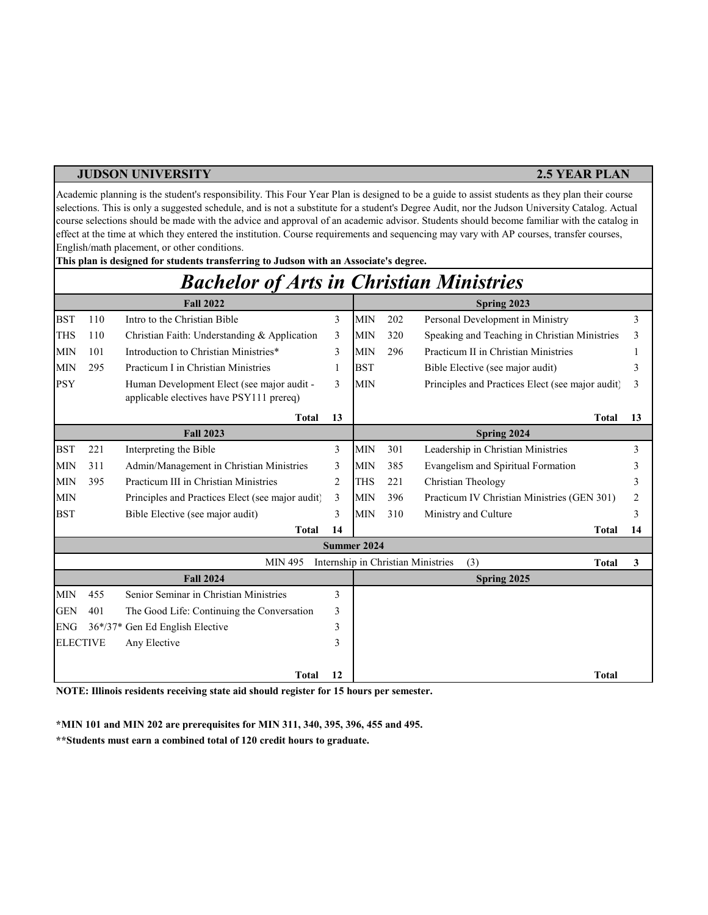### **JUDSON UNIVERSITY 2.5 YEAR PLAN**

Academic planning is the student's responsibility. This Four Year Plan is designed to be a guide to assist students as they plan their course selections. This is only a suggested schedule, and is not a substitute for a student's Degree Audit, nor the Judson University Catalog. Actual course selections should be made with the advice and approval of an academic advisor. Students should become familiar with the catalog in effect at the time at which they entered the institution. Course requirements and sequencing may vary with AP courses, transfer courses, English/math placement, or other conditions.

|                 |     | <b>Bachelor of Arts in Christian Ministries</b>                                        |    |             |     |                                                           |    |
|-----------------|-----|----------------------------------------------------------------------------------------|----|-------------|-----|-----------------------------------------------------------|----|
|                 |     | <b>Fall 2022</b>                                                                       |    |             |     | Spring 2023                                               |    |
| <b>BST</b>      | 110 | Intro to the Christian Bible                                                           | 3  | <b>MIN</b>  | 202 | Personal Development in Ministry                          | 3  |
| <b>THS</b>      | 110 | Christian Faith: Understanding & Application                                           | 3  | <b>MIN</b>  | 320 | Speaking and Teaching in Christian Ministries             | 3  |
| <b>MIN</b>      | 101 | Introduction to Christian Ministries*                                                  | 3  | <b>MIN</b>  | 296 | Practicum II in Christian Ministries                      |    |
| <b>MIN</b>      | 295 | Practicum I in Christian Ministries                                                    |    | <b>BST</b>  |     | Bible Elective (see major audit)                          | 3  |
| <b>PSY</b>      |     | Human Development Elect (see major audit -<br>applicable electives have PSY111 prereq) | 3  | <b>MIN</b>  |     | Principles and Practices Elect (see major audit)          | 3  |
|                 |     | <b>Total</b>                                                                           | 13 |             |     | <b>Total</b>                                              | 13 |
|                 |     | <b>Fall 2023</b>                                                                       |    |             |     | Spring 2024                                               |    |
| <b>BST</b>      | 221 | Interpreting the Bible                                                                 | 3  | <b>MIN</b>  | 301 | Leadership in Christian Ministries                        | 3  |
| <b>MIN</b>      | 311 | Admin/Management in Christian Ministries                                               | 3  | <b>MIN</b>  | 385 | Evangelism and Spiritual Formation                        | 3  |
| <b>MIN</b>      | 395 | Practicum III in Christian Ministries                                                  | 2  | <b>THS</b>  | 221 | Christian Theology                                        | 3  |
| <b>MIN</b>      |     | Principles and Practices Elect (see major audit)                                       | 3  | <b>MIN</b>  | 396 | Practicum IV Christian Ministries (GEN 301)               | 2  |
| <b>BST</b>      |     | Bible Elective (see major audit)                                                       | 3  | <b>MIN</b>  | 310 | Ministry and Culture                                      | 3  |
|                 |     | <b>Total</b>                                                                           | 14 |             |     | <b>Total</b>                                              | 14 |
|                 |     |                                                                                        |    | Summer 2024 |     |                                                           |    |
|                 |     | <b>MIN 495</b>                                                                         |    |             |     | Internship in Christian Ministries<br>(3)<br><b>Total</b> | 3  |
|                 |     | <b>Fall 2024</b>                                                                       |    |             |     | Spring 2025                                               |    |
| <b>MIN</b>      | 455 | Senior Seminar in Christian Ministries                                                 | 3  |             |     |                                                           |    |
| <b>GEN</b>      | 401 | The Good Life: Continuing the Conversation                                             | 3  |             |     |                                                           |    |
| <b>ENG</b>      |     | 36*/37* Gen Ed English Elective                                                        | 3  |             |     |                                                           |    |
| <b>ELECTIVE</b> |     | Any Elective                                                                           | 3  |             |     |                                                           |    |
|                 |     | <b>Total</b>                                                                           | 12 |             |     | <b>Total</b>                                              |    |

**This plan is designed for students transferring to Judson with an Associate's degree.**

**NOTE: Illinois residents receiving state aid should register for 15 hours per semester.**

**\*MIN 101 and MIN 202 are prerequisites for MIN 311, 340, 395, 396, 455 and 495. \*\*Students must earn a combined total of 120 credit hours to graduate.**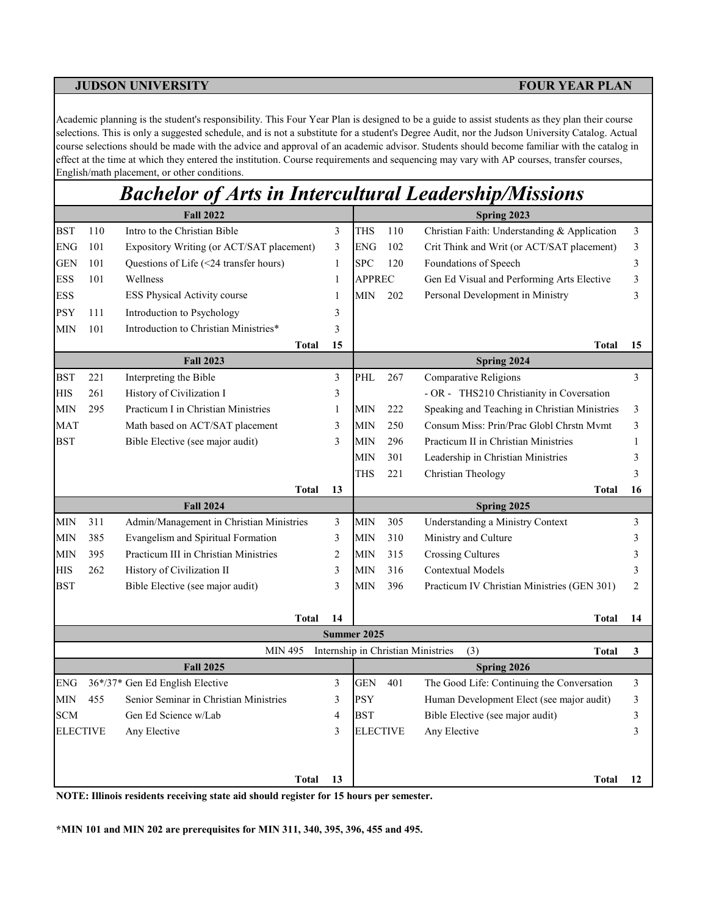Academic planning is the student's responsibility. This Four Year Plan is designed to be a guide to assist students as they plan their course selections. This is only a suggested schedule, and is not a substitute for a student's Degree Audit, nor the Judson University Catalog. Actual course selections should be made with the advice and approval of an academic advisor. Students should become familiar with the catalog in effect at the time at which they entered the institution. Course requirements and sequencing may vary with AP courses, transfer courses, English/math placement, or other conditions.

# *Bachelor of Arts in Intercultural Leadership/Missions*

|                 |     | <b>Fall 2022</b>                          |              |                |                 |     | Spring 2023                                               |                |
|-----------------|-----|-------------------------------------------|--------------|----------------|-----------------|-----|-----------------------------------------------------------|----------------|
| <b>BST</b>      | 110 | Intro to the Christian Bible              |              | 3              | THS             | 110 | Christian Faith: Understanding & Application              | 3              |
| <b>ENG</b>      | 101 | Expository Writing (or ACT/SAT placement) |              | 3              | <b>ENG</b>      | 102 | Crit Think and Writ (or ACT/SAT placement)                | 3              |
| GEN             | 101 | Questions of Life (<24 transfer hours)    |              | $\mathbf{1}$   | <b>SPC</b>      | 120 | Foundations of Speech                                     | 3              |
| ESS             | 101 | Wellness                                  |              | $\mathbf{1}$   | <b>APPREC</b>   |     | Gen Ed Visual and Performing Arts Elective                | 3              |
| <b>ESS</b>      |     | ESS Physical Activity course              |              | $\mathbf{1}$   | <b>MIN</b>      | 202 | Personal Development in Ministry                          | 3              |
| <b>PSY</b>      | 111 | Introduction to Psychology                |              | 3              |                 |     |                                                           |                |
| MIN             | 101 | Introduction to Christian Ministries*     |              | 3              |                 |     |                                                           |                |
|                 |     |                                           | <b>Total</b> | 15             |                 |     | Total                                                     | 15             |
|                 |     | <b>Fall 2023</b>                          |              |                |                 |     | Spring 2024                                               |                |
| <b>BST</b>      | 221 | Interpreting the Bible                    |              | $\mathfrak{Z}$ | PHL             | 267 | <b>Comparative Religions</b>                              | $\overline{3}$ |
| <b>HIS</b>      | 261 | History of Civilization I                 |              | 3              |                 |     | - OR - THS210 Christianity in Coversation                 |                |
| МIN             | 295 | Practicum I in Christian Ministries       |              | $\mathbf{1}$   | MIN             | 222 | Speaking and Teaching in Christian Ministries             | 3              |
| <b>MAT</b>      |     | Math based on ACT/SAT placement           |              | 3              | <b>MIN</b>      | 250 | Consum Miss: Prin/Prac Globl Chrstn Mymt                  | 3              |
| <b>BST</b>      |     | Bible Elective (see major audit)          |              | 3              | MIN             | 296 | Practicum II in Christian Ministries                      | 1              |
|                 |     |                                           |              |                | <b>MIN</b>      | 301 | Leadership in Christian Ministries                        | 3              |
|                 |     |                                           |              |                | THS             | 221 | Christian Theology                                        | 3              |
|                 |     |                                           | <b>Total</b> | 13             |                 |     | <b>Total</b>                                              | 16             |
|                 |     | <b>Fall 2024</b>                          |              |                |                 |     | Spring 2025                                               |                |
| МIN             | 311 | Admin/Management in Christian Ministries  |              | 3              | MIN             | 305 | Understanding a Ministry Context                          | 3              |
| MIN             | 385 | Evangelism and Spiritual Formation        |              | 3              | MIN             | 310 | Ministry and Culture                                      | 3              |
| MIN             | 395 | Practicum III in Christian Ministries     |              | $\overline{c}$ | <b>MIN</b>      | 315 | <b>Crossing Cultures</b>                                  | 3              |
| <b>HIS</b>      | 262 | History of Civilization II                |              | 3              | <b>MIN</b>      | 316 | Contextual Models                                         | 3              |
| <b>BST</b>      |     | Bible Elective (see major audit)          |              | 3              | <b>MIN</b>      | 396 | Practicum IV Christian Ministries (GEN 301)               | 2              |
|                 |     |                                           | <b>Total</b> | 14             |                 |     | <b>Total</b>                                              | 14             |
|                 |     |                                           |              |                | Summer 2025     |     |                                                           |                |
|                 |     | <b>MIN 495</b>                            |              |                |                 |     | Internship in Christian Ministries<br>(3)<br><b>Total</b> | 3              |
|                 |     | <b>Fall 2025</b>                          |              |                |                 |     | Spring 2026                                               |                |
| ${\rm ENG}$     |     | 36*/37* Gen Ed English Elective           |              | $\mathfrak{Z}$ | <b>GEN</b>      | 401 | The Good Life: Continuing the Conversation                | 3              |
| МIN             | 455 | Senior Seminar in Christian Ministries    |              | 3              | <b>PSY</b>      |     | Human Development Elect (see major audit)                 | 3              |
| <b>SCM</b>      |     | Gen Ed Science w/Lab                      |              | 4              | <b>BST</b>      |     | Bible Elective (see major audit)                          | 3              |
| <b>ELECTIVE</b> |     | Any Elective                              |              | 3              | <b>ELECTIVE</b> |     | Any Elective                                              | 3              |
|                 |     |                                           |              |                |                 |     |                                                           |                |
|                 |     |                                           | <b>Total</b> | 13             |                 |     | Total                                                     | 12             |

**NOTE: Illinois residents receiving state aid should register for 15 hours per semester.**

**\*MIN 101 and MIN 202 are prerequisites for MIN 311, 340, 395, 396, 455 and 495.**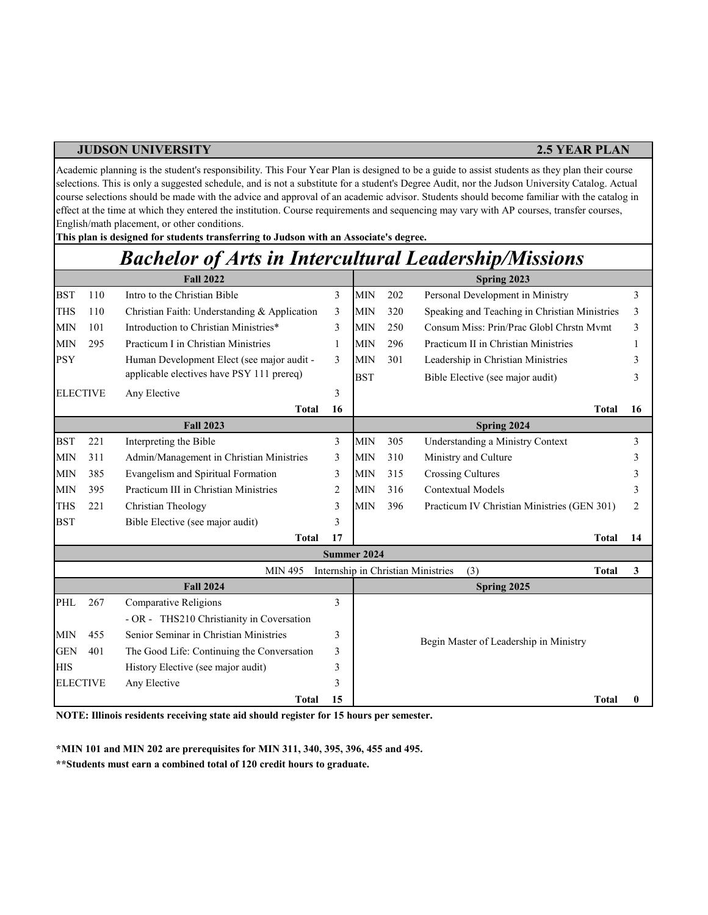### **JUDSON UNIVERSITY 2.5 YEAR PLAN**

Academic planning is the student's responsibility. This Four Year Plan is designed to be a guide to assist students as they plan their course selections. This is only a suggested schedule, and is not a substitute for a student's Degree Audit, nor the Judson University Catalog. Actual course selections should be made with the advice and approval of an academic advisor. Students should become familiar with the catalog in effect at the time at which they entered the institution. Course requirements and sequencing may vary with AP courses, transfer courses, English/math placement, or other conditions.

**This plan is designed for students transferring to Judson with an Associate's degree.**

## *Bachelor of Arts in Intercultural Leadership/Missions*

|                 |     | <b>Fall 2022</b>                             |                |             |     | Spring 2023                                               |    |
|-----------------|-----|----------------------------------------------|----------------|-------------|-----|-----------------------------------------------------------|----|
| <b>BST</b>      | 110 | Intro to the Christian Bible                 | 3              | <b>MIN</b>  | 202 | Personal Development in Ministry                          | 3  |
| <b>THS</b>      | 110 | Christian Faith: Understanding & Application | 3              | <b>MIN</b>  | 320 | Speaking and Teaching in Christian Ministries             | 3  |
| <b>MIN</b>      | 101 | Introduction to Christian Ministries*        | 3              | <b>MIN</b>  | 250 | Consum Miss: Prin/Prac Globl Chrstn Mymt                  | 3  |
| <b>MIN</b>      | 295 | Practicum I in Christian Ministries          | 1              | <b>MIN</b>  | 296 | Practicum II in Christian Ministries                      |    |
| <b>PSY</b>      |     | Human Development Elect (see major audit -   | 3              | <b>MIN</b>  | 301 | Leadership in Christian Ministries                        |    |
|                 |     | applicable electives have PSY 111 prereq)    |                | <b>BST</b>  |     | Bible Elective (see major audit)                          | 3  |
| <b>ELECTIVE</b> |     | Any Elective                                 | 3              |             |     |                                                           |    |
|                 |     | <b>Total</b>                                 | 16             |             |     | <b>Total</b>                                              | 16 |
|                 |     | <b>Fall 2023</b>                             |                |             |     | Spring 2024                                               |    |
| <b>BST</b>      | 221 | Interpreting the Bible                       | 3              | <b>MIN</b>  | 305 | Understanding a Ministry Context                          | 3  |
| <b>MIN</b>      | 311 | Admin/Management in Christian Ministries     | 3              | <b>MIN</b>  | 310 | Ministry and Culture                                      |    |
| <b>MIN</b>      | 385 | Evangelism and Spiritual Formation           | 3              | <b>MIN</b>  | 315 | <b>Crossing Cultures</b>                                  |    |
| <b>MIN</b>      | 395 | Practicum III in Christian Ministries        | $\overline{c}$ | <b>MIN</b>  | 316 | Contextual Models                                         | 3  |
| <b>THS</b>      | 221 | Christian Theology                           | 3              | <b>MIN</b>  | 396 | Practicum IV Christian Ministries (GEN 301)               | 2  |
| <b>BST</b>      |     | Bible Elective (see major audit)             | 3              |             |     |                                                           |    |
|                 |     | <b>Total</b>                                 | 17             |             |     | <b>Total</b>                                              | 14 |
|                 |     |                                              |                | Summer 2024 |     |                                                           |    |
|                 |     | <b>MIN 495</b>                               |                |             |     | Internship in Christian Ministries<br>(3)<br><b>Total</b> | 3  |
|                 |     | <b>Fall 2024</b>                             |                |             |     | Spring 2025                                               |    |
| PHL             | 267 | Comparative Religions                        | $\mathcal{E}$  |             |     |                                                           |    |
|                 |     | - OR - THS210 Christianity in Coversation    |                |             |     |                                                           |    |
| <b>MIN</b>      | 455 | Senior Seminar in Christian Ministries       | 3              |             |     | Begin Master of Leadership in Ministry                    |    |
| <b>GEN</b>      | 401 | The Good Life: Continuing the Conversation   | 3              |             |     |                                                           |    |
| <b>HIS</b>      |     | History Elective (see major audit)           | 3              |             |     |                                                           |    |
| <b>ELECTIVE</b> |     | Any Elective                                 | 3              |             |     |                                                           |    |
|                 |     | <b>Total</b>                                 | 15             |             |     | <b>Total</b>                                              |    |

**NOTE: Illinois residents receiving state aid should register for 15 hours per semester.**

**\*MIN 101 and MIN 202 are prerequisites for MIN 311, 340, 395, 396, 455 and 495.** 

**\*\*Students must earn a combined total of 120 credit hours to graduate.**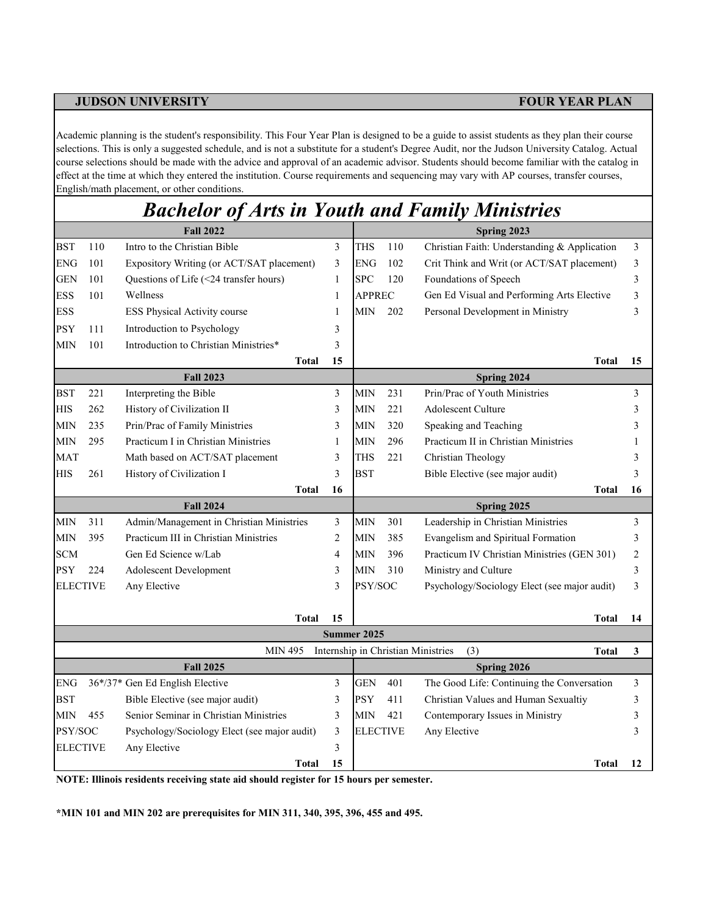Academic planning is the student's responsibility. This Four Year Plan is designed to be a guide to assist students as they plan their course selections. This is only a suggested schedule, and is not a substitute for a student's Degree Audit, nor the Judson University Catalog. Actual course selections should be made with the advice and approval of an academic advisor. Students should become familiar with the catalog in effect at the time at which they entered the institution. Course requirements and sequencing may vary with AP courses, transfer courses, English/math placement, or other conditions.

|                 |     | <b>Bachelor of Arts in Youth and Family Ministries</b> |                |                 |     |                                                           |                |
|-----------------|-----|--------------------------------------------------------|----------------|-----------------|-----|-----------------------------------------------------------|----------------|
|                 |     | <b>Fall 2022</b>                                       |                |                 |     | Spring 2023                                               |                |
| <b>BST</b>      | 110 | Intro to the Christian Bible                           | 3              | THS             | 110 | Christian Faith: Understanding & Application              | 3              |
| ${\rm ENG}$     | 101 | Expository Writing (or ACT/SAT placement)              | 3              | <b>ENG</b>      | 102 | Crit Think and Writ (or ACT/SAT placement)                | 3              |
| GEN             | 101 | Questions of Life (<24 transfer hours)                 | $\mathbf{1}$   | <b>SPC</b>      | 120 | Foundations of Speech                                     | 3              |
| ESS             | 101 | Wellness                                               | 1              | <b>APPREC</b>   |     | Gen Ed Visual and Performing Arts Elective                | 3              |
| <b>ESS</b>      |     | ESS Physical Activity course                           | 1              | MIN             | 202 | Personal Development in Ministry                          | 3              |
| <b>PSY</b>      | 111 | Introduction to Psychology                             | 3              |                 |     |                                                           |                |
| <b>MIN</b>      | 101 | Introduction to Christian Ministries*                  | 3              |                 |     |                                                           |                |
|                 |     | <b>Total</b>                                           | 15             |                 |     | Total                                                     | 15             |
|                 |     | <b>Fall 2023</b>                                       |                |                 |     | Spring 2024                                               |                |
| <b>BST</b>      | 221 | Interpreting the Bible                                 | 3              | <b>MIN</b>      | 231 | Prin/Prac of Youth Ministries                             | 3              |
| <b>HIS</b>      | 262 | History of Civilization II                             | 3              | <b>MIN</b>      | 221 | <b>Adolescent Culture</b>                                 | 3              |
| МIN             | 235 | Prin/Prac of Family Ministries                         | 3              | <b>MIN</b>      | 320 | Speaking and Teaching                                     | 3              |
| MIN             | 295 | Practicum I in Christian Ministries                    | $\mathbf{1}$   | <b>MIN</b>      | 296 | Practicum II in Christian Ministries                      | 1              |
| <b>MAT</b>      |     | Math based on ACT/SAT placement                        | 3              | THS             | 221 | Christian Theology                                        | 3              |
| HIS             | 261 | History of Civilization I                              | 3              | <b>BST</b>      |     | Bible Elective (see major audit)                          | 3              |
|                 |     | <b>Total</b>                                           | 16             |                 |     | <b>Total</b>                                              | 16             |
|                 |     | <b>Fall 2024</b>                                       |                |                 |     | Spring 2025                                               |                |
| MIN             | 311 | Admin/Management in Christian Ministries               | 3              | <b>MIN</b>      | 301 | Leadership in Christian Ministries                        | 3              |
| <b>MIN</b>      | 395 | Practicum III in Christian Ministries                  | 2              | <b>MIN</b>      | 385 | Evangelism and Spiritual Formation                        | 3              |
| <b>SCM</b>      |     | Gen Ed Science w/Lab                                   | $\overline{4}$ | <b>MIN</b>      | 396 | Practicum IV Christian Ministries (GEN 301)               | $\overline{2}$ |
| <b>PSY</b>      | 224 | Adolescent Development                                 | 3              | <b>MIN</b>      | 310 | Ministry and Culture                                      | 3              |
| <b>ELECTIVE</b> |     | Any Elective                                           | 3              | PSY/SOC         |     | Psychology/Sociology Elect (see major audit)              | 3              |
|                 |     | <b>Total</b>                                           | 15             |                 |     | <b>Total</b>                                              | 14             |
|                 |     |                                                        |                | Summer 2025     |     |                                                           |                |
|                 |     | <b>MIN 495</b>                                         |                |                 |     | Internship in Christian Ministries<br>(3)<br><b>Total</b> | 3              |
|                 |     | <b>Fall 2025</b>                                       |                |                 |     | Spring 2026                                               |                |
| <b>ENG</b>      |     | 36*/37* Gen Ed English Elective                        | 3              | GEN             | 401 | The Good Life: Continuing the Conversation                | 3              |
| <b>BST</b>      |     | Bible Elective (see major audit)                       | 3              | <b>PSY</b>      | 411 | Christian Values and Human Sexualtiy                      | 3              |
| MIN             | 455 | Senior Seminar in Christian Ministries                 | 3              | <b>MIN</b>      | 421 | Contemporary Issues in Ministry                           | 3              |
| PSY/SOC         |     | Psychology/Sociology Elect (see major audit)           | 3              | <b>ELECTIVE</b> |     | Any Elective                                              | 3              |
| <b>ELECTIVE</b> |     | Any Elective                                           | 3              |                 |     |                                                           |                |
|                 |     | <b>Total</b>                                           | 15             |                 |     | <b>Total</b>                                              | 12             |

**NOTE: Illinois residents receiving state aid should register for 15 hours per semester.**

**\*MIN 101 and MIN 202 are prerequisites for MIN 311, 340, 395, 396, 455 and 495.**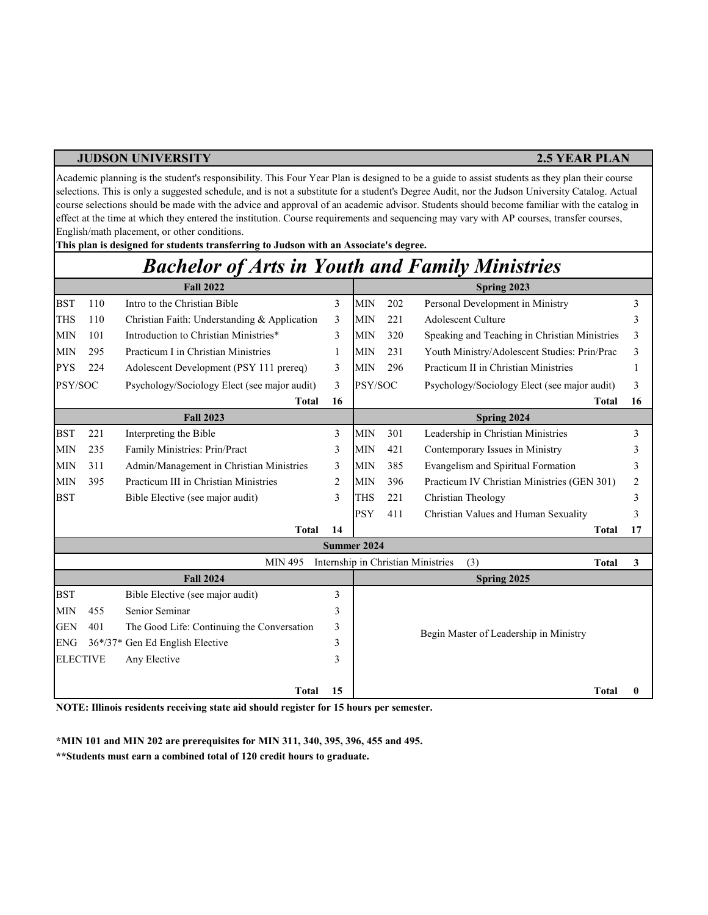### **JUDSON UNIVERSITY 2.5 YEAR PLAN**

Academic planning is the student's responsibility. This Four Year Plan is designed to be a guide to assist students as they plan their course selections. This is only a suggested schedule, and is not a substitute for a student's Degree Audit, nor the Judson University Catalog. Actual course selections should be made with the advice and approval of an academic advisor. Students should become familiar with the catalog in effect at the time at which they entered the institution. Course requirements and sequencing may vary with AP courses, transfer courses, English/math placement, or other conditions.

BST 110 Intro to the Christian Bible 3 MIN 202 Personal Development in Ministry 3 3 THS 110 Christian Faith: Understanding & Application 3 MIN 221 Adolescent Culture 3 3 MIN 101 Introduction to Christian Ministries\* 3 MIN 320 Speaking and Teaching in Christian Ministries 3 MIN 295 Practicum I in Christian Ministries 1 | MIN 231 Youth Ministry/Adolescent Studies: Prin/Prac 3 PYS 224 Adolescent Development (PSY 111 prereq) 3 MIN 296 Practicum II in Christian Ministries 1 PSY/SOC Psychology/Sociology Elect (see major audit) 3 PSY/SOC Psychology/Sociology Elect (see major audit) 3 **Total 16 Total 16** BST 221 Interpreting the Bible 23 MIN 301 Leadership in Christian Ministries 3 MIN 235 Family Ministries: Prin/Pract 3 MIN 421 Contemporary Issues in Ministry 3 MIN 311 Admin/Management in Christian Ministries 3 MIN 385 Evangelism and Spiritual Formation 3 MIN 395 Practicum III in Christian Ministries 2 MIN 396 2 Practicum IV Christian Ministries (GEN 301) BST Bible Elective (see major audit) 3 THS 221 Christian Theology 3 3 PSY 411 Christian Values and Human Sexuality 3 **Total 14 Total 17 Total 3** BST Bible Elective (see major audit) 3 MIN 455 Senior Seminar 3 GEN 401 The Good Life: Continuing the Conversation 3 ENG 36\*/37\* Gen Ed English Elective 3 ELECTIVE Any Elective 3 **Total 15 Total 0 Summer 2024** MIN 495 Internship in Christian Ministries (3) **Fall 2024 Spring 2025** Begin Master of Leadership in Ministry **Fall 2023 Spring 2024** Psychology/Sociology Elect (see major audit) Practicum II in Christian Ministries Practicum I in Christian Ministries *Bachelor of Arts in Youth and Family Ministries* **Fall 2022 Spring 2023** 

**NOTE: Illinois residents receiving state aid should register for 15 hours per semester.**

**This plan is designed for students transferring to Judson with an Associate's degree.**

**\*MIN 101 and MIN 202 are prerequisites for MIN 311, 340, 395, 396, 455 and 495.** 

**\*\*Students must earn a combined total of 120 credit hours to graduate.**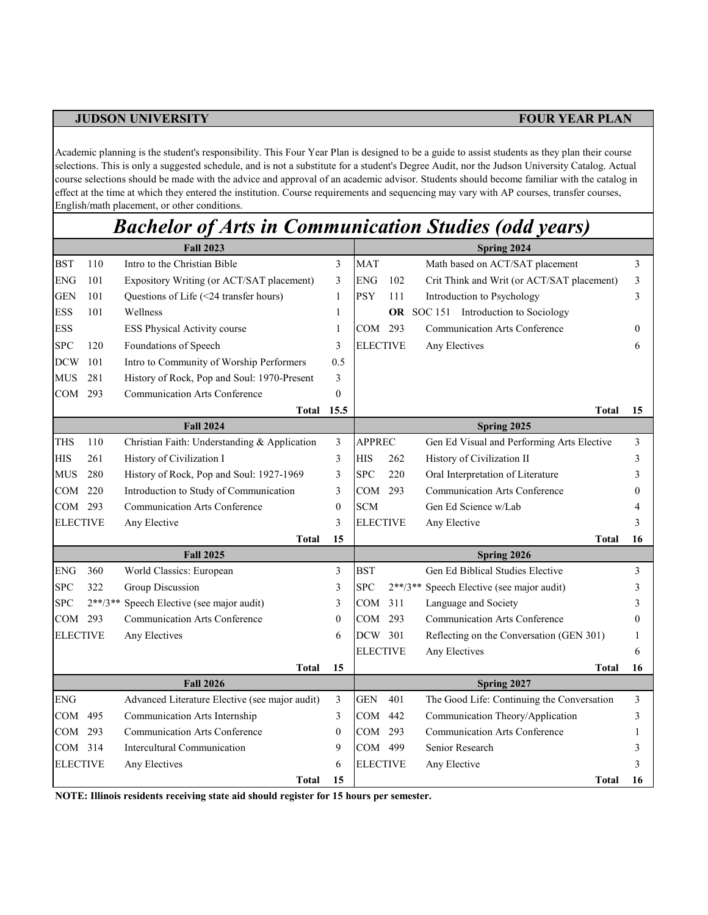Academic planning is the student's responsibility. This Four Year Plan is designed to be a guide to assist students as they plan their course selections. This is only a suggested schedule, and is not a substitute for a student's Degree Audit, nor the Judson University Catalog. Actual course selections should be made with the advice and approval of an academic advisor. Students should become familiar with the catalog in effect at the time at which they entered the institution. Course requirements and sequencing may vary with AP courses, transfer courses, English/math placement, or other conditions.

## *Bachelor of Arts in Communication Studies (odd years)*

|                 |     | <b>Fall 2023</b>                               |              | Spring 2024     |     |                                            |    |  |  |  |
|-----------------|-----|------------------------------------------------|--------------|-----------------|-----|--------------------------------------------|----|--|--|--|
| <b>BST</b>      | 110 | Intro to the Christian Bible                   | 3            | <b>MAT</b>      |     | Math based on ACT/SAT placement            | 3  |  |  |  |
| <b>ENG</b>      | 101 | Expository Writing (or ACT/SAT placement)      | 3            | <b>ENG</b>      | 102 | Crit Think and Writ (or ACT/SAT placement) | 3  |  |  |  |
| <b>GEN</b>      | 101 | Questions of Life (<24 transfer hours)         | 1            | <b>PSY</b>      | 111 | Introduction to Psychology                 | 3  |  |  |  |
| <b>ESS</b>      | 101 | Wellness                                       | 1            |                 |     | OR SOC 151 Introduction to Sociology       |    |  |  |  |
| <b>ESS</b>      |     | ESS Physical Activity course                   | 1            | COM 293         |     | <b>Communication Arts Conference</b>       | 0  |  |  |  |
| <b>SPC</b>      | 120 | Foundations of Speech                          | 3            | <b>ELECTIVE</b> |     | Any Electives                              | 6  |  |  |  |
| <b>DCW</b>      | 101 | Intro to Community of Worship Performers       | 0.5          |                 |     |                                            |    |  |  |  |
| <b>MUS</b>      | 281 | History of Rock, Pop and Soul: 1970-Present    | 3            |                 |     |                                            |    |  |  |  |
| COM             | 293 | Communication Arts Conference                  | $\Omega$     |                 |     |                                            |    |  |  |  |
|                 |     | <b>Total 15.5</b>                              |              |                 |     | Total                                      | 15 |  |  |  |
|                 |     | <b>Fall 2024</b>                               |              | Spring 2025     |     |                                            |    |  |  |  |
| <b>THS</b>      | 110 | Christian Faith: Understanding & Application   | 3            | <b>APPREC</b>   |     | Gen Ed Visual and Performing Arts Elective | 3  |  |  |  |
| <b>HIS</b>      | 261 | History of Civilization I                      | 3            | <b>HIS</b>      | 262 | History of Civilization II                 | 3  |  |  |  |
| <b>MUS</b>      | 280 | History of Rock, Pop and Soul: 1927-1969       | 3            | <b>SPC</b>      | 220 | Oral Interpretation of Literature          | 3  |  |  |  |
| COM             | 220 | Introduction to Study of Communication         | 3            | <b>COM</b>      | 293 | <b>Communication Arts Conference</b>       | 0  |  |  |  |
| COM             | 293 | <b>Communication Arts Conference</b>           | $\theta$     | <b>SCM</b>      |     | Gen Ed Science w/Lab                       | 4  |  |  |  |
| <b>ELECTIVE</b> |     | Any Elective                                   | 3            | <b>ELECTIVE</b> |     | Any Elective                               | 3  |  |  |  |
|                 |     | <b>Total</b>                                   | 15           |                 |     | <b>Total</b>                               | 16 |  |  |  |
|                 |     | <b>Fall 2025</b>                               |              |                 |     | Spring 2026                                |    |  |  |  |
| <b>ENG</b>      | 360 | World Classics: European                       | 3            | <b>BST</b>      |     | Gen Ed Biblical Studies Elective           | 3  |  |  |  |
| <b>SPC</b>      | 322 | Group Discussion                               | 3            | <b>SPC</b>      |     | 2**/3** Speech Elective (see major audit)  | 3  |  |  |  |
| <b>SPC</b>      |     | 2**/3** Speech Elective (see major audit)      | 3            | <b>COM</b>      | 311 | Language and Society                       | 3  |  |  |  |
| COM             | 293 | <b>Communication Arts Conference</b>           | $\mathbf{0}$ | <b>COM</b>      | 293 | <b>Communication Arts Conference</b>       | 0  |  |  |  |
| <b>ELECTIVE</b> |     | Any Electives                                  | 6            | DCW 301         |     | Reflecting on the Conversation (GEN 301)   | 1  |  |  |  |
|                 |     |                                                |              | <b>ELECTIVE</b> |     | Any Electives                              | 6  |  |  |  |
|                 |     | <b>Total</b>                                   | 15           |                 |     | <b>Total</b>                               | 16 |  |  |  |
|                 |     | <b>Fall 2026</b>                               |              |                 |     | Spring 2027                                |    |  |  |  |
| <b>ENG</b>      |     | Advanced Literature Elective (see major audit) | 3            | <b>GEN</b>      | 401 | The Good Life: Continuing the Conversation | 3  |  |  |  |
| COM             | 495 | Communication Arts Internship                  | 3            | COM             | 442 | Communication Theory/Application           | 3  |  |  |  |
| COM 293         |     | Communication Arts Conference                  | $\mathbf{0}$ | COM 293         |     | Communication Arts Conference              | 1  |  |  |  |
| COM 314         |     | Intercultural Communication                    | 9            | COM 499         |     | Senior Research                            | 3  |  |  |  |
| <b>ELECTIVE</b> |     | Any Electives                                  | 6            | <b>ELECTIVE</b> |     | Any Elective                               | 3  |  |  |  |
|                 |     | <b>Total</b>                                   | 15           |                 |     | <b>Total</b>                               | 16 |  |  |  |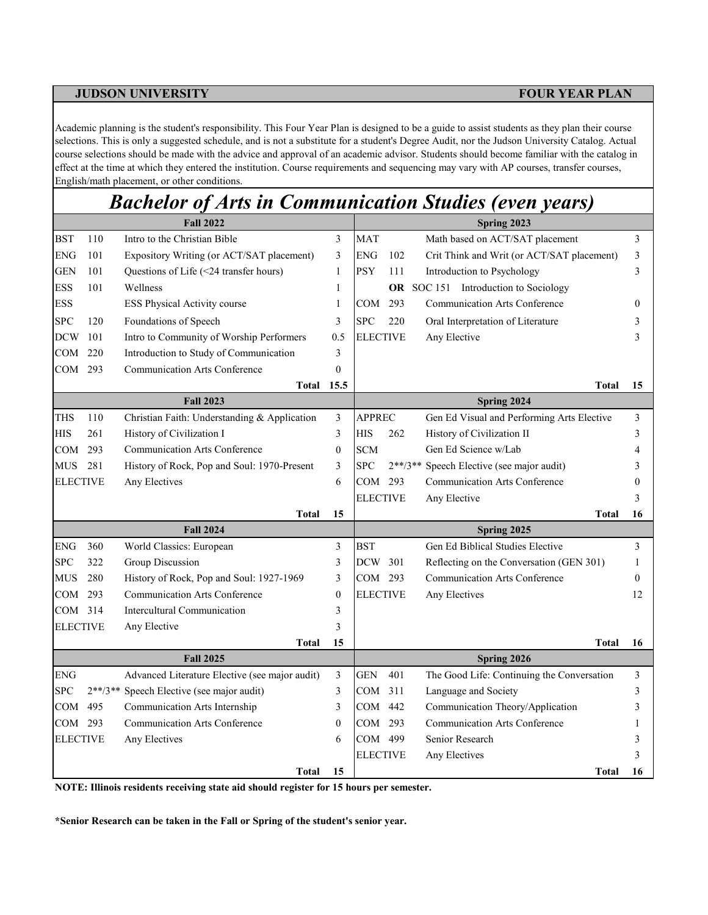Academic planning is the student's responsibility. This Four Year Plan is designed to be a guide to assist students as they plan their course selections. This is only a suggested schedule, and is not a substitute for a student's Degree Audit, nor the Judson University Catalog. Actual course selections should be made with the advice and approval of an academic advisor. Students should become familiar with the catalog in effect at the time at which they entered the institution. Course requirements and sequencing may vary with AP courses, transfer courses, English/math placement, or other conditions.

## *Bachelor of Arts in Communication Studies (even years)*

|                 | <b>Fall 2022</b> |                                                |                  | Spring 2023     |           |                                            |    |  |
|-----------------|------------------|------------------------------------------------|------------------|-----------------|-----------|--------------------------------------------|----|--|
| <b>BST</b>      | 110              | Intro to the Christian Bible                   | 3                | <b>MAT</b>      |           | Math based on ACT/SAT placement            | 3  |  |
| <b>ENG</b>      | 101              | Expository Writing (or ACT/SAT placement)      | 3                | <b>ENG</b>      | 102       | Crit Think and Writ (or ACT/SAT placement) | 3  |  |
| <b>GEN</b>      | 101              | Questions of Life (<24 transfer hours)         | $\mathbf{1}$     | <b>PSY</b>      | 111       | Introduction to Psychology                 | 3  |  |
| <b>ESS</b>      | 101              | Wellness                                       | 1                |                 |           | OR SOC 151 Introduction to Sociology       |    |  |
| <b>ESS</b>      |                  | ESS Physical Activity course                   | $\mathbf{1}$     | COM             | 293       | <b>Communication Arts Conference</b>       | 0  |  |
| <b>SPC</b>      | 120              | Foundations of Speech                          | 3                | <b>SPC</b>      | 220       | Oral Interpretation of Literature          | 3  |  |
| <b>DCW</b>      | 101              | Intro to Community of Worship Performers       | 0.5              | <b>ELECTIVE</b> |           | Any Elective                               | 3  |  |
| <b>COM</b>      | 220              | Introduction to Study of Communication         | 3                |                 |           |                                            |    |  |
| COM             | 293              | <b>Communication Arts Conference</b>           | $\theta$         |                 |           |                                            |    |  |
|                 |                  | Total                                          | 15.5             |                 |           | <b>Total</b>                               | 15 |  |
|                 |                  | <b>Fall 2023</b>                               |                  |                 |           | Spring 2024                                |    |  |
| <b>THS</b>      | 110              | Christian Faith: Understanding & Application   | $\mathfrak{Z}$   | <b>APPREC</b>   |           | Gen Ed Visual and Performing Arts Elective | 3  |  |
| <b>HIS</b>      | 261              | History of Civilization I                      | 3                | HIS             | 262       | History of Civilization II                 | 3  |  |
| COM             | 293              | <b>Communication Arts Conference</b>           | $\mathbf{0}$     | <b>SCM</b>      |           | Gen Ed Science w/Lab                       | 4  |  |
| <b>MUS</b>      | 281              | History of Rock, Pop and Soul: 1970-Present    | 3                | <b>SPC</b>      | $2**/3**$ | Speech Elective (see major audit)          | 3  |  |
| <b>ELECTIVE</b> |                  | Any Electives                                  | 6                | COM 293         |           | <b>Communication Arts Conference</b>       | 0  |  |
|                 |                  |                                                |                  | <b>ELECTIVE</b> |           | Any Elective                               | 3  |  |
|                 |                  | <b>Total</b>                                   | 15               |                 |           | <b>Total</b>                               | 16 |  |
|                 |                  | <b>Fall 2024</b>                               |                  |                 |           | Spring 2025                                |    |  |
| <b>ENG</b>      | 360              | World Classics: European                       | 3                | <b>BST</b>      |           | Gen Ed Biblical Studies Elective           | 3  |  |
| <b>SPC</b>      | 322              | Group Discussion                               | 3                | <b>DCW</b>      | 301       | Reflecting on the Conversation (GEN 301)   | 1  |  |
| <b>MUS</b>      | 280              | History of Rock, Pop and Soul: 1927-1969       | 3                | COM 293         |           | <b>Communication Arts Conference</b>       | 0  |  |
| COM             | 293              | <b>Communication Arts Conference</b>           | $\boldsymbol{0}$ | <b>ELECTIVE</b> |           | Any Electives                              | 12 |  |
| COM 314         |                  | Intercultural Communication                    | 3                |                 |           |                                            |    |  |
| <b>ELECTIVE</b> |                  | Any Elective                                   | 3                |                 |           |                                            |    |  |
|                 |                  | <b>Total</b>                                   | 15               |                 |           | <b>Total</b>                               | 16 |  |
|                 |                  | <b>Fall 2025</b>                               |                  |                 |           | Spring 2026                                |    |  |
| <b>ENG</b>      |                  | Advanced Literature Elective (see major audit) | 3                | <b>GEN</b>      | 401       | The Good Life: Continuing the Conversation | 3  |  |
| <b>SPC</b>      | $2**/3**$        | Speech Elective (see major audit)              | 3                | COM             | 311       | Language and Society                       | 3  |  |
| COM             | 495              | Communication Arts Internship                  | 3                | COM             | 442       | Communication Theory/Application           | 3  |  |
| COM 293         |                  | <b>Communication Arts Conference</b>           | $\mathbf{0}$     | COM 293         |           | <b>Communication Arts Conference</b>       |    |  |
| <b>ELECTIVE</b> |                  | Any Electives                                  | 6                | COM 499         |           | Senior Research                            | 3  |  |
|                 |                  |                                                |                  | ELECTIVE        |           | Any Electives                              | 3  |  |
|                 |                  | <b>Total</b>                                   | 15               |                 |           | <b>Total</b>                               | 16 |  |

**NOTE: Illinois residents receiving state aid should register for 15 hours per semester.**

**\*Senior Research can be taken in the Fall or Spring of the student's senior year.**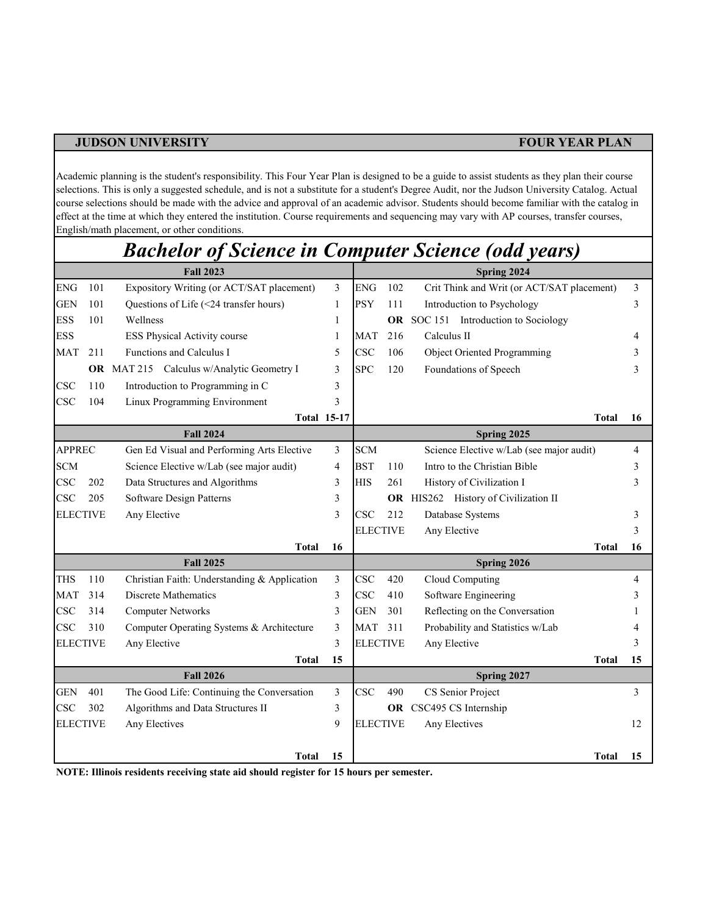Academic planning is the student's responsibility. This Four Year Plan is designed to be a guide to assist students as they plan their course selections. This is only a suggested schedule, and is not a substitute for a student's Degree Audit, nor the Judson University Catalog. Actual course selections should be made with the advice and approval of an academic advisor. Students should become familiar with the catalog in effect at the time at which they entered the institution. Course requirements and sequencing may vary with AP courses, transfer courses, English/math placement, or other conditions.

|                 |     | <b>Bachelor of Science in Computer Science (odd years)</b> |    |                 |     |                                            |    |
|-----------------|-----|------------------------------------------------------------|----|-----------------|-----|--------------------------------------------|----|
|                 |     | <b>Fall 2023</b>                                           |    |                 |     | Spring 2024                                |    |
| <b>ENG</b>      | 101 | Expository Writing (or ACT/SAT placement)                  | 3  | <b>ENG</b>      | 102 | Crit Think and Writ (or ACT/SAT placement) | 3  |
| <b>GEN</b>      | 101 | Questions of Life (<24 transfer hours)                     | 1  | <b>PSY</b>      | 111 | Introduction to Psychology                 | 3  |
| <b>ESS</b>      | 101 | Wellness                                                   | 1  |                 |     | OR SOC 151 Introduction to Sociology       |    |
| <b>ESS</b>      |     | <b>ESS Physical Activity course</b>                        | 1  | MAT             | 216 | Calculus II                                | 4  |
| MAT             | 211 | Functions and Calculus I                                   | 5  | <b>CSC</b>      | 106 | <b>Object Oriented Programming</b>         | 3  |
|                 |     | <b>OR</b> MAT 215 Calculus w/Analytic Geometry I           | 3  | <b>SPC</b>      | 120 | Foundations of Speech                      | 3  |
| <b>CSC</b>      | 110 | Introduction to Programming in C                           | 3  |                 |     |                                            |    |
| <b>CSC</b>      | 104 | Linux Programming Environment                              | 3  |                 |     |                                            |    |
|                 |     | <b>Total 15-17</b>                                         |    |                 |     | <b>Total</b>                               | 16 |
|                 |     | <b>Fall 2024</b>                                           |    |                 |     | Spring 2025                                |    |
| <b>APPREC</b>   |     | Gen Ed Visual and Performing Arts Elective                 | 3  | <b>SCM</b>      |     | Science Elective w/Lab (see major audit)   | 4  |
| <b>SCM</b>      |     | Science Elective w/Lab (see major audit)                   | 4  | <b>BST</b>      | 110 | Intro to the Christian Bible               | 3  |
| CSC             | 202 | Data Structures and Algorithms                             | 3  | <b>HIS</b>      | 261 | History of Civilization I                  | 3  |
| <b>CSC</b>      | 205 | Software Design Patterns                                   | 3  |                 |     | OR HIS262 History of Civilization II       |    |
| <b>ELECTIVE</b> |     | Any Elective                                               | 3  | <b>CSC</b>      | 212 | Database Systems                           | 3  |
|                 |     |                                                            |    | <b>ELECTIVE</b> |     | Any Elective                               | 3  |
|                 |     | <b>Total</b>                                               | 16 |                 |     | <b>Total</b>                               | 16 |
|                 |     | <b>Fall 2025</b>                                           |    |                 |     | Spring 2026                                |    |
| <b>THS</b>      | 110 | Christian Faith: Understanding & Application               | 3  | <b>CSC</b>      | 420 | Cloud Computing                            | 4  |
| MAT             | 314 | Discrete Mathematics                                       | 3  | <b>CSC</b>      | 410 | Software Engineering                       | 3  |
| $_{\rm CSC}$    | 314 | <b>Computer Networks</b>                                   | 3  | <b>GEN</b>      | 301 | Reflecting on the Conversation             |    |
| CSC             | 310 | Computer Operating Systems & Architecture                  | 3  | <b>MAT</b>      | 311 | Probability and Statistics w/Lab           |    |
| <b>ELECTIVE</b> |     | Any Elective                                               | 3  | <b>ELECTIVE</b> |     | Any Elective                               | 3  |
|                 |     | <b>Total</b>                                               | 15 |                 |     | <b>Total</b>                               | 15 |
|                 |     | <b>Fall 2026</b>                                           |    |                 |     | Spring 2027                                |    |
| GEN             | 401 | The Good Life: Continuing the Conversation                 | 3  | <b>CSC</b>      | 490 | CS Senior Project                          | 3  |
| <b>CSC</b>      | 302 | Algorithms and Data Structures II                          | 3  |                 |     | OR CSC495 CS Internship                    |    |
| <b>ELECTIVE</b> |     | Any Electives                                              | 9  | <b>ELECTIVE</b> |     | Any Electives                              | 12 |
|                 |     |                                                            |    |                 |     |                                            |    |

**Total 15 Total 15**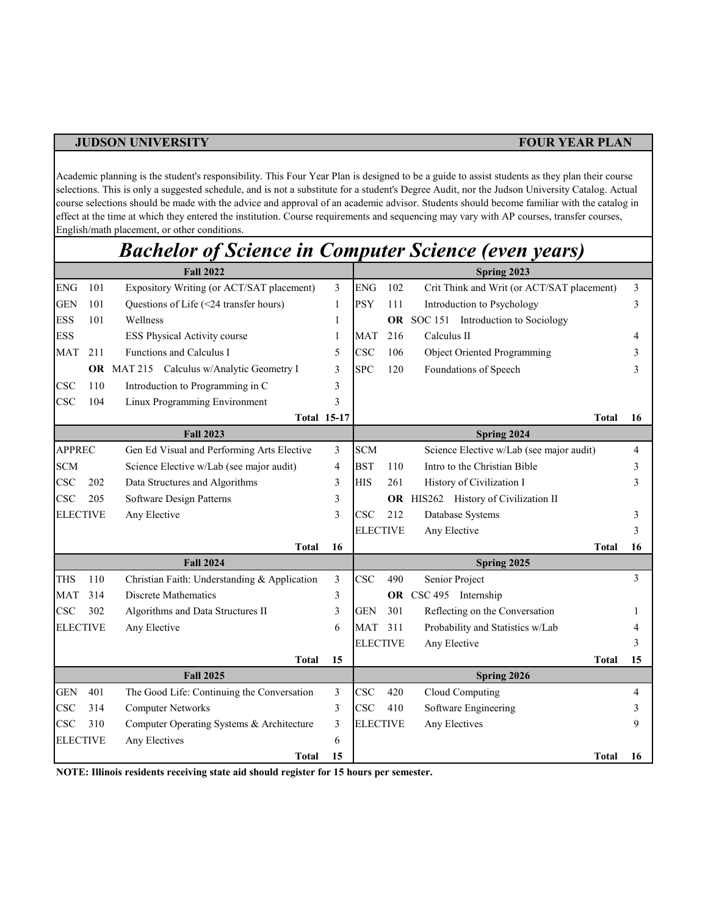Academic planning is the student's responsibility. This Four Year Plan is designed to be a guide to assist students as they plan their course selections. This is only a suggested schedule, and is not a substitute for a student's Degree Audit, nor the Judson University Catalog. Actual course selections should be made with the advice and approval of an academic advisor. Students should become familiar with the catalog in effect at the time at which they entered the institution. Course requirements and sequencing may vary with AP courses, transfer courses, English/math placement, or other conditions.

# *Bachelor of Science in Computer Science (even years)*

|                 |     | <b>Fall 2022</b>                                 |    | Spring 2023     |             |                                            |    |  |  |
|-----------------|-----|--------------------------------------------------|----|-----------------|-------------|--------------------------------------------|----|--|--|
| <b>ENG</b>      | 101 | Expository Writing (or ACT/SAT placement)        | 3  | <b>ENG</b>      | 102         | Crit Think and Writ (or ACT/SAT placement) | 3  |  |  |
| <b>GEN</b>      | 101 | Questions of Life (<24 transfer hours)           | 1  | <b>PSY</b>      | 111         | Introduction to Psychology                 | 3  |  |  |
| <b>ESS</b>      | 101 | Wellness                                         | 1  |                 |             | OR SOC 151 Introduction to Sociology       |    |  |  |
| <b>ESS</b>      |     | ESS Physical Activity course                     | 1  | <b>MAT</b>      | 216         | Calculus II                                |    |  |  |
| <b>MAT</b>      | 211 | Functions and Calculus I                         | 5  | <b>CSC</b>      | 106         | Object Oriented Programming                |    |  |  |
|                 |     | <b>OR</b> MAT 215 Calculus w/Analytic Geometry I | 3  | <b>SPC</b>      | 120         | Foundations of Speech                      |    |  |  |
| CSC             | 110 | Introduction to Programming in C                 | 3  |                 |             |                                            |    |  |  |
| <b>CSC</b>      | 104 | Linux Programming Environment                    | 3  |                 |             |                                            |    |  |  |
|                 |     | <b>Total 15-17</b>                               |    |                 |             | <b>Total</b>                               | 16 |  |  |
|                 |     | <b>Fall 2023</b>                                 |    |                 | Spring 2024 |                                            |    |  |  |
| <b>APPREC</b>   |     | Gen Ed Visual and Performing Arts Elective       | 3  | <b>SCM</b>      |             | Science Elective w/Lab (see major audit)   | 4  |  |  |
| <b>SCM</b>      |     | Science Elective w/Lab (see major audit)         | 4  | <b>BST</b>      | 110         | Intro to the Christian Bible               | 3  |  |  |
| CSC             | 202 | Data Structures and Algorithms                   | 3  | <b>HIS</b>      | 261         | History of Civilization I                  | 3  |  |  |
| CSC             | 205 | Software Design Patterns                         | 3  |                 |             | OR HIS262 History of Civilization II       |    |  |  |
| <b>ELECTIVE</b> |     | Any Elective                                     | 3  | <b>CSC</b>      | 212         | Database Systems                           | 3  |  |  |
|                 |     |                                                  |    | <b>ELECTIVE</b> |             | Any Elective                               | 3  |  |  |
|                 |     | <b>Total</b>                                     | 16 |                 |             | <b>Total</b>                               | 16 |  |  |
|                 |     | <b>Fall 2024</b>                                 |    | Spring 2025     |             |                                            |    |  |  |
| <b>THS</b>      | 110 | Christian Faith: Understanding & Application     | 3  | <b>CSC</b>      | 490         | Senior Project                             | 3  |  |  |
| <b>MAT</b>      | 314 | Discrete Mathematics                             | 3  |                 |             | OR CSC 495 Internship                      |    |  |  |
| CSC             | 302 | Algorithms and Data Structures II                | 3  | GEN             | 301         | Reflecting on the Conversation             |    |  |  |
| <b>ELECTIVE</b> |     | Any Elective                                     | 6  | <b>MAT</b>      | 311         | Probability and Statistics w/Lab           |    |  |  |
|                 |     |                                                  |    | <b>ELECTIVE</b> |             | Any Elective                               |    |  |  |
|                 |     | <b>Total</b>                                     | 15 |                 |             | <b>Total</b>                               | 15 |  |  |
|                 |     | <b>Fall 2025</b>                                 |    |                 |             | Spring 2026                                |    |  |  |
| <b>GEN</b>      | 401 | The Good Life: Continuing the Conversation       | 3  | <b>CSC</b>      | 420         | Cloud Computing                            | 4  |  |  |
| <b>CSC</b>      | 314 | <b>Computer Networks</b>                         | 3  | <b>CSC</b>      | 410         | Software Engineering                       | 3  |  |  |
| CSC             | 310 | Computer Operating Systems & Architecture        | 3  | <b>ELECTIVE</b> |             | Any Electives                              |    |  |  |
| <b>ELECTIVE</b> |     | Any Electives                                    | 6  |                 |             |                                            |    |  |  |
|                 |     | <b>Total</b>                                     | 15 |                 |             | Total                                      | 16 |  |  |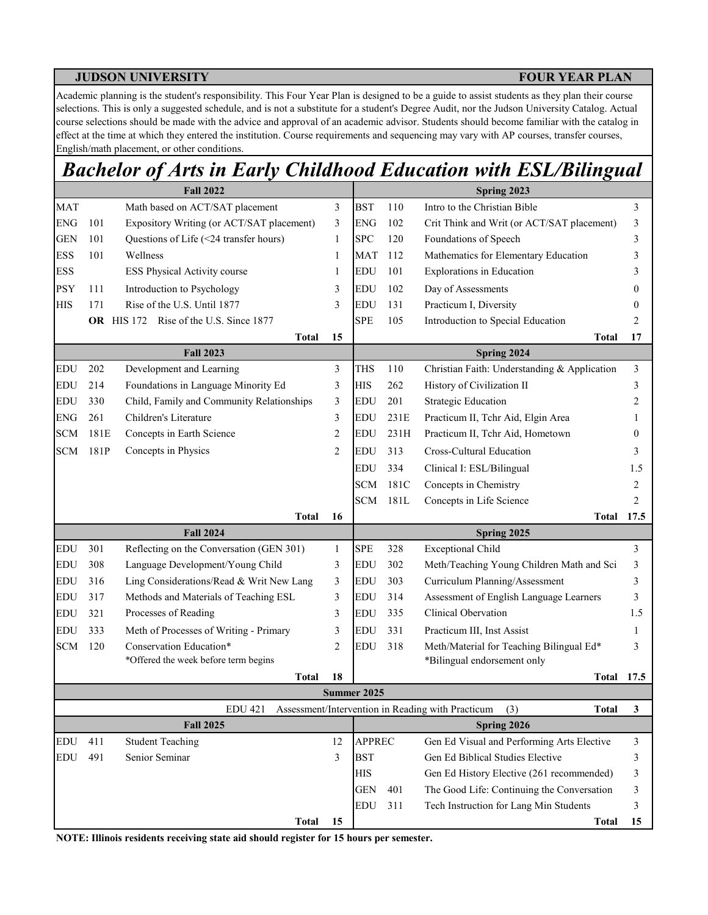Academic planning is the student's responsibility. This Four Year Plan is designed to be a guide to assist students as they plan their course selections. This is only a suggested schedule, and is not a substitute for a student's Degree Audit, nor the Judson University Catalog. Actual course selections should be made with the advice and approval of an academic advisor. Students should become familiar with the catalog in effect at the time at which they entered the institution. Course requirements and sequencing may vary with AP courses, transfer courses, English/math placement, or other conditions.

## *Bachelor of Arts in Early Childhood Education with ESL/Bilingual*

|              |      | <b>Fall 2022</b>                          |                |               | Spring 2023 |                                                                                      |        |  |  |
|--------------|------|-------------------------------------------|----------------|---------------|-------------|--------------------------------------------------------------------------------------|--------|--|--|
| <b>MAT</b>   |      | Math based on ACT/SAT placement           | 3              | <b>BST</b>    | 110         | Intro to the Christian Bible                                                         | 3      |  |  |
| <b>ENG</b>   | 101  | Expository Writing (or ACT/SAT placement) | 3              | <b>ENG</b>    | 102         | Crit Think and Writ (or ACT/SAT placement)                                           | 3      |  |  |
| <b>GEN</b>   | 101  | Questions of Life (<24 transfer hours)    | $\mathbf{1}$   | <b>SPC</b>    | 120         | Foundations of Speech                                                                | 3      |  |  |
| <b>ESS</b>   | 101  | Wellness                                  | 1              | <b>MAT</b>    | 112         | Mathematics for Elementary Education                                                 | 3      |  |  |
| <b>ESS</b>   |      | ESS Physical Activity course              | 1              | <b>EDU</b>    | 101         | <b>Explorations</b> in Education                                                     | 3      |  |  |
| <b>PSY</b>   | 111  | Introduction to Psychology                | 3              | <b>EDU</b>    | 102         | Day of Assessments                                                                   | $_{0}$ |  |  |
| <b>HIS</b>   | 171  | Rise of the U.S. Until 1877               | 3              | <b>EDU</b>    | 131         | Practicum I, Diversity                                                               | 0      |  |  |
|              |      | OR HIS 172 Rise of the U.S. Since 1877    |                | <b>SPE</b>    | 105         | Introduction to Special Education                                                    | 2      |  |  |
|              |      | <b>Total</b>                              | 15             |               |             | Total                                                                                | 17     |  |  |
|              |      | <b>Fall 2023</b>                          |                |               |             | <b>Spring 2024</b>                                                                   |        |  |  |
| <b>EDU</b>   | 202  | Development and Learning                  | 3              | <b>THS</b>    | 110         | Christian Faith: Understanding & Application                                         | 3      |  |  |
| <b>EDU</b>   | 214  | Foundations in Language Minority Ed       | 3              | <b>HIS</b>    | 262         | History of Civilization II                                                           | 3      |  |  |
| <b>EDU</b>   | 330  | Child, Family and Community Relationships | 3              | <b>EDU</b>    | 201         | <b>Strategic Education</b>                                                           | 2      |  |  |
| <b>ENG</b>   | 261  | Children's Literature                     | 3              | EDU           | 231E        | Practicum II, Tchr Aid, Elgin Area                                                   | 1      |  |  |
| <b>SCM</b>   | 181E | Concepts in Earth Science                 | $\overline{2}$ | EDU           | 231H        | Practicum II, Tchr Aid, Hometown                                                     | 0      |  |  |
| <b>SCM</b>   | 181P | Concepts in Physics                       | $\overline{c}$ | <b>EDU</b>    | 313         | Cross-Cultural Education                                                             | 3      |  |  |
|              |      |                                           |                | <b>EDU</b>    | 334         | Clinical I: ESL/Bilingual                                                            | 1.5    |  |  |
|              |      |                                           |                | <b>SCM</b>    | 181C        | Concepts in Chemistry                                                                | 2      |  |  |
|              |      |                                           |                | <b>SCM</b>    | 181L        | Concepts in Life Science                                                             | 2      |  |  |
|              |      | <b>Total</b>                              | 16             |               |             | Total                                                                                | 17.5   |  |  |
|              |      | <b>Fall 2024</b>                          |                |               |             | Spring 2025                                                                          |        |  |  |
| <b>EDU</b>   | 301  | Reflecting on the Conversation (GEN 301)  | $\mathbf{1}$   | <b>SPE</b>    | 328         | <b>Exceptional Child</b>                                                             | 3      |  |  |
| <b>EDU</b>   | 308  | Language Development/Young Child          | 3              | <b>EDU</b>    | 302         | Meth/Teaching Young Children Math and Sci                                            | 3      |  |  |
| <b>EDU</b>   | 316  | Ling Considerations/Read & Writ New Lang  | 3              | <b>EDU</b>    | 303         | Curriculum Planning/Assessment                                                       | 3      |  |  |
| <b>EDU</b>   | 317  | Methods and Materials of Teaching ESL     | 3              | <b>EDU</b>    | 314         | Assessment of English Language Learners                                              | 3      |  |  |
| <b>EDU</b>   | 321  | Processes of Reading                      | 3              | <b>EDU</b>    | 335         | Clinical Obervation                                                                  | 1.5    |  |  |
| <b>EDU</b>   | 333  | Meth of Processes of Writing - Primary    | 3              | <b>EDU</b>    | 331         | Practicum III, Inst Assist                                                           | 1      |  |  |
| $\mbox{SCM}$ | 120  | Conservation Education*                   | $\overline{2}$ | <b>EDU</b>    | 318         | Meth/Material for Teaching Bilingual Ed*                                             | 3      |  |  |
|              |      | *Offered the week before term begins      | 18             |               |             | *Bilingual endorsement only                                                          |        |  |  |
|              |      | <b>Total</b>                              |                | Summer 2025   |             | Total                                                                                | 17.5   |  |  |
|              |      | <b>EDU 421</b>                            |                |               |             | Assessment/Intervention in Reading with Practicum<br>(3)<br><b>Total</b>             | 3      |  |  |
|              |      | <b>Fall 2025</b>                          |                |               |             | Spring 2026                                                                          |        |  |  |
| <b>EDU</b>   | 411  | <b>Student Teaching</b>                   | 12             | <b>APPREC</b> |             | Gen Ed Visual and Performing Arts Elective                                           | 3      |  |  |
| <b>EDU</b>   | 491  | Senior Seminar                            | 3              | <b>BST</b>    |             | Gen Ed Biblical Studies Elective                                                     | 3      |  |  |
|              |      |                                           |                | <b>HIS</b>    |             | Gen Ed History Elective (261 recommended)                                            | 3      |  |  |
|              |      |                                           |                |               |             |                                                                                      |        |  |  |
|              |      |                                           |                | <b>GEN</b>    | 401         |                                                                                      | 3      |  |  |
|              |      |                                           |                | <b>EDU</b>    | 311         | The Good Life: Continuing the Conversation<br>Tech Instruction for Lang Min Students | 3      |  |  |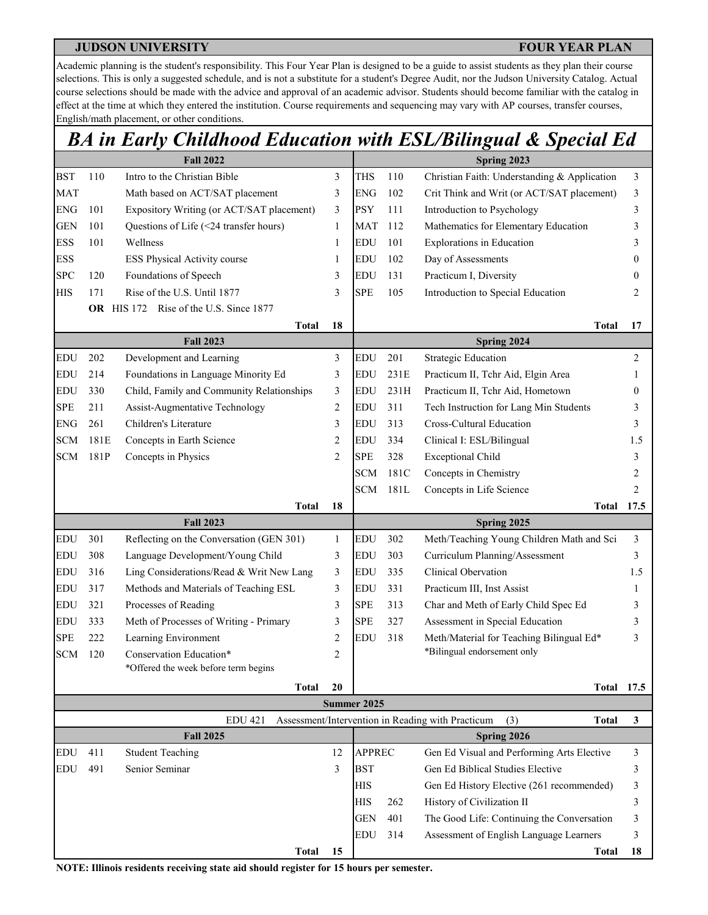Academic planning is the student's responsibility. This Four Year Plan is designed to be a guide to assist students as they plan their course selections. This is only a suggested schedule, and is not a substitute for a student's Degree Audit, nor the Judson University Catalog. Actual course selections should be made with the advice and approval of an academic advisor. Students should become familiar with the catalog in effect at the time at which they entered the institution. Course requirements and sequencing may vary with AP courses, transfer courses, English/math placement, or other conditions.

## *BA in Early Childhood Education with ESL/Bilingual & Special Ed*

|            |      | <b>Fall 2022</b>                          |                | Spring 2023   |      |                                                                          |              |  |  |
|------------|------|-------------------------------------------|----------------|---------------|------|--------------------------------------------------------------------------|--------------|--|--|
| <b>BST</b> | 110  | Intro to the Christian Bible              | 3              | THS           | 110  | Christian Faith: Understanding & Application                             | 3            |  |  |
| <b>MAT</b> |      | Math based on ACT/SAT placement           | 3              | <b>ENG</b>    | 102  | Crit Think and Writ (or ACT/SAT placement)                               | 3            |  |  |
| <b>ENG</b> | 101  | Expository Writing (or ACT/SAT placement) | 3              | <b>PSY</b>    | 111  | Introduction to Psychology                                               | 3            |  |  |
| <b>GEN</b> | 101  | Questions of Life (<24 transfer hours)    | 1              | <b>MAT</b>    | 112  | Mathematics for Elementary Education                                     | 3            |  |  |
| <b>ESS</b> | 101  | Wellness                                  | $\mathbf{1}$   | EDU           | 101  | <b>Explorations</b> in Education                                         | 3            |  |  |
| <b>ESS</b> |      | ESS Physical Activity course              | 1              | <b>EDU</b>    | 102  | Day of Assessments                                                       | $\Omega$     |  |  |
| <b>SPC</b> | 120  | Foundations of Speech                     | 3              | <b>EDU</b>    | 131  | Practicum I, Diversity                                                   | $\mathbf{0}$ |  |  |
| <b>HIS</b> | 171  | Rise of the U.S. Until 1877               | 3              | <b>SPE</b>    | 105  | Introduction to Special Education                                        | 2            |  |  |
|            |      | OR HIS 172 Rise of the U.S. Since 1877    |                |               |      |                                                                          |              |  |  |
|            |      | <b>Total</b>                              | 18             |               |      | <b>Total</b>                                                             | 17           |  |  |
|            |      | <b>Fall 2023</b>                          |                |               |      | Spring 2024                                                              |              |  |  |
| EDU        | 202  | Development and Learning                  | 3              | <b>EDU</b>    | 201  | <b>Strategic Education</b>                                               | 2            |  |  |
| EDU        | 214  | Foundations in Language Minority Ed       | 3              | EDU           | 231E | Practicum II, Tchr Aid, Elgin Area                                       | 1            |  |  |
| <b>EDU</b> | 330  | Child, Family and Community Relationships | 3              | EDU           | 231H | Practicum II, Tchr Aid, Hometown                                         | $\bf{0}$     |  |  |
| <b>SPE</b> | 211  | Assist-Augmentative Technology            | $\overline{c}$ | <b>EDU</b>    | 311  | Tech Instruction for Lang Min Students                                   | 3            |  |  |
| <b>ENG</b> | 261  | Children's Literature                     | 3              | <b>EDU</b>    | 313  | Cross-Cultural Education                                                 | 3            |  |  |
| <b>SCM</b> | 181E | Concepts in Earth Science                 | $\overline{2}$ | EDU           | 334  | Clinical I: ESL/Bilingual                                                | 1.5          |  |  |
| <b>SCM</b> | 181P | Concepts in Physics                       | $\overline{2}$ | <b>SPE</b>    | 328  | <b>Exceptional Child</b>                                                 | 3            |  |  |
|            |      |                                           |                | <b>SCM</b>    | 181C | Concepts in Chemistry                                                    | 2            |  |  |
|            |      |                                           |                | <b>SCM</b>    | 181L | Concepts in Life Science                                                 | 2            |  |  |
|            |      | <b>Total</b>                              | 18             |               |      | Total                                                                    | 17.5         |  |  |
|            |      | <b>Fall 2023</b>                          |                |               |      | Spring 2025                                                              |              |  |  |
| EDU        | 301  | Reflecting on the Conversation (GEN 301)  | $\mathbf{1}$   | EDU           | 302  | Meth/Teaching Young Children Math and Sci                                | 3            |  |  |
| <b>EDU</b> | 308  | Language Development/Young Child          | 3              | EDU           | 303  | Curriculum Planning/Assessment                                           | 3            |  |  |
| EDU        | 316  | Ling Considerations/Read & Writ New Lang  | 3              | <b>EDU</b>    | 335  | Clinical Obervation                                                      | 1.5          |  |  |
| EDU        | 317  | Methods and Materials of Teaching ESL     | 3              | EDU           | 331  | Practicum III, Inst Assist                                               | 1            |  |  |
| <b>EDU</b> | 321  | Processes of Reading                      | 3              | <b>SPE</b>    | 313  | Char and Meth of Early Child Spec Ed                                     | 3            |  |  |
| EDU        | 333  | Meth of Processes of Writing - Primary    | 3              | <b>SPE</b>    | 327  | Assessment in Special Education                                          | 3            |  |  |
| <b>SPE</b> | 222  | Learning Environment                      | $\overline{c}$ | <b>EDU</b>    | 318  | Meth/Material for Teaching Bilingual Ed*                                 | 3            |  |  |
| <b>SCM</b> | 120  | Conservation Education*                   | 2              |               |      | *Bilingual endorsement only                                              |              |  |  |
|            |      | *Offered the week before term begins      |                |               |      |                                                                          |              |  |  |
|            |      | <b>Total</b>                              | 20             |               |      | <b>Total 17.5</b>                                                        |              |  |  |
|            |      |                                           |                | Summer 2025   |      |                                                                          |              |  |  |
|            |      | <b>EDU 421</b>                            |                |               |      | Assessment/Intervention in Reading with Practicum<br>(3)<br><b>Total</b> | 3            |  |  |
|            |      | <b>Fall 2025</b>                          |                |               |      | Spring 2026                                                              |              |  |  |
| EDU        | 411  | <b>Student Teaching</b>                   | 12             | <b>APPREC</b> |      | Gen Ed Visual and Performing Arts Elective                               | 3            |  |  |
| EDU        | 491  | Senior Seminar                            | 3              | <b>BST</b>    |      | Gen Ed Biblical Studies Elective                                         | 3            |  |  |
|            |      |                                           |                | <b>HIS</b>    |      | Gen Ed History Elective (261 recommended)                                | 3            |  |  |
|            |      |                                           |                | <b>HIS</b>    | 262  | History of Civilization II                                               | 3            |  |  |
|            |      |                                           |                |               |      |                                                                          |              |  |  |
|            |      |                                           |                | <b>GEN</b>    | 401  | The Good Life: Continuing the Conversation                               | 3            |  |  |
|            |      | <b>Total</b>                              | 15             | <b>EDU</b>    | 314  | Assessment of English Language Learners<br><b>Total</b>                  | 3<br>18      |  |  |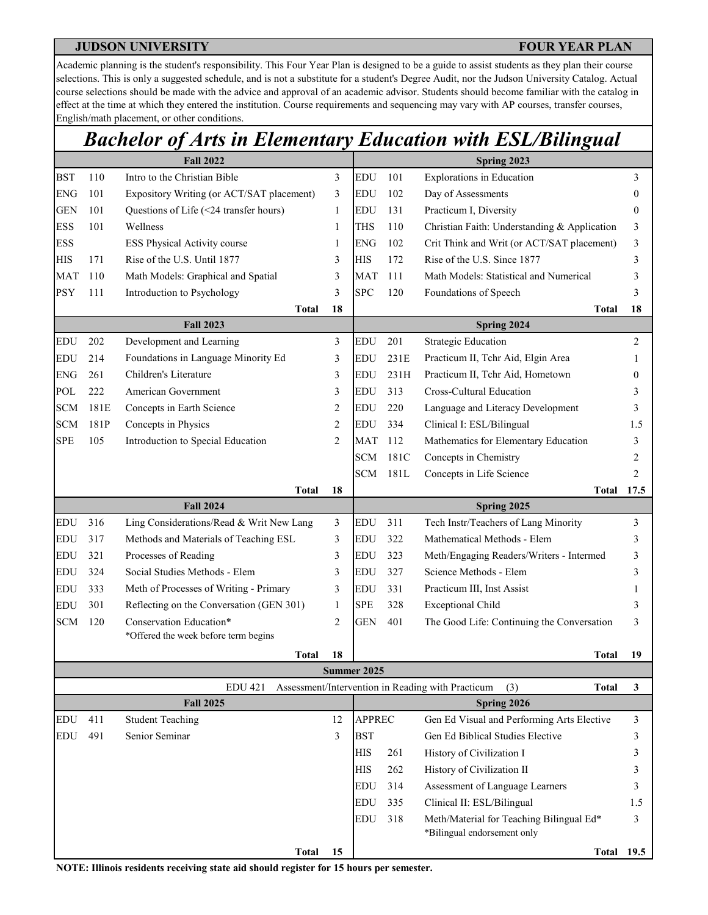Academic planning is the student's responsibility. This Four Year Plan is designed to be a guide to assist students as they plan their course selections. This is only a suggested schedule, and is not a substitute for a student's Degree Audit, nor the Judson University Catalog. Actual course selections should be made with the advice and approval of an academic advisor. Students should become familiar with the catalog in effect at the time at which they entered the institution. Course requirements and sequencing may vary with AP courses, transfer courses, English/math placement, or other conditions.

## *Bachelor of Arts in Elementary Education with ESL/Bilingual*

|            | <b>Fall 2022</b>   |                                                              |                |               |      | Spring 2023                                                              |              |  |  |  |  |
|------------|--------------------|--------------------------------------------------------------|----------------|---------------|------|--------------------------------------------------------------------------|--------------|--|--|--|--|
| <b>BST</b> | 110                | Intro to the Christian Bible                                 | 3              | EDU           | 101  | <b>Explorations</b> in Education                                         | 3            |  |  |  |  |
| <b>ENG</b> | 101                | Expository Writing (or ACT/SAT placement)                    | 3              | EDU           | 102  | Day of Assessments                                                       | 0            |  |  |  |  |
| <b>GEN</b> | 101                | Questions of Life (<24 transfer hours)                       | 1              | <b>EDU</b>    | 131  | Practicum I, Diversity                                                   | $\mathbf{0}$ |  |  |  |  |
| <b>ESS</b> | 101                | Wellness                                                     | 1              | <b>THS</b>    | 110  | Christian Faith: Understanding & Application                             | 3            |  |  |  |  |
| <b>ESS</b> |                    | ESS Physical Activity course                                 | 1              | <b>ENG</b>    | 102  | Crit Think and Writ (or ACT/SAT placement)                               | 3            |  |  |  |  |
| <b>HIS</b> | 171                | Rise of the U.S. Until 1877                                  | 3              | <b>HIS</b>    | 172  | Rise of the U.S. Since 1877                                              | 3            |  |  |  |  |
| <b>MAT</b> | 110                | Math Models: Graphical and Spatial                           | 3              | <b>MAT</b>    | 111  | Math Models: Statistical and Numerical                                   | 3            |  |  |  |  |
| <b>PSY</b> | 111                | Introduction to Psychology                                   | 3              | <b>SPC</b>    | 120  | Foundations of Speech                                                    | 3            |  |  |  |  |
|            |                    | Total                                                        | 18             |               |      | Total                                                                    | 18           |  |  |  |  |
|            |                    | <b>Fall 2023</b>                                             |                |               |      | Spring 2024                                                              |              |  |  |  |  |
| <b>EDU</b> | 202                | Development and Learning                                     | 3              | EDU           | 201  | <b>Strategic Education</b>                                               | 2            |  |  |  |  |
| <b>EDU</b> | 214                | Foundations in Language Minority Ed                          | 3              | <b>EDU</b>    | 231E | Practicum II, Tchr Aid, Elgin Area                                       | 1            |  |  |  |  |
| <b>ENG</b> | 261                | Children's Literature                                        | 3              | <b>EDU</b>    | 231H | Practicum II, Tchr Aid, Hometown                                         | 0            |  |  |  |  |
| POL        | 222                | American Government                                          | 3              | <b>EDU</b>    | 313  | Cross-Cultural Education                                                 | 3            |  |  |  |  |
| <b>SCM</b> | 181E               | Concepts in Earth Science                                    | 2              | <b>EDU</b>    | 220  | Language and Literacy Development                                        | 3            |  |  |  |  |
| <b>SCM</b> | 181P               | Concepts in Physics                                          | $\overline{2}$ | EDU           | 334  | Clinical I: ESL/Bilingual                                                | 1.5          |  |  |  |  |
| <b>SPE</b> | 105                | Introduction to Special Education                            | $\overline{c}$ | <b>MAT</b>    | 112  | Mathematics for Elementary Education                                     | 3            |  |  |  |  |
|            |                    |                                                              |                | <b>SCM</b>    | 181C | Concepts in Chemistry                                                    | 2            |  |  |  |  |
|            |                    |                                                              |                | <b>SCM</b>    | 181L | Concepts in Life Science                                                 | 2            |  |  |  |  |
|            | <b>Total</b><br>18 |                                                              |                |               |      | <b>Total</b>                                                             | 17.5         |  |  |  |  |
| <b>EDU</b> | 316                | <b>Fall 2024</b><br>Ling Considerations/Read & Writ New Lang | 3              | EDU           | 311  | Spring 2025<br>Tech Instr/Teachers of Lang Minority                      | 3            |  |  |  |  |
| EDU        | 317                | Methods and Materials of Teaching ESL                        | 3              | <b>EDU</b>    | 322  | Mathematical Methods - Elem                                              | 3            |  |  |  |  |
| EDU        | 321                | Processes of Reading                                         | 3              | EDU           | 323  | Meth/Engaging Readers/Writers - Intermed                                 | 3            |  |  |  |  |
| EDU        | 324                | Social Studies Methods - Elem                                | 3              | <b>EDU</b>    | 327  | Science Methods - Elem                                                   | 3            |  |  |  |  |
| EDU        | 333                | Meth of Processes of Writing - Primary                       | 3              | EDU           | 331  | Practicum III, Inst Assist                                               |              |  |  |  |  |
| EDU        | 301                | Reflecting on the Conversation (GEN 301)                     | 1              | <b>SPE</b>    | 328  | <b>Exceptional Child</b>                                                 | 3            |  |  |  |  |
| <b>SCM</b> | 120                | Conservation Education*                                      | $\overline{2}$ | <b>GEN</b>    | 401  | The Good Life: Continuing the Conversation                               | 3            |  |  |  |  |
|            |                    | *Offered the week before term begins                         |                |               |      |                                                                          |              |  |  |  |  |
|            |                    | <b>Total</b>                                                 | 18             |               |      | <b>Total</b>                                                             | 19           |  |  |  |  |
|            |                    |                                                              |                | Summer 2025   |      |                                                                          |              |  |  |  |  |
|            |                    | <b>EDU 421</b>                                               |                |               |      | Assessment/Intervention in Reading with Practicum<br>(3)<br><b>Total</b> | 3            |  |  |  |  |
|            |                    | <b>Fall 2025</b>                                             |                |               |      | Spring 2026                                                              |              |  |  |  |  |
| EDU        | 411                | <b>Student Teaching</b>                                      | 12             | <b>APPREC</b> |      | Gen Ed Visual and Performing Arts Elective                               | 3            |  |  |  |  |
| EDU        | 491                | Senior Seminar                                               | 3              | <b>BST</b>    |      | Gen Ed Biblical Studies Elective                                         | 3            |  |  |  |  |
|            |                    |                                                              |                | <b>HIS</b>    | 261  | History of Civilization I                                                | 3            |  |  |  |  |
|            |                    |                                                              |                | <b>HIS</b>    | 262  | History of Civilization II                                               | 3            |  |  |  |  |
|            |                    |                                                              |                | <b>EDU</b>    | 314  | Assessment of Language Learners                                          | 3            |  |  |  |  |
|            |                    |                                                              |                | <b>EDU</b>    | 335  | Clinical II: ESL/Bilingual                                               | 1.5          |  |  |  |  |
|            |                    |                                                              |                | <b>EDU</b>    | 318  | Meth/Material for Teaching Bilingual Ed*<br>*Bilingual endorsement only  | 3            |  |  |  |  |
|            |                    | <b>Total</b>                                                 | 15             |               |      | <b>Total 19.5</b>                                                        |              |  |  |  |  |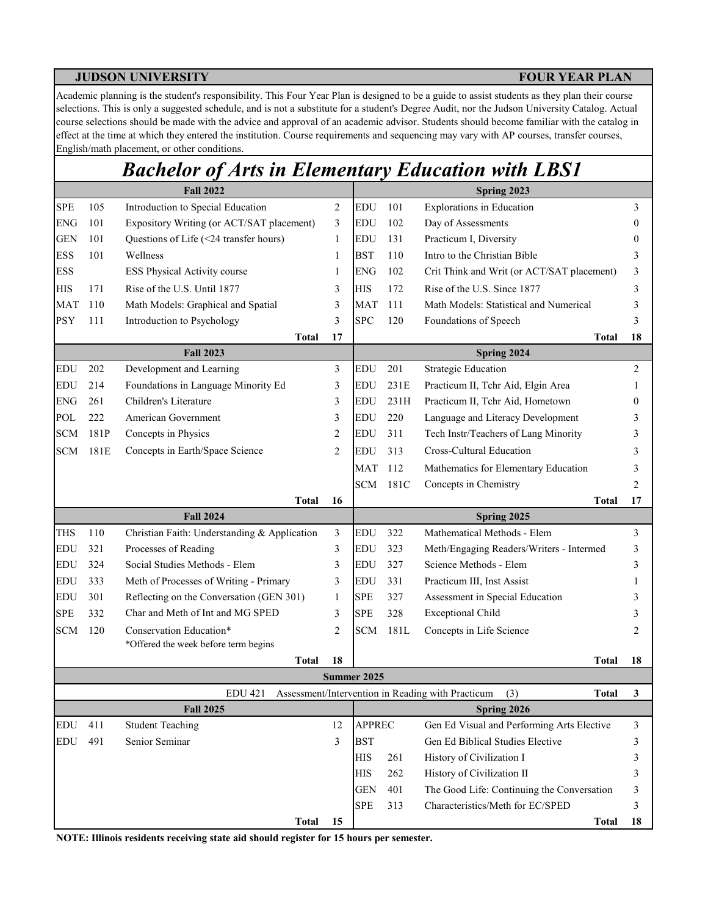Academic planning is the student's responsibility. This Four Year Plan is designed to be a guide to assist students as they plan their course selections. This is only a suggested schedule, and is not a substitute for a student's Degree Audit, nor the Judson University Catalog. Actual course selections should be made with the advice and approval of an academic advisor. Students should become familiar with the catalog in effect at the time at which they entered the institution. Course requirements and sequencing may vary with AP courses, transfer courses, English/math placement, or other conditions.

# *Bachelor of Arts in Elementary Education with LBS1*

|            |      | <b>Fall 2022</b>                             |                |                    |      | Spring 2023                                                                             |          |
|------------|------|----------------------------------------------|----------------|--------------------|------|-----------------------------------------------------------------------------------------|----------|
| <b>SPE</b> | 105  | Introduction to Special Education            | $\overline{2}$ | <b>EDU</b>         | 101  | Explorations in Education                                                               | 3        |
| <b>ENG</b> | 101  | Expository Writing (or ACT/SAT placement)    | 3              | <b>EDU</b>         | 102  | Day of Assessments                                                                      | $\theta$ |
| <b>GEN</b> | 101  | Questions of Life (<24 transfer hours)       | $\mathbf{1}$   | <b>EDU</b>         | 131  | Practicum I, Diversity                                                                  | 0        |
| <b>ESS</b> | 101  | Wellness                                     | 1              | <b>BST</b>         | 110  | Intro to the Christian Bible                                                            | 3        |
| <b>ESS</b> |      | ESS Physical Activity course                 | 1              | <b>ENG</b>         | 102  | Crit Think and Writ (or ACT/SAT placement)                                              | 3        |
| <b>HIS</b> | 171  | Rise of the U.S. Until 1877                  | 3              | <b>HIS</b>         | 172  | Rise of the U.S. Since 1877                                                             | 3        |
| <b>MAT</b> | 110  | Math Models: Graphical and Spatial           | 3              | <b>MAT</b>         | 111  | Math Models: Statistical and Numerical                                                  | 3        |
| <b>PSY</b> | 111  | Introduction to Psychology                   | 3              | <b>SPC</b>         | 120  | Foundations of Speech                                                                   | 3        |
|            |      | Total                                        | 17             |                    |      | <b>Total</b>                                                                            | 18       |
|            |      | <b>Fall 2023</b>                             |                |                    |      | Spring 2024                                                                             |          |
| <b>EDU</b> | 202  | Development and Learning                     | 3              | <b>EDU</b>         | 201  | <b>Strategic Education</b>                                                              | 2        |
| <b>EDU</b> | 214  | Foundations in Language Minority Ed          | 3              | <b>EDU</b>         | 231E | Practicum II, Tchr Aid, Elgin Area                                                      | 1        |
| <b>ENG</b> | 261  | Children's Literature                        | 3              | <b>EDU</b>         | 231H | Practicum II, Tchr Aid, Hometown                                                        | 0        |
| POL        | 222  | American Government                          | 3              | <b>EDU</b>         | 220  | Language and Literacy Development                                                       | 3        |
| <b>SCM</b> | 181P | Concepts in Physics                          | 2              | <b>EDU</b>         | 311  | Tech Instr/Teachers of Lang Minority                                                    | 3        |
| <b>SCM</b> | 181E | Concepts in Earth/Space Science              | 2              | <b>EDU</b>         | 313  | Cross-Cultural Education                                                                | 3        |
|            |      |                                              |                | <b>MAT</b>         | 112  | Mathematics for Elementary Education                                                    | 3        |
|            |      |                                              |                | <b>SCM</b>         | 181C | Concepts in Chemistry                                                                   | 2        |
|            |      | <b>Total</b>                                 | 16             |                    |      | <b>Total</b>                                                                            | 17       |
|            |      | <b>Fall 2024</b>                             |                |                    |      | Spring 2025                                                                             |          |
| <b>THS</b> | 110  | Christian Faith: Understanding & Application | 3              | <b>EDU</b>         | 322  | Mathematical Methods - Elem                                                             | 3        |
| <b>EDU</b> | 321  | Processes of Reading                         | 3              | EDU                | 323  | Meth/Engaging Readers/Writers - Intermed                                                | 3        |
| <b>EDU</b> | 324  | Social Studies Methods - Elem                | 3              | <b>EDU</b>         | 327  | Science Methods - Elem                                                                  | 3        |
| <b>EDU</b> | 333  | Meth of Processes of Writing - Primary       | 3              | <b>EDU</b>         | 331  | Practicum III, Inst Assist                                                              | 1        |
| <b>EDU</b> | 301  | Reflecting on the Conversation (GEN 301)     | 1              | <b>SPE</b>         | 327  | Assessment in Special Education                                                         | 3        |
| <b>SPE</b> | 332  | Char and Meth of Int and MG SPED             | 3              | <b>SPE</b>         | 328  | <b>Exceptional Child</b>                                                                | 3        |
| <b>SCM</b> | 120  | Conservation Education*                      | 2              | <b>SCM</b>         | 181L | Concepts in Life Science                                                                | 2        |
|            |      | *Offered the week before term begins         |                |                    |      |                                                                                         |          |
|            |      | <b>Total</b>                                 | 18             | <b>Summer 2025</b> |      | <b>Total</b>                                                                            | 18       |
|            |      |                                              |                |                    |      |                                                                                         |          |
|            |      | <b>EDU 421</b><br><b>Fall 2025</b>           |                |                    |      | Assessment/Intervention in Reading with Practicum<br>(3)<br><b>Total</b><br>Spring 2026 | 3        |
| <b>EDU</b> | 411  | <b>Student Teaching</b>                      | 12             | <b>APPREC</b>      |      | Gen Ed Visual and Performing Arts Elective                                              | 3        |
| <b>EDU</b> | 491  | Senior Seminar                               | 3              | <b>BST</b>         |      | Gen Ed Biblical Studies Elective                                                        | 3        |
|            |      |                                              |                | <b>HIS</b>         | 261  | History of Civilization I                                                               | 3        |
|            |      |                                              |                | <b>HIS</b>         | 262  | History of Civilization II                                                              | 3        |
|            |      |                                              |                | <b>GEN</b>         | 401  | The Good Life: Continuing the Conversation                                              | 3        |
|            |      |                                              |                | <b>SPE</b>         | 313  | Characteristics/Meth for EC/SPED                                                        | 3        |
|            |      | <b>Total</b>                                 | 15             |                    |      | <b>Total</b>                                                                            | 18       |
|            |      |                                              |                |                    |      |                                                                                         |          |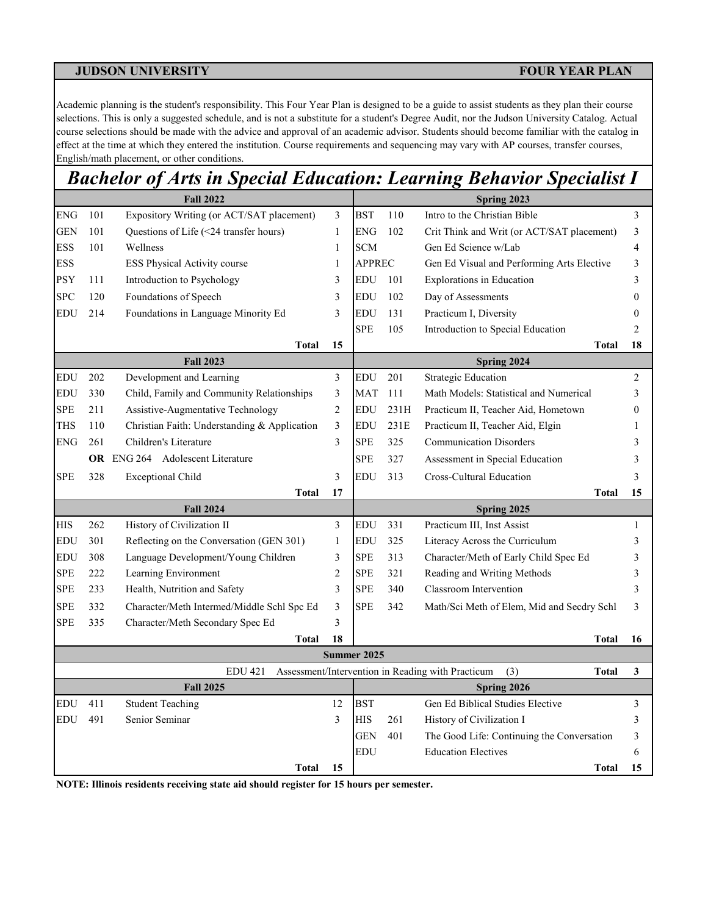Academic planning is the student's responsibility. This Four Year Plan is designed to be a guide to assist students as they plan their course selections. This is only a suggested schedule, and is not a substitute for a student's Degree Audit, nor the Judson University Catalog. Actual course selections should be made with the advice and approval of an academic advisor. Students should become familiar with the catalog in effect at the time at which they entered the institution. Course requirements and sequencing may vary with AP courses, transfer courses, English/math placement, or other conditions.

## *Bachelor of Arts in Special Education: Learning Behavior Specialist I*

|                          |            | <b>Fall 2022</b>                             |                      | Spring 2023              |      |                                                                          |                  |  |  |
|--------------------------|------------|----------------------------------------------|----------------------|--------------------------|------|--------------------------------------------------------------------------|------------------|--|--|
| <b>ENG</b>               | 101        | Expository Writing (or ACT/SAT placement)    | 3                    | <b>BST</b>               | 110  | Intro to the Christian Bible                                             | 3                |  |  |
| <b>GEN</b>               | 101        | Questions of Life (<24 transfer hours)       | $\mathbf{1}$         | <b>ENG</b>               | 102  | Crit Think and Writ (or ACT/SAT placement)                               | 3                |  |  |
| <b>ESS</b>               | 101        | Wellness                                     | $\mathbf{1}$         | <b>SCM</b>               |      | Gen Ed Science w/Lab                                                     | $\overline{4}$   |  |  |
| <b>ESS</b>               |            | ESS Physical Activity course                 | 1                    | <b>APPREC</b>            |      | Gen Ed Visual and Performing Arts Elective                               | $\mathfrak{Z}$   |  |  |
| <b>PSY</b>               | 111        | Introduction to Psychology                   | 3                    | EDU                      | 101  | <b>Explorations</b> in Education                                         | 3                |  |  |
| <b>SPC</b>               | 120        | Foundations of Speech                        | 3                    | <b>EDU</b>               | 102  | Day of Assessments                                                       | $\boldsymbol{0}$ |  |  |
| <b>EDU</b>               | 214        | Foundations in Language Minority Ed          | 3                    | <b>EDU</b>               | 131  | Practicum I, Diversity                                                   | $\mathbf{0}$     |  |  |
|                          |            |                                              |                      | SPE                      | 105  | Introduction to Special Education                                        | $\overline{2}$   |  |  |
|                          |            | <b>Total</b>                                 | 15                   |                          |      | <b>Total</b>                                                             | 18               |  |  |
|                          |            | <b>Fall 2023</b>                             |                      | Spring 2024              |      |                                                                          |                  |  |  |
| <b>EDU</b>               | 202        | Development and Learning                     | 3                    | <b>EDU</b>               | 201  | <b>Strategic Education</b>                                               | 2                |  |  |
| <b>EDU</b>               | 330        | Child, Family and Community Relationships    | 3                    | <b>MAT</b>               | 111  | Math Models: Statistical and Numerical                                   | 3                |  |  |
| <b>SPE</b>               | 211        | Assistive-Augmentative Technology            | $\mathbf{2}$         | <b>EDU</b>               | 231H | Practicum II, Teacher Aid, Hometown                                      | $\boldsymbol{0}$ |  |  |
| <b>THS</b>               | 110        | Christian Faith: Understanding & Application | 3                    | EDU                      | 231E | Practicum II, Teacher Aid, Elgin                                         | 1                |  |  |
| <b>ENG</b>               | 261        | Children's Literature                        | 3                    | SPE                      | 325  | <b>Communication Disorders</b>                                           | 3                |  |  |
|                          |            | <b>OR</b> ENG 264 Adolescent Literature      |                      | SPE                      | 327  | Assessment in Special Education                                          | 3                |  |  |
| <b>SPE</b>               | 328        | <b>Exceptional Child</b>                     | $\overline{3}$       | <b>EDU</b>               | 313  | <b>Cross-Cultural Education</b>                                          | 3                |  |  |
|                          |            | <b>Total</b>                                 | 17                   |                          |      | <b>Total</b>                                                             | 15               |  |  |
|                          |            | <b>Fall 2024</b>                             |                      |                          |      | Spring 2025                                                              |                  |  |  |
| <b>HIS</b>               | 262        | History of Civilization II                   | $\overline{3}$       | <b>EDU</b>               | 331  | Practicum III, Inst Assist                                               | $\mathbf{1}$     |  |  |
| <b>EDU</b>               | 301        | Reflecting on the Conversation (GEN 301)     | $\mathbf{1}$         | <b>EDU</b>               | 325  | Literacy Across the Curriculum                                           | 3                |  |  |
| <b>EDU</b>               | 308        | Language Development/Young Children          | 3                    | <b>SPE</b>               | 313  | Character/Meth of Early Child Spec Ed                                    | 3                |  |  |
| <b>SPE</b>               | 222        | Learning Environment                         | $\overline{c}$       | <b>SPE</b>               | 321  | Reading and Writing Methods                                              | 3                |  |  |
| <b>SPE</b>               | 233        | Health, Nutrition and Safety                 | 3                    | SPE                      | 340  | Classroom Intervention                                                   | 3                |  |  |
| <b>SPE</b>               | 332        | Character/Meth Intermed/Middle Schl Spc Ed   | 3                    | <b>SPE</b>               | 342  | Math/Sci Meth of Elem, Mid and Secdry Schl                               | 3                |  |  |
| <b>SPE</b>               | 335        | Character/Meth Secondary Spec Ed             | 3                    |                          |      |                                                                          |                  |  |  |
|                          |            | <b>Total</b>                                 | 18                   |                          |      | Total                                                                    | 16               |  |  |
|                          |            |                                              |                      | Summer 2025              |      |                                                                          |                  |  |  |
|                          |            | <b>EDU 421</b>                               |                      |                          |      | Assessment/Intervention in Reading with Practicum<br>(3)<br><b>Total</b> | 3                |  |  |
|                          |            | <b>Fall 2025</b>                             |                      |                          |      | Spring 2026<br>Gen Ed Biblical Studies Elective                          |                  |  |  |
| <b>EDU</b><br><b>EDU</b> | 411<br>491 | <b>Student Teaching</b><br>Senior Seminar    | 12<br>$\overline{3}$ | <b>BST</b><br><b>HIS</b> | 261  | History of Civilization I                                                | 3<br>3           |  |  |
|                          |            |                                              |                      | <b>GEN</b>               | 401  |                                                                          | 3                |  |  |
|                          |            |                                              |                      | <b>EDU</b>               |      | The Good Life: Continuing the Conversation<br><b>Education Electives</b> | 6                |  |  |
|                          |            | <b>Total</b>                                 | 15                   |                          |      | <b>Total</b>                                                             | 15               |  |  |
|                          |            |                                              |                      |                          |      |                                                                          |                  |  |  |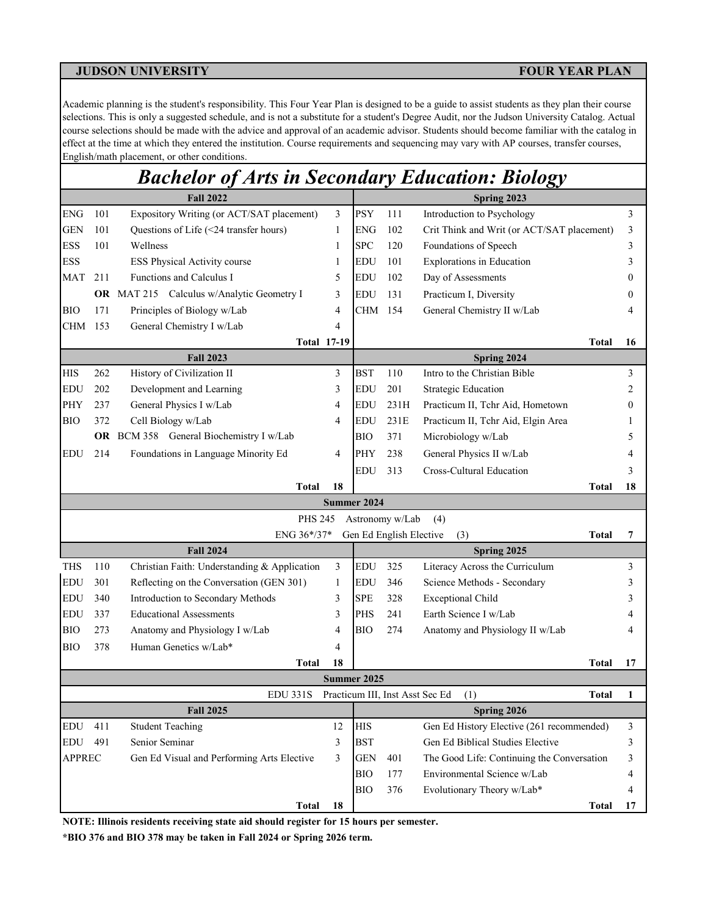Academic planning is the student's responsibility. This Four Year Plan is designed to be a guide to assist students as they plan their course selections. This is only a suggested schedule, and is not a substitute for a student's Degree Audit, nor the Judson University Catalog. Actual course selections should be made with the advice and approval of an academic advisor. Students should become familiar with the catalog in effect at the time at which they entered the institution. Course requirements and sequencing may vary with AP courses, transfer courses, English/math placement, or other conditions.

## *Bachelor of Arts in Secondary Education: Biology*

|               |     | <b>Fall 2022</b>                             |    | Spring 2023 |                         |                                                 |    |  |  |
|---------------|-----|----------------------------------------------|----|-------------|-------------------------|-------------------------------------------------|----|--|--|
| ${\rm ENG}$   | 101 | Expository Writing (or ACT/SAT placement)    | 3  | <b>PSY</b>  | 111                     | Introduction to Psychology                      | 3  |  |  |
| <b>GEN</b>    | 101 | Questions of Life (<24 transfer hours)       | 1  | <b>ENG</b>  | 102                     | Crit Think and Writ (or ACT/SAT placement)      | 3  |  |  |
| <b>ESS</b>    | 101 | Wellness                                     | 1  | <b>SPC</b>  | 120                     | Foundations of Speech                           | 3  |  |  |
| <b>ESS</b>    |     | ESS Physical Activity course                 | 1  | <b>EDU</b>  | 101                     | Explorations in Education                       | 3  |  |  |
| MAT           | 211 | Functions and Calculus I                     | 5  | <b>EDU</b>  | 102                     | Day of Assessments                              |    |  |  |
|               |     | OR MAT 215 Calculus w/Analytic Geometry I    | 3  | <b>EDU</b>  | 131                     | Practicum I, Diversity                          |    |  |  |
| <b>BIO</b>    | 171 | Principles of Biology w/Lab                  | 4  | CHM         | 154                     | General Chemistry II w/Lab                      |    |  |  |
| CHM           | 153 | General Chemistry I w/Lab                    | 4  |             |                         |                                                 |    |  |  |
|               |     | <b>Total 17-19</b>                           |    |             |                         | Total                                           | 16 |  |  |
|               |     | <b>Fall 2023</b>                             |    |             |                         | Spring 2024                                     |    |  |  |
| <b>HIS</b>    | 262 | History of Civilization II                   | 3  | <b>BST</b>  | 110                     | Intro to the Christian Bible                    | 3  |  |  |
| <b>EDU</b>    | 202 | Development and Learning                     | 3  | <b>EDU</b>  | 201                     | <b>Strategic Education</b>                      | 2  |  |  |
| PHY           | 237 | General Physics I w/Lab                      | 4  | <b>EDU</b>  | 231H                    | Practicum II, Tchr Aid, Hometown                |    |  |  |
| <b>BIO</b>    | 372 | Cell Biology w/Lab                           | 4  | <b>EDU</b>  | 231E                    | Practicum II, Tchr Aid, Elgin Area              |    |  |  |
|               |     | OR BCM 358 General Biochemistry I w/Lab      |    | <b>BIO</b>  | 371                     | Microbiology w/Lab                              |    |  |  |
| <b>EDU</b>    | 214 | Foundations in Language Minority Ed          | 4  | PHY         | 238                     | General Physics II w/Lab                        |    |  |  |
|               |     |                                              |    | <b>EDU</b>  | 313                     | Cross-Cultural Education                        |    |  |  |
|               |     | <b>Total</b>                                 | 18 |             |                         | Total                                           | 18 |  |  |
|               |     |                                              |    | Summer 2024 |                         |                                                 |    |  |  |
|               |     | <b>PHS 245</b>                               |    |             | Astronomy w/Lab         | (4)                                             |    |  |  |
|               |     | ENG 36*/37*                                  |    |             | Gen Ed English Elective | (3)<br>Total                                    | 7  |  |  |
|               |     | <b>Fall 2024</b>                             |    |             |                         | Spring 2025                                     |    |  |  |
| <b>THS</b>    | 110 | Christian Faith: Understanding & Application | 3  | <b>EDU</b>  | 325                     | Literacy Across the Curriculum                  | 3  |  |  |
| <b>EDU</b>    | 301 | Reflecting on the Conversation (GEN 301)     | 1  | <b>EDU</b>  | 346                     | Science Methods - Secondary                     | 3  |  |  |
| <b>EDU</b>    | 340 | Introduction to Secondary Methods            | 3  | <b>SPE</b>  | 328                     | <b>Exceptional Child</b>                        |    |  |  |
| EDU           | 337 | <b>Educational Assessments</b>               | 3  | PHS         | 241                     | Earth Science I w/Lab                           |    |  |  |
| BIO           | 273 | Anatomy and Physiology I w/Lab               | 4  | BІO         | 274                     | Anatomy and Physiology II w/Lab                 |    |  |  |
| <b>BIO</b>    | 378 | Human Genetics w/Lab*                        | 4  |             |                         |                                                 |    |  |  |
|               |     | <b>Total</b>                                 | 18 |             |                         | <b>Total</b>                                    | 17 |  |  |
|               |     |                                              |    | Summer 2025 |                         |                                                 |    |  |  |
|               |     | <b>EDU 331S</b>                              |    |             |                         | Practicum III, Inst Asst Sec Ed<br>(1)<br>Total | 1  |  |  |
|               |     | <b>Fall 2025</b>                             |    |             |                         | Spring 2026                                     |    |  |  |
| EDU           | 411 | <b>Student Teaching</b>                      | 12 | HIS         |                         | Gen Ed History Elective (261 recommended)       | 3  |  |  |
| <b>EDU</b>    | 491 | Senior Seminar                               | 3  | <b>BST</b>  |                         | Gen Ed Biblical Studies Elective                | 3  |  |  |
| <b>APPREC</b> |     | Gen Ed Visual and Performing Arts Elective   | 3  | <b>GEN</b>  | 401                     | The Good Life: Continuing the Conversation      | 3  |  |  |
|               |     |                                              |    | <b>BIO</b>  | 177                     | Environmental Science w/Lab                     | 4  |  |  |
|               |     |                                              |    | BIO         | 376                     | Evolutionary Theory w/Lab*                      |    |  |  |
|               |     | <b>Total</b>                                 | 18 |             |                         | <b>Total</b>                                    | 17 |  |  |

**NOTE: Illinois residents receiving state aid should register for 15 hours per semester.**

**\*BIO 376 and BIO 378 may be taken in Fall 2024 or Spring 2026 term.**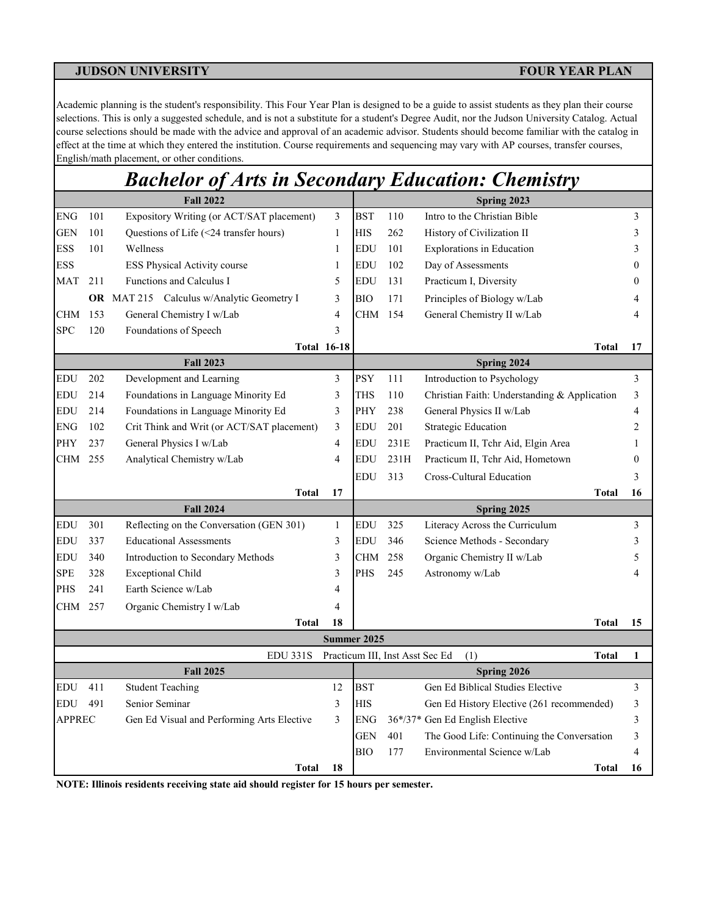Academic planning is the student's responsibility. This Four Year Plan is designed to be a guide to assist students as they plan their course selections. This is only a suggested schedule, and is not a substitute for a student's Degree Audit, nor the Judson University Catalog. Actual course selections should be made with the advice and approval of an academic advisor. Students should become familiar with the catalog in effect at the time at which they entered the institution. Course requirements and sequencing may vary with AP courses, transfer courses, English/math placement, or other conditions.

## *Bachelor of Arts in Secondary Education: Chemistry*

|               | <b>Fall 2022</b> |                                            |              | Spring 2023 |      |                                                 |                |  |
|---------------|------------------|--------------------------------------------|--------------|-------------|------|-------------------------------------------------|----------------|--|
| ENG           | 101              | Expository Writing (or ACT/SAT placement)  | 3            | <b>BST</b>  | 110  | Intro to the Christian Bible                    | 3              |  |
| <b>GEN</b>    | 101              | Questions of Life (<24 transfer hours)     | $\mathbf{1}$ | <b>HIS</b>  | 262  | History of Civilization II                      | 3              |  |
| ESS           | 101              | Wellness                                   | 1            | <b>EDU</b>  | 101  | <b>Explorations</b> in Education                | 3              |  |
| ESS           |                  | ESS Physical Activity course               | $\mathbf{1}$ | <b>EDU</b>  | 102  | Day of Assessments                              | $\overline{0}$ |  |
| MAT           | 211              | Functions and Calculus I                   | 5            | <b>EDU</b>  | 131  | Practicum I, Diversity                          | 0              |  |
|               |                  | OR MAT 215 Calculus w/Analytic Geometry I  | 3            | BIO         | 171  | Principles of Biology w/Lab                     | 4              |  |
| $\rm CHM$     | 153              | General Chemistry I w/Lab                  | 4            | CHM         | 154  | General Chemistry II w/Lab                      | 4              |  |
| <b>SPC</b>    | 120              | Foundations of Speech                      | 3            |             |      |                                                 |                |  |
|               |                  | <b>Total 16-18</b>                         |              |             |      | Total                                           | 17             |  |
|               |                  | <b>Fall 2023</b>                           |              |             |      | Spring 2024                                     |                |  |
| <b>EDU</b>    | 202              | Development and Learning                   | 3            | <b>PSY</b>  | 111  | Introduction to Psychology                      | 3              |  |
| <b>EDU</b>    | 214              | Foundations in Language Minority Ed        | 3            | THS         | 110  | Christian Faith: Understanding & Application    | 3              |  |
| EDU           | 214              | Foundations in Language Minority Ed        | 3            | PHY         | 238  | General Physics II w/Lab                        | 4              |  |
| <b>ENG</b>    | 102              | Crit Think and Writ (or ACT/SAT placement) | 3            | <b>EDU</b>  | 201  | <b>Strategic Education</b>                      | 2              |  |
| PHY           | 237              | General Physics I w/Lab                    | 4            | <b>EDU</b>  | 231E | Practicum II, Tchr Aid, Elgin Area              | 1              |  |
| CHM           | 255              | Analytical Chemistry w/Lab                 | 4            | <b>EDU</b>  | 231H | Practicum II, Tchr Aid, Hometown                | $\overline{0}$ |  |
|               |                  |                                            |              | <b>EDU</b>  | 313  | Cross-Cultural Education                        | 3              |  |
|               |                  | <b>Total</b>                               | 17           |             |      | <b>Total</b>                                    | 16             |  |
|               |                  | <b>Fall 2024</b>                           |              |             |      | Spring 2025                                     |                |  |
| <b>EDU</b>    | 301              | Reflecting on the Conversation (GEN 301)   | $\mathbf{1}$ | <b>EDU</b>  | 325  | Literacy Across the Curriculum                  | 3              |  |
| <b>EDU</b>    | 337              | <b>Educational Assessments</b>             | 3            | <b>EDU</b>  | 346  | Science Methods - Secondary                     | 3              |  |
| EDU           | 340              | Introduction to Secondary Methods          | 3            | <b>CHM</b>  | 258  | Organic Chemistry II w/Lab                      | 5              |  |
| <b>SPE</b>    | 328              | <b>Exceptional Child</b>                   | 3            | <b>PHS</b>  | 245  | Astronomy w/Lab                                 | 4              |  |
| PHS           | 241              | Earth Science w/Lab                        | 4            |             |      |                                                 |                |  |
| CHM           | 257              | Organic Chemistry I w/Lab                  | 4            |             |      |                                                 |                |  |
|               |                  | <b>Total</b>                               | 18           |             |      | <b>Total</b>                                    | 15             |  |
|               |                  |                                            |              | Summer 2025 |      |                                                 |                |  |
|               |                  | <b>EDU 331S</b>                            |              |             |      | Practicum III, Inst Asst Sec Ed<br>(1)<br>Total | 1              |  |
|               |                  | <b>Fall 2025</b>                           |              |             |      | Spring 2026                                     |                |  |
| EDU           | 411              | <b>Student Teaching</b>                    | 12           | <b>BST</b>  |      | Gen Ed Biblical Studies Elective                | 3              |  |
| EDU           | 491              | Senior Seminar                             | 3            | HIS         |      | Gen Ed History Elective (261 recommended)       | 3              |  |
| <b>APPREC</b> |                  | Gen Ed Visual and Performing Arts Elective | 3            | <b>ENG</b>  |      | 36*/37* Gen Ed English Elective                 | 3              |  |
|               |                  |                                            |              | <b>GEN</b>  | 401  | The Good Life: Continuing the Conversation      | 3              |  |
|               |                  |                                            |              | <b>BIO</b>  | 177  | Environmental Science w/Lab                     | 4              |  |
|               |                  | <b>Total</b>                               | 18           |             |      | <b>Total</b>                                    | 16             |  |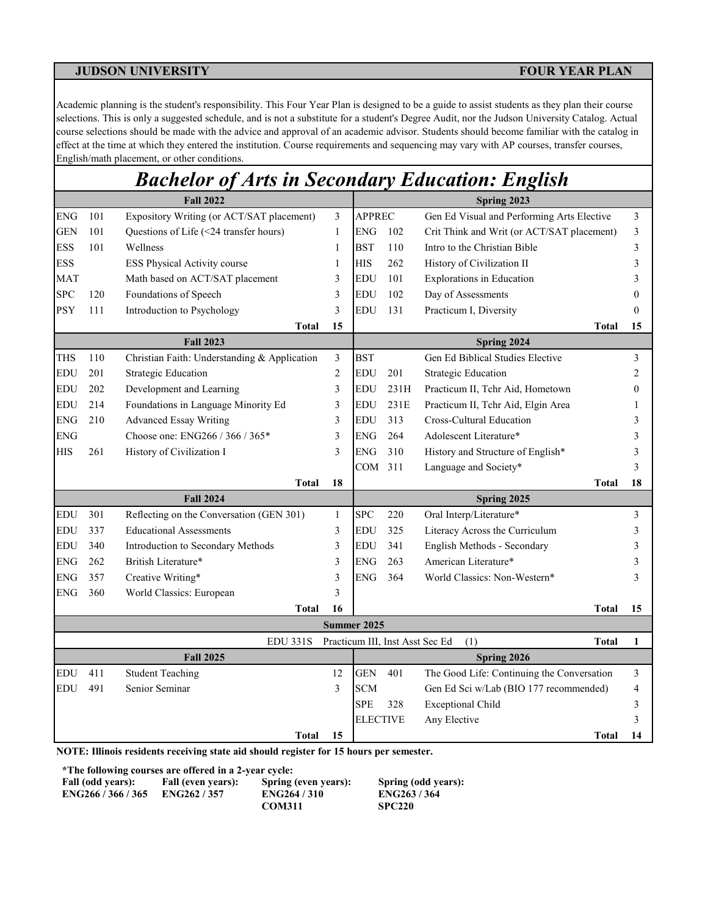Academic planning is the student's responsibility. This Four Year Plan is designed to be a guide to assist students as they plan their course selections. This is only a suggested schedule, and is not a substitute for a student's Degree Audit, nor the Judson University Catalog. Actual course selections should be made with the advice and approval of an academic advisor. Students should become familiar with the catalog in effect at the time at which they entered the institution. Course requirements and sequencing may vary with AP courses, transfer courses, English/math placement, or other conditions.

# *Bachelor of Arts in Secondary Education: English*

|            |     | <b>Fall 2022</b>                             |              | Spring 2023     |      |                                                        |                  |  |  |  |
|------------|-----|----------------------------------------------|--------------|-----------------|------|--------------------------------------------------------|------------------|--|--|--|
| <b>ENG</b> | 101 | Expository Writing (or ACT/SAT placement)    | 3            | <b>APPREC</b>   |      | Gen Ed Visual and Performing Arts Elective             | 3                |  |  |  |
| <b>GEN</b> | 101 | Questions of Life (<24 transfer hours)       | 1            | <b>ENG</b>      | 102  | Crit Think and Writ (or ACT/SAT placement)             | 3                |  |  |  |
| <b>ESS</b> | 101 | Wellness                                     | 1            | <b>BST</b>      | 110  | Intro to the Christian Bible                           | 3                |  |  |  |
| <b>ESS</b> |     | ESS Physical Activity course                 | 1            | HIS             | 262  | History of Civilization II                             | 3                |  |  |  |
| MAT        |     | Math based on ACT/SAT placement              | 3            | <b>EDU</b>      | 101  | <b>Explorations</b> in Education                       | 3                |  |  |  |
| <b>SPC</b> | 120 | Foundations of Speech                        | 3            | <b>EDU</b>      | 102  | Day of Assessments                                     | $\boldsymbol{0}$ |  |  |  |
| <b>PSY</b> | 111 | Introduction to Psychology                   | 3            | <b>EDU</b>      | 131  | Practicum I, Diversity                                 | $\mathbf{0}$     |  |  |  |
|            |     | <b>Total</b>                                 | 15           |                 |      | <b>Total</b>                                           | 15               |  |  |  |
|            |     | <b>Fall 2023</b>                             |              |                 |      | Spring 2024                                            |                  |  |  |  |
| <b>THS</b> | 110 | Christian Faith: Understanding & Application | 3            | <b>BST</b>      |      | Gen Ed Biblical Studies Elective                       | 3                |  |  |  |
| EDU        | 201 | <b>Strategic Education</b>                   | 2            | <b>EDU</b>      | 201  | <b>Strategic Education</b>                             | 2                |  |  |  |
| <b>EDU</b> | 202 | Development and Learning                     | 3            | <b>EDU</b>      | 231H | Practicum II, Tchr Aid, Hometown                       | $\boldsymbol{0}$ |  |  |  |
| <b>EDU</b> | 214 | Foundations in Language Minority Ed          | 3            | <b>EDU</b>      | 231E | Practicum II, Tchr Aid, Elgin Area                     | 1                |  |  |  |
| <b>ENG</b> | 210 | <b>Advanced Essay Writing</b>                | 3            | <b>EDU</b>      | 313  | Cross-Cultural Education                               | 3                |  |  |  |
| <b>ENG</b> |     | Choose one: ENG266 / 366 / 365*              | 3            | <b>ENG</b>      | 264  | Adolescent Literature*                                 | 3                |  |  |  |
| <b>HIS</b> | 261 | History of Civilization I                    | 3            | <b>ENG</b>      | 310  | History and Structure of English*                      | 3                |  |  |  |
|            |     |                                              |              | COM             | 311  | Language and Society*                                  | 3                |  |  |  |
|            |     | <b>Total</b>                                 | 18           |                 |      | Total                                                  | 18               |  |  |  |
|            |     | <b>Fall 2024</b>                             |              |                 |      | Spring 2025                                            |                  |  |  |  |
| <b>EDU</b> | 301 | Reflecting on the Conversation (GEN 301)     | $\mathbf{1}$ | <b>SPC</b>      | 220  | Oral Interp/Literature*                                | 3                |  |  |  |
| <b>EDU</b> | 337 | <b>Educational Assessments</b>               | 3            | <b>EDU</b>      | 325  | Literacy Across the Curriculum                         | 3                |  |  |  |
| <b>EDU</b> | 340 | Introduction to Secondary Methods            | 3            | <b>EDU</b>      | 341  | English Methods - Secondary                            | 3                |  |  |  |
| <b>ENG</b> | 262 | British Literature*                          | 3            | <b>ENG</b>      | 263  | American Literature*                                   | 3                |  |  |  |
| <b>ENG</b> | 357 | Creative Writing*                            | 3            | <b>ENG</b>      | 364  | World Classics: Non-Western*                           | 3                |  |  |  |
| <b>ENG</b> | 360 | World Classics: European                     | 3            |                 |      |                                                        |                  |  |  |  |
|            |     | <b>Total</b>                                 | 16           |                 |      | <b>Total</b>                                           | 15               |  |  |  |
|            |     |                                              |              | Summer 2025     |      |                                                        |                  |  |  |  |
|            |     | <b>EDU 331S</b>                              |              |                 |      | Practicum III, Inst Asst Sec Ed<br>(1)<br><b>Total</b> | 1                |  |  |  |
|            |     | <b>Fall 2025</b>                             |              |                 |      | Spring 2026                                            |                  |  |  |  |
| <b>EDU</b> | 411 | <b>Student Teaching</b>                      | 12           | <b>GEN</b>      | 401  | The Good Life: Continuing the Conversation             | 3                |  |  |  |
| <b>EDU</b> | 491 | Senior Seminar                               | 3            | <b>SCM</b>      |      | Gen Ed Sci w/Lab (BIO 177 recommended)                 | 4                |  |  |  |
|            |     |                                              |              | <b>SPE</b>      | 328  | <b>Exceptional Child</b>                               | 3                |  |  |  |
|            |     |                                              |              | <b>ELECTIVE</b> |      | Any Elective                                           | 3                |  |  |  |
|            |     | <b>Total</b>                                 | 15           |                 |      | <b>Total</b>                                           | 14               |  |  |  |

**NOTE: Illinois residents receiving state aid should register for 15 hours per semester.**

**\*The following courses are offered in a 2-year cycle:**

| Fall (odd years): | Fall (even years): | Spring (even yea  |
|-------------------|--------------------|-------------------|
| ENG266/366/365    | <b>ENG262/357</b>  | <b>ENG264/310</b> |
|                   |                    |                   |

**Fall (i.e.**): **Spring (odd years): ENG266 / 366 / 365 ENG262 / 357 ENG264 / 310 ENG263 / 364 COM311 SPC220**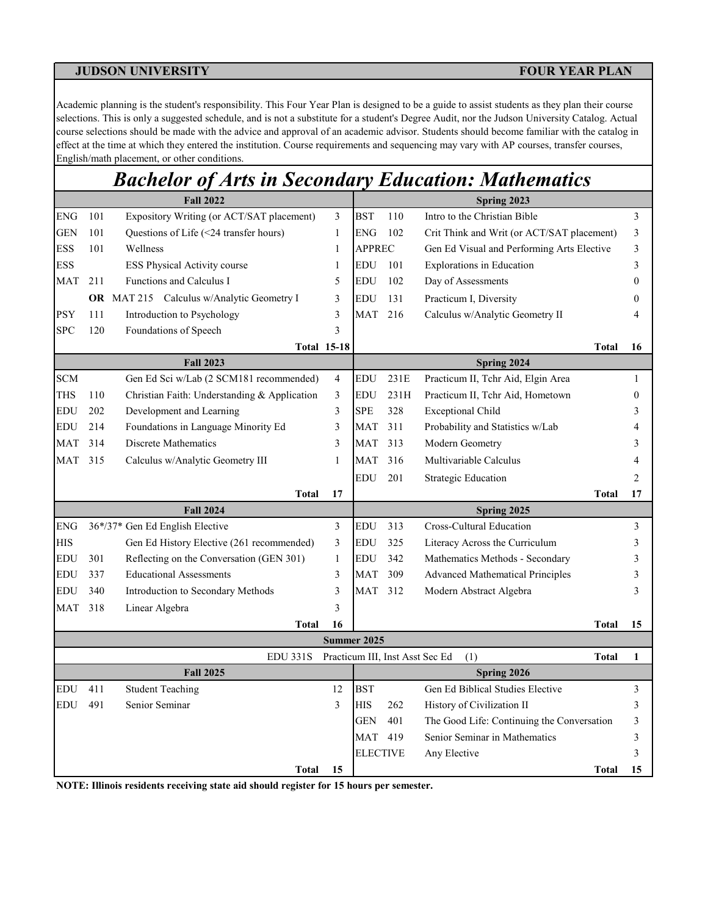Academic planning is the student's responsibility. This Four Year Plan is designed to be a guide to assist students as they plan their course selections. This is only a suggested schedule, and is not a substitute for a student's Degree Audit, nor the Judson University Catalog. Actual course selections should be made with the advice and approval of an academic advisor. Students should become familiar with the catalog in effect at the time at which they entered the institution. Course requirements and sequencing may vary with AP courses, transfer courses, English/math placement, or other conditions.

## *Bachelor of Arts in Secondary Education: Mathematics*

|            | <b>Fall 2022</b> |                                              |                    |                 | Spring 2023 |                                                        |                  |  |  |
|------------|------------------|----------------------------------------------|--------------------|-----------------|-------------|--------------------------------------------------------|------------------|--|--|
| ENG        | 101              | Expository Writing (or ACT/SAT placement)    | 3                  | <b>BST</b>      | 110         | Intro to the Christian Bible                           | 3                |  |  |
| <b>GEN</b> | 101              | Questions of Life (<24 transfer hours)       | 1                  | <b>ENG</b>      | 102         | Crit Think and Writ (or ACT/SAT placement)             | 3                |  |  |
| ESS        | 101              | Wellness                                     | $\mathbf{1}$       | <b>APPREC</b>   |             | Gen Ed Visual and Performing Arts Elective             | 3                |  |  |
| <b>ESS</b> |                  | ESS Physical Activity course                 | $\mathbf{1}$       | <b>EDU</b>      | 101         | Explorations in Education                              | 3                |  |  |
| MAT        | 211              | Functions and Calculus I                     | 5                  | <b>EDU</b>      | 102         | Day of Assessments                                     | $\boldsymbol{0}$ |  |  |
|            |                  | OR MAT 215 Calculus w/Analytic Geometry I    | 3                  | <b>EDU</b>      | 131         | Practicum I, Diversity                                 | 0                |  |  |
| <b>PSY</b> | 111              | Introduction to Psychology                   | 3                  | <b>MAT</b>      | 216         | Calculus w/Analytic Geometry II                        | 4                |  |  |
| <b>SPC</b> | 120              | Foundations of Speech                        | 3                  |                 |             |                                                        |                  |  |  |
|            |                  |                                              | <b>Total 15-18</b> |                 |             | <b>Total</b>                                           | 16               |  |  |
|            |                  | <b>Fall 2023</b>                             |                    |                 |             | Spring 2024                                            |                  |  |  |
| <b>SCM</b> |                  | Gen Ed Sci w/Lab (2 SCM181 recommended)      | 4                  | EDU             | 231E        | Practicum II, Tchr Aid, Elgin Area                     | 1                |  |  |
| <b>THS</b> | 110              | Christian Faith: Understanding & Application | 3                  | <b>EDU</b>      | 231H        | Practicum II, Tchr Aid, Hometown                       | $\boldsymbol{0}$ |  |  |
| <b>EDU</b> | 202              | Development and Learning                     | $\mathfrak{Z}$     | <b>SPE</b>      | 328         | <b>Exceptional Child</b>                               | 3                |  |  |
| EDU        | 214              | Foundations in Language Minority Ed          | 3                  | <b>MAT</b>      | 311         | Probability and Statistics w/Lab                       | 4                |  |  |
| MAT        | 314              | Discrete Mathematics                         | 3                  | <b>MAT</b>      | 313         | Modern Geometry                                        | 3                |  |  |
| MAT        | 315              | Calculus w/Analytic Geometry III             | 1                  | <b>MAT</b>      | 316         | Multivariable Calculus                                 | 4                |  |  |
|            |                  |                                              |                    | <b>EDU</b>      | 201         | <b>Strategic Education</b>                             | 2                |  |  |
|            |                  | <b>Total</b>                                 | 17                 |                 |             | <b>Total</b>                                           | 17               |  |  |
|            |                  | <b>Fall 2024</b>                             |                    |                 |             | Spring 2025                                            |                  |  |  |
| ENG        |                  | 36*/37* Gen Ed English Elective              | 3                  | <b>EDU</b>      | 313         | Cross-Cultural Education                               | 3                |  |  |
| HIS        |                  | Gen Ed History Elective (261 recommended)    | 3                  | <b>EDU</b>      | 325         | Literacy Across the Curriculum                         | 3                |  |  |
| <b>EDU</b> | 301              | Reflecting on the Conversation (GEN 301)     | $\mathbf{1}$       | <b>EDU</b>      | 342         | Mathematics Methods - Secondary                        | 3                |  |  |
| EDU        | 337              | <b>Educational Assessments</b>               | 3                  | <b>MAT</b>      | 309         | <b>Advanced Mathematical Principles</b>                | 3                |  |  |
| EDU        | 340              | Introduction to Secondary Methods            | 3                  | MAT             | 312         | Modern Abstract Algebra                                | 3                |  |  |
| MAT        | 318              | Linear Algebra                               | 3                  |                 |             |                                                        |                  |  |  |
|            |                  | <b>Total</b>                                 | 16                 |                 |             | <b>Total</b>                                           | 15               |  |  |
|            |                  |                                              |                    | Summer 2025     |             |                                                        |                  |  |  |
|            |                  | <b>EDU 331S</b>                              |                    |                 |             | Practicum III, Inst Asst Sec Ed<br>(1)<br><b>Total</b> | 1                |  |  |
|            |                  | <b>Fall 2025</b>                             |                    |                 |             | Spring 2026                                            |                  |  |  |
| EDU        | 411              | <b>Student Teaching</b>                      | 12                 | <b>BST</b>      |             | Gen Ed Biblical Studies Elective                       | 3                |  |  |
| EDU        | 491              | Senior Seminar                               | 3                  | <b>HIS</b>      | 262         | History of Civilization II                             | 3                |  |  |
|            |                  |                                              |                    | <b>GEN</b>      | 401         | The Good Life: Continuing the Conversation             | 3                |  |  |
|            |                  |                                              |                    | MAT             | 419         | Senior Seminar in Mathematics                          | 3                |  |  |
|            |                  |                                              |                    | <b>ELECTIVE</b> |             | Any Elective                                           | 3                |  |  |
|            |                  | <b>Total</b>                                 | 15                 |                 |             | <b>Total</b>                                           | 15               |  |  |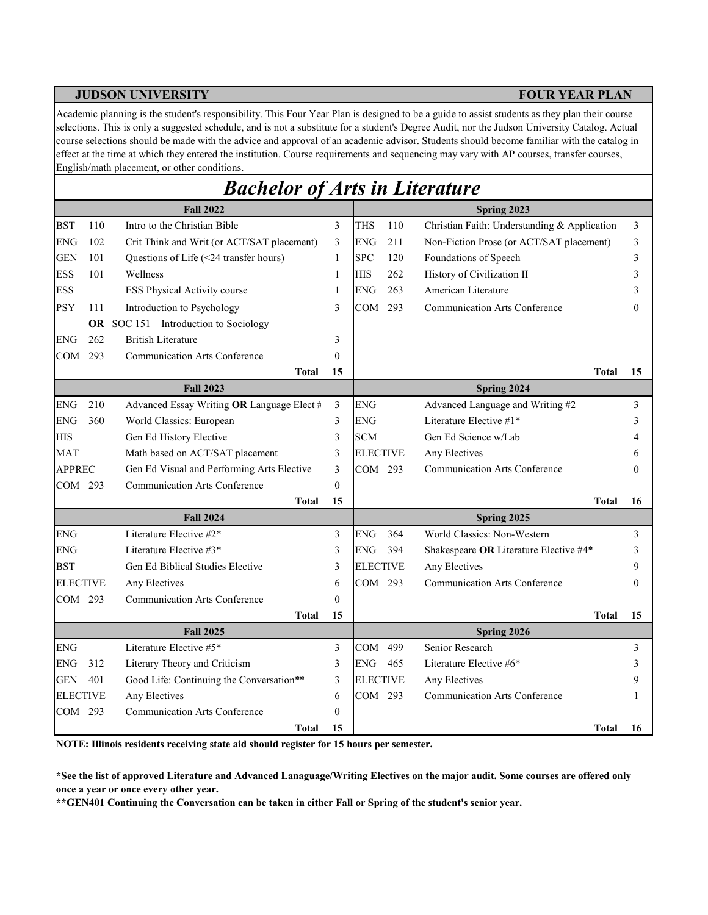Academic planning is the student's responsibility. This Four Year Plan is designed to be a guide to assist students as they plan their course selections. This is only a suggested schedule, and is not a substitute for a student's Degree Audit, nor the Judson University Catalog. Actual course selections should be made with the advice and approval of an academic advisor. Students should become familiar with the catalog in effect at the time at which they entered the institution. Course requirements and sequencing may vary with AP courses, transfer courses, English/math placement, or other conditions.

# *Bachelor of Arts in Literature*

|                 |     | <b>Fall 2022</b>                           |              | Spring 2023     |     |                                              |                |  |  |  |
|-----------------|-----|--------------------------------------------|--------------|-----------------|-----|----------------------------------------------|----------------|--|--|--|
| <b>BST</b>      | 110 | Intro to the Christian Bible               | 3            | <b>THS</b>      | 110 | Christian Faith: Understanding & Application | $\mathfrak{Z}$ |  |  |  |
| <b>ENG</b>      | 102 | Crit Think and Writ (or ACT/SAT placement) | 3            | <b>ENG</b>      | 211 | Non-Fiction Prose (or ACT/SAT placement)     | 3              |  |  |  |
| <b>GEN</b>      | 101 | Questions of Life (<24 transfer hours)     | $\mathbf{1}$ | <b>SPC</b>      | 120 | Foundations of Speech                        | 3              |  |  |  |
| <b>ESS</b>      | 101 | Wellness                                   | 1            | <b>HIS</b>      | 262 | History of Civilization II                   | 3              |  |  |  |
| <b>ESS</b>      |     | ESS Physical Activity course               | 1            | <b>ENG</b>      | 263 | American Literature                          | 3              |  |  |  |
| <b>PSY</b>      | 111 | Introduction to Psychology                 | 3            | COM             | 293 | <b>Communication Arts Conference</b>         | $\Omega$       |  |  |  |
|                 |     | OR SOC 151 Introduction to Sociology       |              |                 |     |                                              |                |  |  |  |
| <b>ENG</b>      | 262 | <b>British Literature</b>                  | 3            |                 |     |                                              |                |  |  |  |
| COM             | 293 | <b>Communication Arts Conference</b>       | $\theta$     |                 |     |                                              |                |  |  |  |
|                 |     | <b>Total</b>                               | 15           |                 |     | Total                                        | 15             |  |  |  |
|                 |     | <b>Fall 2023</b>                           |              |                 |     | Spring 2024                                  |                |  |  |  |
| <b>ENG</b>      | 210 | Advanced Essay Writing OR Language Elect # | 3            | <b>ENG</b>      |     | Advanced Language and Writing #2             | 3              |  |  |  |
| <b>ENG</b>      | 360 | World Classics: European                   | 3            | <b>ENG</b>      |     | Literature Elective #1*                      | 3              |  |  |  |
| <b>HIS</b>      |     | Gen Ed History Elective                    | 3            | <b>SCM</b>      |     | Gen Ed Science w/Lab                         |                |  |  |  |
| <b>MAT</b>      |     | Math based on ACT/SAT placement            | 3            | <b>ELECTIVE</b> |     | Any Electives                                | 6              |  |  |  |
| <b>APPREC</b>   |     | Gen Ed Visual and Performing Arts Elective | 3            | COM 293         |     | <b>Communication Arts Conference</b>         | 0              |  |  |  |
| COM 293         |     | <b>Communication Arts Conference</b>       | $\theta$     |                 |     |                                              |                |  |  |  |
|                 |     | <b>Total</b>                               | 15           |                 |     | Total                                        | 16             |  |  |  |
|                 |     | <b>Fall 2024</b>                           |              |                 |     | Spring 2025                                  |                |  |  |  |
| <b>ENG</b>      |     | Literature Elective #2*                    | 3            | ENG             | 364 | World Classics: Non-Western                  | 3              |  |  |  |
| <b>ENG</b>      |     | Literature Elective #3*                    | 3            | <b>ENG</b>      | 394 | Shakespeare OR Literature Elective #4*       | 3              |  |  |  |
| <b>BST</b>      |     | Gen Ed Biblical Studies Elective           | 3            | <b>ELECTIVE</b> |     | Any Electives                                | 9              |  |  |  |
| <b>ELECTIVE</b> |     | Any Electives                              | 6            | COM 293         |     | <b>Communication Arts Conference</b>         | $\Omega$       |  |  |  |
| COM 293         |     | <b>Communication Arts Conference</b>       | $\theta$     |                 |     |                                              |                |  |  |  |
|                 |     | <b>Total</b>                               | 15           |                 |     | <b>Total</b>                                 | 15             |  |  |  |
|                 |     | <b>Fall 2025</b>                           |              |                 |     | Spring 2026                                  |                |  |  |  |
| <b>ENG</b>      |     | Literature Elective #5*                    | 3            | COM             | 499 | Senior Research                              | 3              |  |  |  |
| <b>ENG</b>      | 312 | Literary Theory and Criticism              | 3            | <b>ENG</b>      | 465 | Literature Elective #6*                      | 3              |  |  |  |
| GEN             | 401 | Good Life: Continuing the Conversation**   | 3            | <b>ELECTIVE</b> |     | Any Electives                                | 9              |  |  |  |
| <b>ELECTIVE</b> |     | Any Electives                              | 6            | COM 293         |     | <b>Communication Arts Conference</b>         |                |  |  |  |
| COM 293         |     | <b>Communication Arts Conference</b>       | $\theta$     |                 |     |                                              |                |  |  |  |
|                 |     | <b>Total</b>                               | 15           |                 |     | <b>Total</b>                                 | 16             |  |  |  |

**NOTE: Illinois residents receiving state aid should register for 15 hours per semester.**

**\*See the list of approved Literature and Advanced Lanaguage/Writing Electives on the major audit. Some courses are offered only once a year or once every other year.**

**\*\*GEN401 Continuing the Conversation can be taken in either Fall or Spring of the student's senior year.**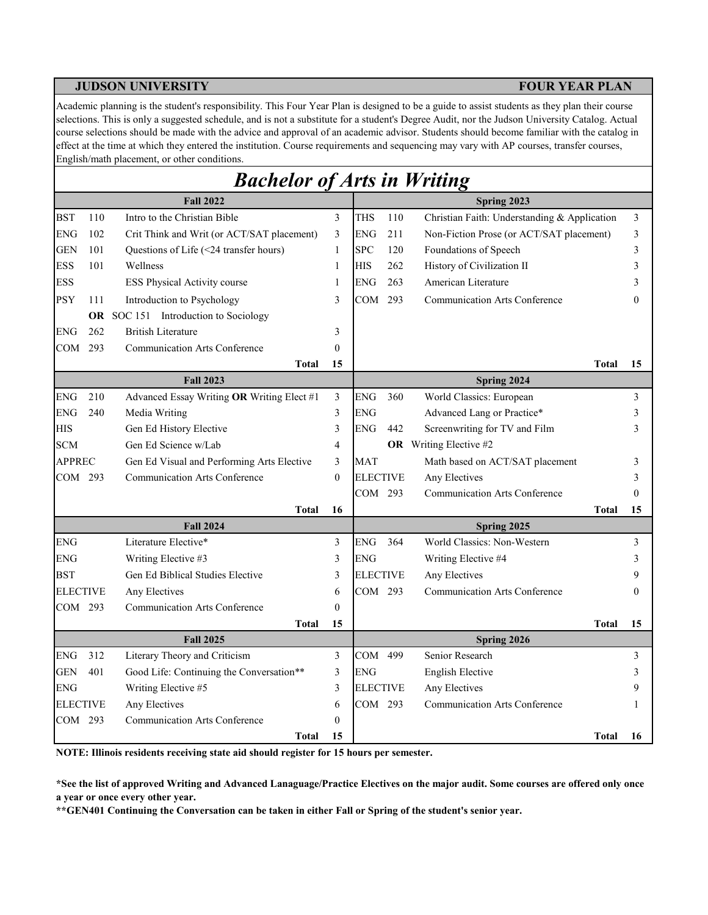Academic planning is the student's responsibility. This Four Year Plan is designed to be a guide to assist students as they plan their course selections. This is only a suggested schedule, and is not a substitute for a student's Degree Audit, nor the Judson University Catalog. Actual course selections should be made with the advice and approval of an academic advisor. Students should become familiar with the catalog in effect at the time at which they entered the institution. Course requirements and sequencing may vary with AP courses, transfer courses, English/math placement, or other conditions.

|                 |     | <b>Bachelor of Arts in Writing</b>         |                |                 |     |                                              |          |
|-----------------|-----|--------------------------------------------|----------------|-----------------|-----|----------------------------------------------|----------|
|                 |     | <b>Fall 2022</b>                           |                |                 |     | Spring 2023                                  |          |
| BST             | 110 | Intro to the Christian Bible               | 3              | <b>THS</b>      | 110 | Christian Faith: Understanding & Application | 3        |
| <b>ENG</b>      | 102 | Crit Think and Writ (or ACT/SAT placement) | 3              | <b>ENG</b>      | 211 | Non-Fiction Prose (or ACT/SAT placement)     | 3        |
| <b>GEN</b>      | 101 | Questions of Life (<24 transfer hours)     | 1              | <b>SPC</b>      | 120 | Foundations of Speech                        | 3        |
| <b>ESS</b>      | 101 | Wellness                                   | $\mathbf{1}$   | <b>HIS</b>      | 262 | History of Civilization II                   | 3        |
| ESS             |     | ESS Physical Activity course               | $\mathbf{1}$   | <b>ENG</b>      | 263 | American Literature                          | 3        |
| PSY             | 111 | Introduction to Psychology                 | 3              | COM 293         |     | <b>Communication Arts Conference</b>         | $\Omega$ |
|                 |     | OR SOC 151 Introduction to Sociology       |                |                 |     |                                              |          |
| ENG             | 262 | <b>British Literature</b>                  | 3              |                 |     |                                              |          |
| COM 293         |     | <b>Communication Arts Conference</b>       | $\theta$       |                 |     |                                              |          |
|                 |     | Total                                      | 15             |                 |     | Total                                        | 15       |
|                 |     | <b>Fall 2023</b>                           |                |                 |     | Spring 2024                                  |          |
| <b>ENG</b>      | 210 | Advanced Essay Writing OR Writing Elect #1 | 3              | <b>ENG</b>      | 360 | World Classics: European                     | 3        |
| ENG             | 240 | Media Writing                              | 3              | <b>ENG</b>      |     | Advanced Lang or Practice*                   | 3        |
| HIS             |     | Gen Ed History Elective                    | 3              | <b>ENG</b>      | 442 | Screenwriting for TV and Film                | 3        |
| <b>SCM</b>      |     | Gen Ed Science w/Lab                       | 4              |                 |     | <b>OR</b> Writing Elective #2                |          |
| <b>APPREC</b>   |     | Gen Ed Visual and Performing Arts Elective | 3              | <b>MAT</b>      |     | Math based on ACT/SAT placement              | 3        |
| COM 293         |     | <b>Communication Arts Conference</b>       | $\theta$       | <b>ELECTIVE</b> |     | Any Electives                                | 3        |
|                 |     |                                            |                | COM 293         |     | <b>Communication Arts Conference</b>         | $\Omega$ |
|                 |     | <b>Total</b>                               | 16             |                 |     | <b>Total</b>                                 | 15       |
|                 |     | <b>Fall 2024</b>                           |                |                 |     | Spring 2025                                  |          |
| <b>ENG</b>      |     | Literature Elective*                       | 3              | <b>ENG</b>      | 364 | World Classics: Non-Western                  | 3        |
| ENG             |     | Writing Elective #3                        | 3              | <b>ENG</b>      |     | Writing Elective #4                          | 3        |
| BST             |     | Gen Ed Biblical Studies Elective           | 3              | <b>ELECTIVE</b> |     | Any Electives                                | 9        |
| <b>ELECTIVE</b> |     | Any Electives                              | 6              | COM 293         |     | <b>Communication Arts Conference</b>         | $\theta$ |
| COM 293         |     | <b>Communication Arts Conference</b>       | $\theta$       |                 |     |                                              |          |
|                 |     | <b>Total</b>                               | 15             |                 |     | <b>Total</b>                                 | 15       |
|                 |     | <b>Fall 2025</b>                           |                |                 |     | Spring 2026                                  |          |
| <b>ENG</b>      | 312 | Literary Theory and Criticism              | $\mathfrak{Z}$ | COM             | 499 | Senior Research                              | 3        |
| <b>GEN</b>      | 401 | Good Life: Continuing the Conversation**   | 3              | <b>ENG</b>      |     | English Elective                             | 3        |
| <b>ENG</b>      |     | Writing Elective #5                        | 3              | <b>ELECTIVE</b> |     | Any Electives                                | 9        |
| <b>ELECTIVE</b> |     | Any Electives                              | 6              | COM 293         |     | <b>Communication Arts Conference</b>         | 1        |
| COM 293         |     | <b>Communication Arts Conference</b>       | $\mathbf{0}$   |                 |     |                                              |          |
|                 |     | <b>Total</b>                               | 15             |                 |     | <b>Total</b>                                 | 16       |

**NOTE: Illinois residents receiving state aid should register for 15 hours per semester.**

**\*See the list of approved Writing and Advanced Lanaguage/Practice Electives on the major audit. Some courses are offered only once a year or once every other year.**

**\*\*GEN401 Continuing the Conversation can be taken in either Fall or Spring of the student's senior year.**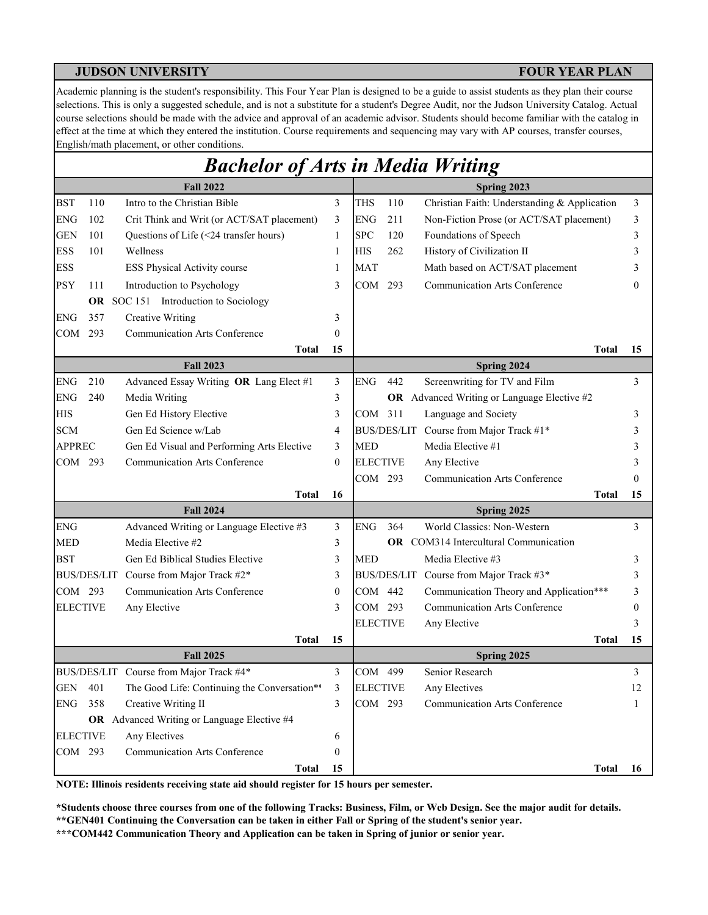Academic planning is the student's responsibility. This Four Year Plan is designed to be a guide to assist students as they plan their course selections. This is only a suggested schedule, and is not a substitute for a student's Degree Audit, nor the Judson University Catalog. Actual course selections should be made with the advice and approval of an academic advisor. Students should become familiar with the catalog in effect at the time at which they entered the institution. Course requirements and sequencing may vary with AP courses, transfer courses, English/math placement, or other conditions.

# *Bachelor of Arts in Media Writing*

|                 |     | <b>Fall 2022</b>                             |              |                 |     | Spring 2023                                        |    |
|-----------------|-----|----------------------------------------------|--------------|-----------------|-----|----------------------------------------------------|----|
| <b>BST</b>      | 110 | Intro to the Christian Bible                 | 3            | <b>THS</b>      | 110 | Christian Faith: Understanding & Application       | 3  |
| <b>ENG</b>      | 102 | Crit Think and Writ (or ACT/SAT placement)   | 3            | <b>ENG</b>      | 211 | Non-Fiction Prose (or ACT/SAT placement)           | 3  |
| <b>GEN</b>      | 101 | Questions of Life (<24 transfer hours)       | $\mathbf{1}$ | <b>SPC</b>      | 120 | Foundations of Speech                              | 3  |
| <b>ESS</b>      | 101 | Wellness                                     | $\mathbf{1}$ | <b>HIS</b>      | 262 | History of Civilization II                         | 3  |
| <b>ESS</b>      |     | ESS Physical Activity course                 | $\mathbf{1}$ | <b>MAT</b>      |     | Math based on ACT/SAT placement                    | 3  |
| <b>PSY</b>      | 111 | Introduction to Psychology                   | 3            | COM             | 293 | <b>Communication Arts Conference</b>               | 0  |
|                 |     | OR SOC 151 Introduction to Sociology         |              |                 |     |                                                    |    |
| <b>ENG</b>      | 357 | <b>Creative Writing</b>                      | 3            |                 |     |                                                    |    |
| COM             | 293 | <b>Communication Arts Conference</b>         | $\mathbf{0}$ |                 |     |                                                    |    |
|                 |     | <b>Total</b>                                 | 15           |                 |     | <b>Total</b>                                       | 15 |
|                 |     | <b>Fall 2023</b>                             |              |                 |     | Spring 2024                                        |    |
| ${\rm ENG}$     | 210 | Advanced Essay Writing OR Lang Elect #1      | 3            | <b>ENG</b>      | 442 | Screenwriting for TV and Film                      | 3  |
| <b>ENG</b>      | 240 | Media Writing                                | 3            |                 |     | <b>OR</b> Advanced Writing or Language Elective #2 |    |
| <b>HIS</b>      |     | Gen Ed History Elective                      | 3            | COM 311         |     | Language and Society                               | 3  |
| <b>SCM</b>      |     | Gen Ed Science w/Lab                         | 4            |                 |     | BUS/DES/LIT Course from Major Track #1*            | 3  |
| <b>APPREC</b>   |     | Gen Ed Visual and Performing Arts Elective   | 3            | <b>MED</b>      |     | Media Elective #1                                  | 3  |
| COM 293         |     | <b>Communication Arts Conference</b>         | $\mathbf{0}$ | <b>ELECTIVE</b> |     | Any Elective                                       | 3  |
|                 |     |                                              |              | COM 293         |     | <b>Communication Arts Conference</b>               | 0  |
|                 |     | <b>Total</b>                                 | 16           |                 |     | <b>Total</b>                                       | 15 |
|                 |     | <b>Fall 2024</b>                             |              |                 |     | Spring 2025                                        |    |
| <b>ENG</b>      |     | Advanced Writing or Language Elective #3     | 3            | <b>ENG</b>      | 364 | World Classics: Non-Western                        | 3  |
| <b>MED</b>      |     | Media Elective #2                            | 3            |                 |     | <b>OR</b> COM314 Intercultural Communication       |    |
| <b>BST</b>      |     | Gen Ed Biblical Studies Elective             | 3            | <b>MED</b>      |     | Media Elective #3                                  | 3  |
|                 |     | BUS/DES/LIT Course from Major Track #2*      | 3            |                 |     | BUS/DES/LIT Course from Major Track #3*            | 3  |
| COM 293         |     | <b>Communication Arts Conference</b>         | $\mathbf{0}$ | COM 442         |     | Communication Theory and Application***            | 3  |
| <b>ELECTIVE</b> |     | Any Elective                                 | 3            | COM 293         |     | <b>Communication Arts Conference</b>               | 0  |
|                 |     |                                              |              | <b>ELECTIVE</b> |     | Any Elective                                       | 3  |
|                 |     | <b>Total</b>                                 | 15           |                 |     | Total                                              | 15 |
|                 |     | <b>Fall 2025</b>                             |              |                 |     | Spring 2025                                        |    |
|                 |     | BUS/DES/LIT Course from Major Track #4*      | 3            | COM 499         |     | Senior Research                                    | 3  |
| <b>GEN</b>      | 401 | The Good Life: Continuing the Conversation** | 3            | <b>ELECTIVE</b> |     | Any Electives                                      | 12 |
| <b>ENG</b>      | 358 | Creative Writing II                          | 3            | COM 293         |     | <b>Communication Arts Conference</b>               | 1  |
|                 |     | OR Advanced Writing or Language Elective #4  |              |                 |     |                                                    |    |
| <b>ELECTIVE</b> |     | Any Electives                                | 6            |                 |     |                                                    |    |
| COM 293         |     | <b>Communication Arts Conference</b>         | $\mathbf{0}$ |                 |     |                                                    |    |
|                 |     | <b>Total</b>                                 | 15           |                 |     | Total                                              | 16 |

**NOTE: Illinois residents receiving state aid should register for 15 hours per semester.**

**\*Students choose three courses from one of the following Tracks: Business, Film, or Web Design. See the major audit for details.**

**\*\*GEN401 Continuing the Conversation can be taken in either Fall or Spring of the student's senior year.**

**\*\*\*COM442 Communication Theory and Application can be taken in Spring of junior or senior year.**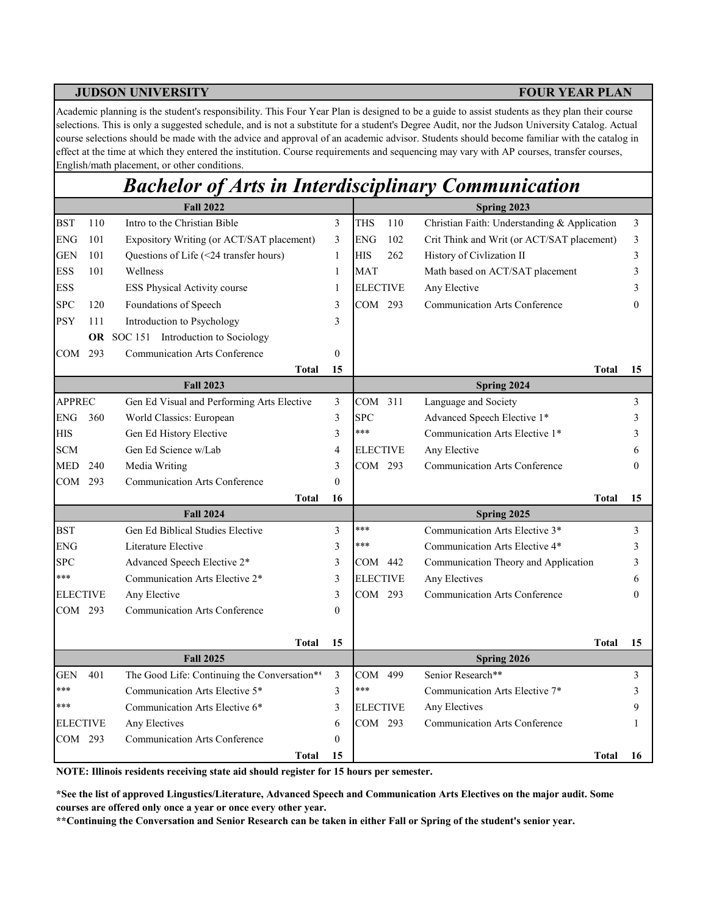Academic planning is the student's responsibility. This Four Year Plan is designed to be a guide to assist students as they plan their course selections. This is only a suggested schedule, and is not a substitute for a student's Degree Audit, nor the Judson University Catalog. Actual course selections should be made with the advice and approval of an academic advisor. Students should become familiar with the catalog in effect at the time at which they entered the institution. Course requirements and sequencing may vary with AP courses, transfer courses, English/math placement, or other conditions.

# *Bachelor of Arts in Interdisciplinary Communication*

|                   |     | <b>Fall 2022</b>                             |                  | Spring 2023       |                                              |          |  |  |  |  |  |
|-------------------|-----|----------------------------------------------|------------------|-------------------|----------------------------------------------|----------|--|--|--|--|--|
| <b>BST</b>        | 110 | Intro to the Christian Bible                 | 3                | 110<br><b>THS</b> | Christian Faith: Understanding & Application | 3        |  |  |  |  |  |
| <b>ENG</b>        | 101 | Expository Writing (or ACT/SAT placement)    | 3                | <b>ENG</b><br>102 | Crit Think and Writ (or ACT/SAT placement)   | 3        |  |  |  |  |  |
| GEN               | 101 | Questions of Life (<24 transfer hours)       | 1                | <b>HIS</b><br>262 | History of Civlization II                    | 3        |  |  |  |  |  |
| <b>ESS</b>        | 101 | Wellness                                     | $\mathbf{1}$     | <b>MAT</b>        | Math based on ACT/SAT placement              | 3        |  |  |  |  |  |
| <b>ESS</b>        |     | ESS Physical Activity course                 | 1                | <b>ELECTIVE</b>   | Any Elective                                 | 3        |  |  |  |  |  |
| <b>SPC</b>        | 120 | Foundations of Speech                        | 3                | COM 293           | <b>Communication Arts Conference</b>         | $\theta$ |  |  |  |  |  |
| <b>PSY</b>        | 111 | Introduction to Psychology                   | 3                |                   |                                              |          |  |  |  |  |  |
|                   |     | OR SOC 151 Introduction to Sociology         |                  |                   |                                              |          |  |  |  |  |  |
| COM               | 293 | <b>Communication Arts Conference</b>         | $\boldsymbol{0}$ |                   |                                              |          |  |  |  |  |  |
|                   |     | <b>Total</b>                                 | 15               |                   | <b>Total</b>                                 | 15       |  |  |  |  |  |
|                   |     | <b>Fall 2023</b>                             |                  |                   | Spring 2024                                  |          |  |  |  |  |  |
| <b>APPREC</b>     |     | Gen Ed Visual and Performing Arts Elective   | 3                | COM 311           | Language and Society                         | 3        |  |  |  |  |  |
| <b>ENG</b>        | 360 | World Classics: European                     | 3                | <b>SPC</b>        | Advanced Speech Elective 1*                  | 3        |  |  |  |  |  |
| <b>HIS</b>        |     | Gen Ed History Elective                      | 3                | ***               | Communication Arts Elective 1*               | 3        |  |  |  |  |  |
| $\mbox{SCM}$      |     | Gen Ed Science w/Lab                         | 4                | <b>ELECTIVE</b>   | Any Elective                                 | 6        |  |  |  |  |  |
| <b>MED</b>        | 240 | Media Writing                                | 3                | COM 293           | <b>Communication Arts Conference</b>         | $\theta$ |  |  |  |  |  |
| COM 293           |     | <b>Communication Arts Conference</b>         | $\theta$         |                   |                                              |          |  |  |  |  |  |
|                   |     | <b>Total</b>                                 | 16               |                   | Total                                        | 15       |  |  |  |  |  |
|                   |     | <b>Fall 2024</b>                             |                  |                   | Spring 2025                                  |          |  |  |  |  |  |
| <b>BST</b>        |     | Gen Ed Biblical Studies Elective             | 3                | ***               | Communication Arts Elective 3*               | 3        |  |  |  |  |  |
| <b>ENG</b>        |     | Literature Elective                          | 3                | ***               | Communication Arts Elective 4*               | 3        |  |  |  |  |  |
| <b>SPC</b>        |     | Advanced Speech Elective 2*                  | 3                | COM 442           | Communication Theory and Application         | 3        |  |  |  |  |  |
| ***               |     | Communication Arts Elective 2*               | 3                | <b>ELECTIVE</b>   | Any Electives                                | 6        |  |  |  |  |  |
| <b>ELECTIVE</b>   |     | Any Elective                                 | 3                | COM 293           | Communication Arts Conference                | $\Omega$ |  |  |  |  |  |
| COM 293           |     | <b>Communication Arts Conference</b>         | $\theta$         |                   |                                              |          |  |  |  |  |  |
|                   |     |                                              |                  |                   |                                              |          |  |  |  |  |  |
|                   |     | <b>Total</b>                                 | 15               |                   | Total                                        | 15       |  |  |  |  |  |
|                   |     | <b>Fall 2025</b>                             |                  |                   | Spring 2026<br>Senior Research**             |          |  |  |  |  |  |
| <b>GEN</b><br>*** | 401 | The Good Life: Continuing the Conversation** | 3                | COM 499<br>***    |                                              | 3        |  |  |  |  |  |
| ***               |     | Communication Arts Elective 5*               | 3                |                   | Communication Arts Elective 7*               | 3        |  |  |  |  |  |
|                   |     | Communication Arts Elective 6*               | 3                | <b>ELECTIVE</b>   | Any Electives                                | 9        |  |  |  |  |  |
| <b>ELECTIVE</b>   |     | Any Electives                                | 6                | COM 293           | <b>Communication Arts Conference</b>         | 1        |  |  |  |  |  |
| COM               | 293 | <b>Communication Arts Conference</b>         | $\boldsymbol{0}$ |                   |                                              |          |  |  |  |  |  |
|                   |     | <b>Total</b>                                 | 15               |                   | Total                                        | 16       |  |  |  |  |  |

**NOTE: Illinois residents receiving state aid should register for 15 hours per semester.**

**\*See the list of approved Lingustics/Literature, Advanced Speech and Communication Arts Electives on the major audit. Some courses are offered only once a year or once every other year.**

**\*\*Continuing the Conversation and Senior Research can be taken in either Fall or Spring of the student's senior year.**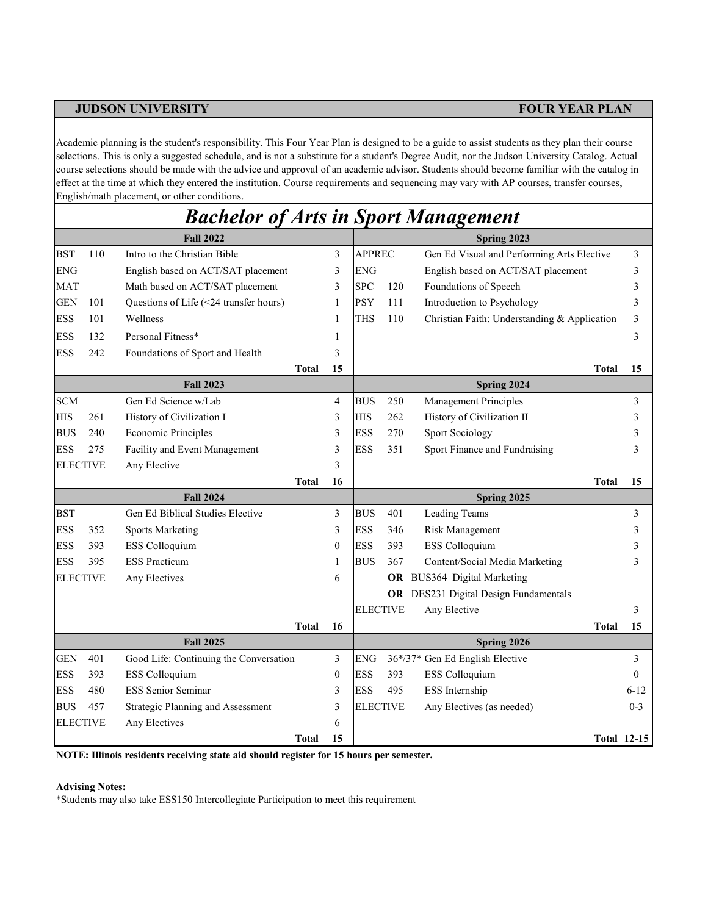Academic planning is the student's responsibility. This Four Year Plan is designed to be a guide to assist students as they plan their course selections. This is only a suggested schedule, and is not a substitute for a student's Degree Audit, nor the Judson University Catalog. Actual course selections should be made with the advice and approval of an academic advisor. Students should become familiar with the catalog in effect at the time at which they entered the institution. Course requirements and sequencing may vary with AP courses, transfer courses, English/math placement, or other conditions.

|            |                 | <b>Bachelor of Arts in Sport Management</b> |                  |               |                 |                                              |                    |
|------------|-----------------|---------------------------------------------|------------------|---------------|-----------------|----------------------------------------------|--------------------|
|            |                 | <b>Fall 2022</b>                            |                  |               |                 | Spring 2023                                  |                    |
| <b>BST</b> | 110             | Intro to the Christian Bible                | 3                | <b>APPREC</b> |                 | Gen Ed Visual and Performing Arts Elective   | 3                  |
| <b>ENG</b> |                 | English based on ACT/SAT placement          | 3                | <b>ENG</b>    |                 | English based on ACT/SAT placement           | 3                  |
| <b>MAT</b> |                 | Math based on ACT/SAT placement             | 3                | <b>SPC</b>    | 120             | Foundations of Speech                        | 3                  |
| <b>GEN</b> | 101             | Questions of Life (<24 transfer hours)      | 1                | <b>PSY</b>    | 111             | Introduction to Psychology                   | 3                  |
| <b>ESS</b> | 101             | Wellness                                    | 1                | THS           | 110             | Christian Faith: Understanding & Application | 3                  |
| <b>ESS</b> | 132             | Personal Fitness*                           | 1                |               |                 |                                              | 3                  |
| <b>ESS</b> | 242             | Foundations of Sport and Health             | 3                |               |                 |                                              |                    |
|            |                 | <b>Total</b>                                | 15               |               |                 | <b>Total</b>                                 | 15                 |
|            |                 | <b>Fall 2023</b>                            |                  |               |                 | Spring 2024                                  |                    |
| <b>SCM</b> |                 | Gen Ed Science w/Lab                        | $\overline{4}$   | <b>BUS</b>    | 250             | <b>Management Principles</b>                 | 3                  |
| <b>HIS</b> | 261             | History of Civilization I                   | 3                | <b>HIS</b>    | 262             | History of Civilization II                   | 3                  |
| <b>BUS</b> | 240             | <b>Economic Principles</b>                  | 3                | <b>ESS</b>    | 270             | <b>Sport Sociology</b>                       | 3                  |
| <b>ESS</b> | 275             | Facility and Event Management               | 3                | <b>ESS</b>    | 351             | Sport Finance and Fundraising                | 3                  |
|            | <b>ELECTIVE</b> | Any Elective                                | 3                |               |                 |                                              |                    |
|            |                 | <b>Total</b>                                | 16               |               |                 | Total                                        | 15                 |
|            |                 | <b>Fall 2024</b>                            |                  |               |                 | Spring 2025                                  |                    |
| <b>BST</b> |                 | Gen Ed Biblical Studies Elective            | 3                | <b>BUS</b>    | 401             | <b>Leading Teams</b>                         | 3                  |
| <b>ESS</b> | 352             | <b>Sports Marketing</b>                     | 3                | <b>ESS</b>    | 346             | Risk Management                              | 3                  |
| <b>ESS</b> | 393             | ESS Colloquium                              | $\boldsymbol{0}$ | <b>ESS</b>    | 393             | ESS Colloquium                               | 3                  |
| <b>ESS</b> | 395             | <b>ESS Practicum</b>                        | 1                | <b>BUS</b>    | 367             | Content/Social Media Marketing               | 3                  |
|            | <b>ELECTIVE</b> | Any Electives                               | 6                |               |                 | OR BUS364 Digital Marketing                  |                    |
|            |                 |                                             |                  |               |                 | OR DES231 Digital Design Fundamentals        |                    |
|            |                 |                                             |                  |               | <b>ELECTIVE</b> | Any Elective                                 | 3                  |
|            |                 | <b>Total</b>                                | 16               |               |                 | Total                                        | 15                 |
|            |                 | <b>Fall 2025</b>                            |                  |               |                 | Spring 2026                                  |                    |
| <b>GEN</b> | 401             | Good Life: Continuing the Conversation      | 3                | <b>ENG</b>    |                 | 36*/37* Gen Ed English Elective              | 3                  |
| <b>ESS</b> | 393             | ESS Colloquium                              | $\boldsymbol{0}$ | <b>ESS</b>    | 393             | ESS Colloquium                               | $\theta$           |
| <b>ESS</b> | 480             | <b>ESS Senior Seminar</b>                   | 3                | <b>ESS</b>    | 495             | ESS Internship                               | $6 - 12$           |
| <b>BUS</b> | 457             | Strategic Planning and Assessment           | 3                |               | <b>ELECTIVE</b> | Any Electives (as needed)                    | $0 - 3$            |
|            | <b>ELECTIVE</b> | Any Electives                               | 6                |               |                 |                                              |                    |
|            |                 | <b>Total</b>                                | 15               |               |                 |                                              | <b>Total 12-15</b> |

**NOTE: Illinois residents receiving state aid should register for 15 hours per semester.**

### **Advising Notes:**

\*Students may also take ESS150 Intercollegiate Participation to meet this requirement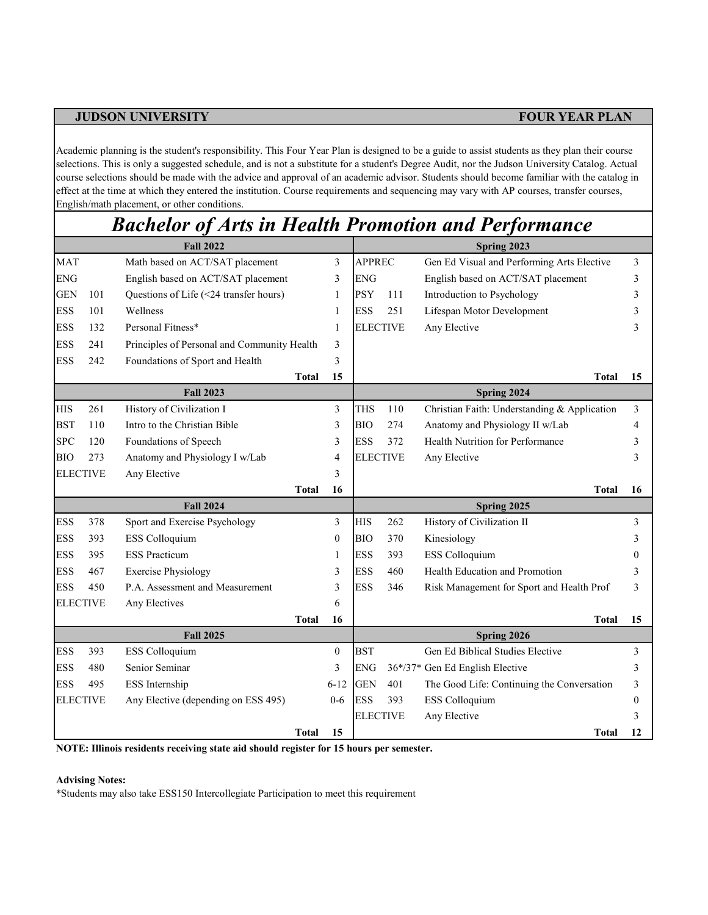Academic planning is the student's responsibility. This Four Year Plan is designed to be a guide to assist students as they plan their course selections. This is only a suggested schedule, and is not a substitute for a student's Degree Audit, nor the Judson University Catalog. Actual course selections should be made with the advice and approval of an academic advisor. Students should become familiar with the catalog in effect at the time at which they entered the institution. Course requirements and sequencing may vary with AP courses, transfer courses, English/math placement, or other conditions.

## *Bachelor of Arts in Health Promotion and Performance*

|                 |     | <b>Fall 2022</b>                            |              |          | Spring 2023     |     |                                              |    |  |  |
|-----------------|-----|---------------------------------------------|--------------|----------|-----------------|-----|----------------------------------------------|----|--|--|
| <b>MAT</b>      |     | Math based on ACT/SAT placement             |              | 3        | <b>APPREC</b>   |     | Gen Ed Visual and Performing Arts Elective   | 3  |  |  |
| <b>ENG</b>      |     | English based on ACT/SAT placement          |              | 3        | <b>ENG</b>      |     | English based on ACT/SAT placement           | 3  |  |  |
| <b>GEN</b>      | 101 | Questions of Life (<24 transfer hours)      |              | 1        | <b>PSY</b>      | 111 | Introduction to Psychology                   | 3  |  |  |
| <b>ESS</b>      | 101 | Wellness                                    |              | 1        | <b>ESS</b>      | 251 | Lifespan Motor Development                   |    |  |  |
| <b>ESS</b>      | 132 | Personal Fitness*                           |              | 1        | <b>ELECTIVE</b> |     | Any Elective                                 | 3  |  |  |
| <b>ESS</b>      | 241 | Principles of Personal and Community Health |              | 3        |                 |     |                                              |    |  |  |
| <b>ESS</b>      | 242 | Foundations of Sport and Health             |              | 3        |                 |     |                                              |    |  |  |
|                 |     |                                             | <b>Total</b> | 15       |                 |     | Total                                        | 15 |  |  |
|                 |     | <b>Fall 2023</b>                            |              |          |                 |     | Spring 2024                                  |    |  |  |
| <b>HIS</b>      | 261 | History of Civilization I                   |              | 3        | <b>THS</b>      | 110 | Christian Faith: Understanding & Application | 3  |  |  |
| <b>BST</b>      | 110 | Intro to the Christian Bible                |              | 3        | <b>BIO</b>      | 274 | Anatomy and Physiology II w/Lab              | 4  |  |  |
| <b>SPC</b>      | 120 | Foundations of Speech                       |              | 3        | <b>ESS</b>      | 372 | Health Nutrition for Performance             | 3  |  |  |
| <b>BIO</b>      | 273 | Anatomy and Physiology I w/Lab              |              | 4        | <b>ELECTIVE</b> |     | Any Elective                                 | 3  |  |  |
| <b>ELECTIVE</b> |     | Any Elective                                |              | 3        |                 |     |                                              |    |  |  |
|                 |     |                                             | <b>Total</b> | 16       |                 |     | <b>Total</b>                                 | 16 |  |  |
|                 |     | <b>Fall 2024</b>                            |              |          |                 |     | Spring 2025                                  |    |  |  |
| <b>ESS</b>      | 378 | Sport and Exercise Psychology               |              | 3        | <b>HIS</b>      | 262 | History of Civilization II                   | 3  |  |  |
| <b>ESS</b>      | 393 | ESS Colloquium                              |              | $\theta$ | <b>BIO</b>      | 370 | Kinesiology                                  |    |  |  |
| <b>ESS</b>      | 395 | <b>ESS Practicum</b>                        |              | 1        | <b>ESS</b>      | 393 | ESS Colloquium                               |    |  |  |
| <b>ESS</b>      | 467 | <b>Exercise Physiology</b>                  |              | 3        | <b>ESS</b>      | 460 | Health Education and Promotion               |    |  |  |
| <b>ESS</b>      | 450 | P.A. Assessment and Measurement             |              | 3        | <b>ESS</b>      | 346 | Risk Management for Sport and Health Prof    | 3  |  |  |
| <b>ELECTIVE</b> |     | Any Electives                               |              | 6        |                 |     |                                              |    |  |  |
|                 |     |                                             | <b>Total</b> | 16       |                 |     | <b>Total</b>                                 | 15 |  |  |
|                 |     | <b>Fall 2025</b>                            |              |          |                 |     | Spring 2026                                  |    |  |  |
| <b>ESS</b>      | 393 | ESS Colloquium                              |              | $\theta$ | <b>BST</b>      |     | Gen Ed Biblical Studies Elective             | 3  |  |  |
| <b>ESS</b>      | 480 | Senior Seminar                              |              | 3        | <b>ENG</b>      |     | 36*/37* Gen Ed English Elective              | 3  |  |  |
| <b>ESS</b>      | 495 | ESS Internship                              |              | $6 - 12$ | <b>GEN</b>      | 401 | The Good Life: Continuing the Conversation   | 3  |  |  |
| <b>ELECTIVE</b> |     | Any Elective (depending on ESS 495)         |              | $0 - 6$  | <b>ESS</b>      | 393 | ESS Colloquium                               |    |  |  |
|                 |     |                                             |              |          | <b>ELECTIVE</b> |     | Any Elective                                 | 3  |  |  |
|                 |     |                                             | Total        | 15       |                 |     | Total                                        | 12 |  |  |

**NOTE: Illinois residents receiving state aid should register for 15 hours per semester.**

### **Advising Notes:**

\*Students may also take ESS150 Intercollegiate Participation to meet this requirement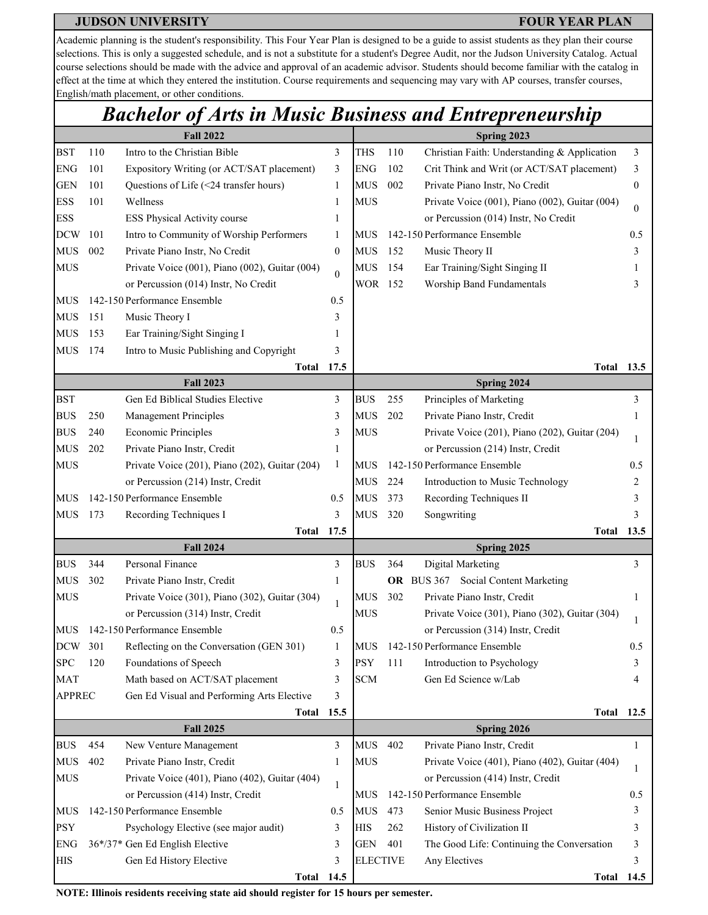Academic planning is the student's responsibility. This Four Year Plan is designed to be a guide to assist students as they plan their course selections. This is only a suggested schedule, and is not a substitute for a student's Degree Audit, nor the Judson University Catalog. Actual course selections should be made with the advice and approval of an academic advisor. Students should become familiar with the catalog in effect at the time at which they entered the institution. Course requirements and sequencing may vary with AP courses, transfer courses, English/math placement, or other conditions.

## *Bachelor of Arts in Music Business and Entrepreneurship*

|               |     | <b>Fall 2022</b>                               | Spring 2023      |                 |     |                                                |          |  |
|---------------|-----|------------------------------------------------|------------------|-----------------|-----|------------------------------------------------|----------|--|
| <b>BST</b>    | 110 | Intro to the Christian Bible                   | 3                | <b>THS</b>      | 110 | Christian Faith: Understanding & Application   | 3        |  |
| <b>ENG</b>    | 101 | Expository Writing (or ACT/SAT placement)      | 3                | <b>ENG</b>      | 102 | Crit Think and Writ (or ACT/SAT placement)     | 3        |  |
| <b>GEN</b>    | 101 | Questions of Life (<24 transfer hours)         | 1                | <b>MUS</b>      | 002 | Private Piano Instr, No Credit                 | 0        |  |
| <b>ESS</b>    | 101 | Wellness                                       | 1                | <b>MUS</b>      |     | Private Voice (001), Piano (002), Guitar (004) | $\Omega$ |  |
| <b>ESS</b>    |     | ESS Physical Activity course                   | 1                |                 |     | or Percussion (014) Instr, No Credit           |          |  |
| <b>DCW</b>    | 101 | Intro to Community of Worship Performers       | 1                | MUS             |     | 142-150 Performance Ensemble                   | 0.5      |  |
| <b>MUS</b>    | 002 | Private Piano Instr, No Credit                 | $\boldsymbol{0}$ | <b>MUS</b>      | 152 | Music Theory II                                | 3        |  |
| <b>MUS</b>    |     | Private Voice (001), Piano (002), Guitar (004) | $\theta$         | <b>MUS</b>      | 154 | Ear Training/Sight Singing II                  |          |  |
|               |     | or Percussion (014) Instr, No Credit           |                  | WOR 152         |     | Worship Band Fundamentals                      |          |  |
| MUS           |     | 142-150 Performance Ensemble                   | 0.5              |                 |     |                                                |          |  |
| <b>MUS</b>    | 151 | Music Theory I                                 | 3                |                 |     |                                                |          |  |
| <b>MUS</b>    | 153 | Ear Training/Sight Singing I                   |                  |                 |     |                                                |          |  |
| <b>MUS</b>    | 174 | Intro to Music Publishing and Copyright        | 3                |                 |     |                                                |          |  |
|               |     | <b>Total</b>                                   | 17.5             |                 |     | Total                                          | 13.5     |  |
|               |     | <b>Fall 2023</b>                               |                  |                 |     | Spring 2024                                    |          |  |
| <b>BST</b>    |     | Gen Ed Biblical Studies Elective               | 3                | <b>BUS</b>      | 255 | Principles of Marketing                        | 3        |  |
| <b>BUS</b>    | 250 | Management Principles                          | 3                | <b>MUS</b>      | 202 | Private Piano Instr, Credit                    |          |  |
| <b>BUS</b>    | 240 | <b>Economic Principles</b>                     | 3                | <b>MUS</b>      |     | Private Voice (201), Piano (202), Guitar (204) |          |  |
| <b>MUS</b>    | 202 | Private Piano Instr, Credit                    | 1                |                 |     | or Percussion (214) Instr, Credit              |          |  |
| <b>MUS</b>    |     | Private Voice (201), Piano (202), Guitar (204) | 1                | MUS             |     | 142-150 Performance Ensemble                   | 0.5      |  |
|               |     | or Percussion (214) Instr, Credit              |                  | <b>MUS</b>      | 224 | Introduction to Music Technology               |          |  |
| MUS           |     | 142-150 Performance Ensemble                   | 0.5              | <b>MUS</b>      | 373 | Recording Techniques II                        | 3        |  |
| <b>MUS</b>    | 173 | Recording Techniques I                         | 3                | <b>MUS</b>      | 320 | Songwriting                                    |          |  |
|               |     | Total                                          | 17.5             |                 |     | Total                                          | 13.5     |  |
|               |     | <b>Fall 2024</b>                               |                  |                 |     | Spring 2025                                    |          |  |
| <b>BUS</b>    | 344 | Personal Finance                               | 3                | <b>BUS</b>      | 364 | Digital Marketing                              | 3        |  |
| <b>MUS</b>    | 302 | Private Piano Instr, Credit                    | $\mathbf{1}$     |                 |     | OR BUS 367 Social Content Marketing            |          |  |
| <b>MUS</b>    |     | Private Voice (301), Piano (302), Guitar (304) | 1                | <b>MUS</b>      | 302 | Private Piano Instr, Credit                    | 1        |  |
|               |     | or Percussion (314) Instr, Credit              |                  | <b>MUS</b>      |     | Private Voice (301), Piano (302), Guitar (304) |          |  |
| <b>MUS</b>    |     | 142-150 Performance Ensemble                   | 0.5              |                 |     | or Percussion (314) Instr, Credit              |          |  |
| <b>DCW</b>    | 301 | Reflecting on the Conversation (GEN 301)       |                  | <b>MUS</b>      |     | 142-150 Performance Ensemble                   | 0.5      |  |
| <b>SPC</b>    | 120 | Foundations of Speech                          | 3                | <b>PSY</b>      | 111 | Introduction to Psychology                     | 3        |  |
| <b>MAT</b>    |     | Math based on ACT/SAT placement                | 3                | <b>SCM</b>      |     | Gen Ed Science w/Lab                           |          |  |
| <b>APPREC</b> |     | Gen Ed Visual and Performing Arts Elective     | 3                |                 |     |                                                |          |  |
|               |     | <b>Total</b><br><b>Fall 2025</b>               | 15.5             |                 |     | Total<br>Spring 2026                           | 12.5     |  |
| <b>BUS</b>    | 454 | New Venture Management                         | 3                | <b>MUS</b>      | 402 | Private Piano Instr, Credit                    | 1        |  |
| <b>MUS</b>    | 402 | Private Piano Instr, Credit                    | 1                | <b>MUS</b>      |     | Private Voice (401), Piano (402), Guitar (404) |          |  |
| <b>MUS</b>    |     | Private Voice (401), Piano (402), Guitar (404) |                  |                 |     | or Percussion (414) Instr, Credit              | 1        |  |
|               |     | or Percussion (414) Instr, Credit              | 1                | <b>MUS</b>      |     | 142-150 Performance Ensemble                   | 0.5      |  |
| <b>MUS</b>    |     | 142-150 Performance Ensemble                   | 0.5              | <b>MUS</b>      | 473 | Senior Music Business Project                  | 3        |  |
| <b>PSY</b>    |     | Psychology Elective (see major audit)          | 3                | <b>HIS</b>      | 262 | History of Civilization II                     | 3        |  |
| <b>ENG</b>    |     | 36*/37* Gen Ed English Elective                | 3                | <b>GEN</b>      | 401 | The Good Life: Continuing the Conversation     | 3        |  |
| <b>HIS</b>    |     | Gen Ed History Elective                        | 3                | <b>ELECTIVE</b> |     | Any Electives                                  | 3        |  |
|               |     | <b>Total 14.5</b>                              |                  |                 |     | Total                                          | 14.5     |  |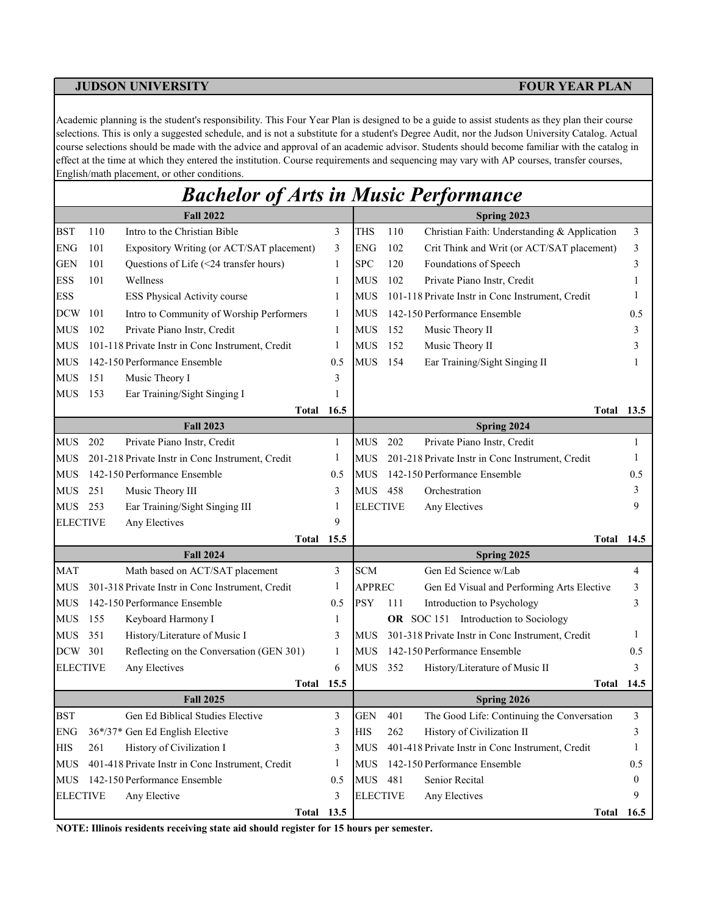Academic planning is the student's responsibility. This Four Year Plan is designed to be a guide to assist students as they plan their course selections. This is only a suggested schedule, and is not a substitute for a student's Degree Audit, nor the Judson University Catalog. Actual course selections should be made with the advice and approval of an academic advisor. Students should become familiar with the catalog in effect at the time at which they entered the institution. Course requirements and sequencing may vary with AP courses, transfer courses, English/math placement, or other conditions.

|                 |     | <b>Bachelor of Arts in Music Performance</b>     |              |                 |     |                                                  |      |
|-----------------|-----|--------------------------------------------------|--------------|-----------------|-----|--------------------------------------------------|------|
|                 |     | <b>Fall 2022</b>                                 |              |                 |     | Spring 2023                                      |      |
| <b>BST</b>      | 110 | Intro to the Christian Bible                     | 3            | <b>THS</b>      | 110 | Christian Faith: Understanding & Application     | 3    |
| <b>ENG</b>      | 101 | Expository Writing (or ACT/SAT placement)        | 3            | <b>ENG</b>      | 102 | Crit Think and Writ (or ACT/SAT placement)       | 3    |
| <b>GEN</b>      | 101 | Questions of Life (<24 transfer hours)           | 1            | <b>SPC</b>      | 120 | Foundations of Speech                            | 3    |
| ESS             | 101 | Wellness                                         | 1            | <b>MUS</b>      | 102 | Private Piano Instr, Credit                      |      |
| <b>ESS</b>      |     | ESS Physical Activity course                     | 1            | <b>MUS</b>      |     | 101-118 Private Instr in Conc Instrument, Credit |      |
| <b>DCW</b>      | 101 | Intro to Community of Worship Performers         | 1            | <b>MUS</b>      |     | 142-150 Performance Ensemble                     | 0.5  |
| <b>MUS</b>      | 102 | Private Piano Instr, Credit                      | 1            | <b>MUS</b>      | 152 | Music Theory II                                  | 3    |
| <b>MUS</b>      |     | 101-118 Private Instr in Conc Instrument, Credit | 1            | <b>MUS</b>      | 152 | Music Theory II                                  | 3    |
| <b>MUS</b>      |     | 142-150 Performance Ensemble                     | 0.5          | <b>MUS</b>      | 154 | Ear Training/Sight Singing II                    |      |
| <b>MUS</b>      | 151 | Music Theory I                                   | 3            |                 |     |                                                  |      |
| <b>MUS</b>      | 153 | Ear Training/Sight Singing I                     | 1            |                 |     |                                                  |      |
|                 |     | Total                                            | 16.5         |                 |     | <b>Total 13.5</b>                                |      |
|                 |     | <b>Fall 2023</b>                                 |              |                 |     | Spring 2024                                      |      |
| <b>MUS</b>      | 202 | Private Piano Instr, Credit                      | $\mathbf{1}$ | <b>MUS</b>      | 202 | Private Piano Instr, Credit                      | 1    |
| <b>MUS</b>      |     | 201-218 Private Instr in Conc Instrument, Credit | $\mathbf{1}$ | <b>MUS</b>      |     | 201-218 Private Instr in Conc Instrument, Credit | 1    |
| <b>MUS</b>      |     | 142-150 Performance Ensemble                     | 0.5          | <b>MUS</b>      |     | 142-150 Performance Ensemble                     | 0.5  |
| <b>MUS</b>      | 251 | Music Theory III                                 | 3            | <b>MUS</b>      | 458 | Orchestration                                    | 3    |
| <b>MUS</b>      | 253 | Ear Training/Sight Singing III                   | 1            | <b>ELECTIVE</b> |     | Any Electives                                    | 9    |
| <b>ELECTIVE</b> |     | Any Electives                                    | 9            |                 |     |                                                  |      |
|                 |     | Total                                            | 15.5         |                 |     | <b>Total 14.5</b>                                |      |
|                 |     | <b>Fall 2024</b>                                 |              |                 |     | Spring 2025                                      |      |
| MAT             |     | Math based on ACT/SAT placement                  | 3            | <b>SCM</b>      |     | Gen Ed Science w/Lab                             | 4    |
| <b>MUS</b>      |     | 301-318 Private Instr in Conc Instrument, Credit | 1            | <b>APPREC</b>   |     | Gen Ed Visual and Performing Arts Elective       | 3    |
| <b>MUS</b>      |     | 142-150 Performance Ensemble                     | 0.5          | <b>PSY</b>      | 111 | Introduction to Psychology                       | 3    |
| <b>MUS</b>      | 155 | Keyboard Harmony I                               | 1            |                 |     | OR SOC 151 Introduction to Sociology             |      |
| <b>MUS</b>      | 351 | History/Literature of Music I                    | 3            | <b>MUS</b>      |     | 301-318 Private Instr in Conc Instrument, Credit | 1    |
| DCW             | 301 | Reflecting on the Conversation (GEN 301)         | 1            | <b>MUS</b>      |     | 142-150 Performance Ensemble                     | 0.5  |
| <b>ELECTIVE</b> |     | Any Electives                                    | 6            | <b>MUS</b>      | 352 | History/Literature of Music II                   | 3    |
|                 |     | Total                                            | 15.5         |                 |     | Total                                            | 14.5 |
|                 |     | <b>Fall 2025</b>                                 |              |                 |     | Spring 2026                                      |      |
| BST             |     | Gen Ed Biblical Studies Elective                 | 3            | <b>GEN</b>      | 401 | The Good Life: Continuing the Conversation       | 3    |
| <b>ENG</b>      |     | 36*/37* Gen Ed English Elective                  | 3            | <b>HIS</b>      | 262 | History of Civilization II                       | 3    |
| HIS             | 261 | History of Civilization I                        | 3            | <b>MUS</b>      |     | 401-418 Private Instr in Conc Instrument, Credit | 1    |
| <b>MUS</b>      |     | 401-418 Private Instr in Conc Instrument, Credit | 1            | <b>MUS</b>      |     | 142-150 Performance Ensemble                     | 0.5  |
| <b>MUS</b>      |     | 142-150 Performance Ensemble                     | 0.5          | <b>MUS</b>      | 481 | Senior Recital                                   | 0    |
| <b>ELECTIVE</b> |     | Any Elective                                     | 3            | <b>ELECTIVE</b> |     | Any Electives                                    | 9    |
|                 |     | <b>Total 13.5</b>                                |              |                 |     | <b>Total 16.5</b>                                |      |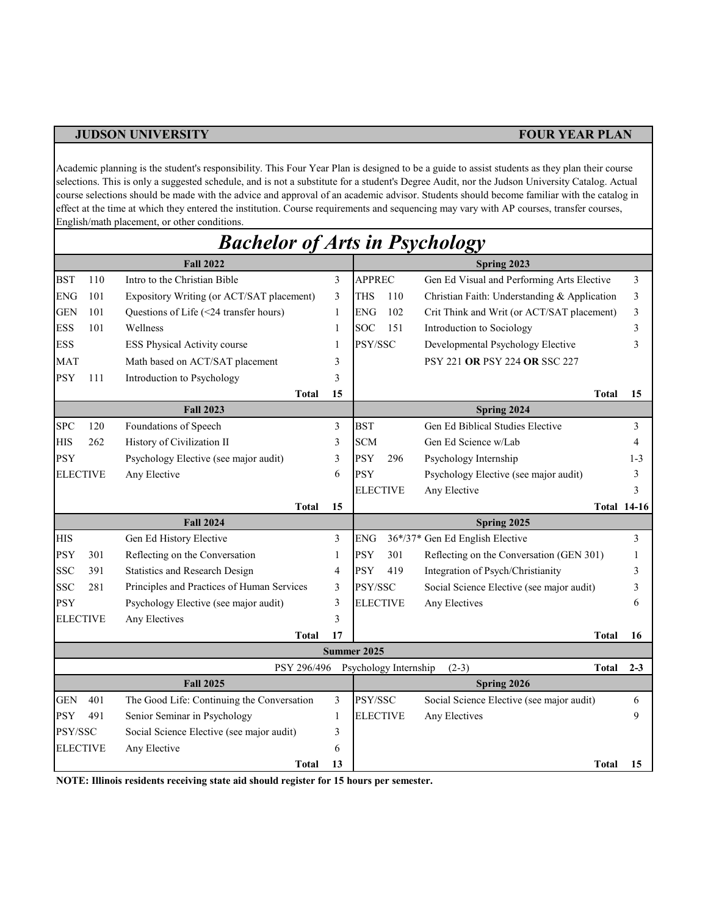Academic planning is the student's responsibility. This Four Year Plan is designed to be a guide to assist students as they plan their course selections. This is only a suggested schedule, and is not a substitute for a student's Degree Audit, nor the Judson University Catalog. Actual course selections should be made with the advice and approval of an academic advisor. Students should become familiar with the catalog in effect at the time at which they entered the institution. Course requirements and sequencing may vary with AP courses, transfer courses, English/math placement, or other conditions.

|            |                 | <b>Bachelor of Arts in Psychology</b>      |              |                       |     |                                              |                    |
|------------|-----------------|--------------------------------------------|--------------|-----------------------|-----|----------------------------------------------|--------------------|
|            |                 | <b>Fall 2022</b>                           |              |                       |     | Spring 2023                                  |                    |
| <b>BST</b> | 110             | Intro to the Christian Bible               | 3            | <b>APPREC</b>         |     | Gen Ed Visual and Performing Arts Elective   | 3                  |
| <b>ENG</b> | 101             | Expository Writing (or ACT/SAT placement)  | 3            | <b>THS</b>            | 110 | Christian Faith: Understanding & Application | 3                  |
| <b>GEN</b> | 101             | Questions of Life (<24 transfer hours)     | $\mathbf{1}$ | <b>ENG</b>            | 102 | Crit Think and Writ (or ACT/SAT placement)   | 3                  |
| <b>ESS</b> | 101             | Wellness                                   | 1            | <b>SOC</b>            | 151 | Introduction to Sociology                    | 3                  |
| <b>ESS</b> |                 | <b>ESS Physical Activity course</b>        | 1            | PSY/SSC               |     | Developmental Psychology Elective            | 3                  |
| <b>MAT</b> |                 | Math based on ACT/SAT placement            | 3            |                       |     | <b>PSY 221 OR PSY 224 OR SSC 227</b>         |                    |
| <b>PSY</b> | 111             | Introduction to Psychology                 | 3            |                       |     |                                              |                    |
|            |                 | <b>Total</b>                               | 15           |                       |     | <b>Total</b>                                 | 15                 |
|            |                 | <b>Fall 2023</b>                           |              |                       |     | Spring 2024                                  |                    |
| <b>SPC</b> | 120             | Foundations of Speech                      | 3            | <b>BST</b>            |     | Gen Ed Biblical Studies Elective             | 3                  |
| <b>HIS</b> | 262             | History of Civilization II                 | 3            | <b>SCM</b>            |     | Gen Ed Science w/Lab                         | 4                  |
| <b>PSY</b> |                 | Psychology Elective (see major audit)      | 3            | PSY                   | 296 | Psychology Internship                        | $1 - 3$            |
|            | <b>ELECTIVE</b> | Any Elective                               | 6            | <b>PSY</b>            |     | Psychology Elective (see major audit)        | 3                  |
|            |                 |                                            |              | <b>ELECTIVE</b>       |     | Any Elective                                 | 3                  |
|            |                 | <b>Total</b>                               | 15           |                       |     |                                              | <b>Total 14-16</b> |
|            |                 | <b>Fall 2024</b>                           |              |                       |     | Spring 2025                                  |                    |
| <b>HIS</b> |                 | Gen Ed History Elective                    | 3            | <b>ENG</b>            |     | 36*/37* Gen Ed English Elective              | 3                  |
| <b>PSY</b> | 301             | Reflecting on the Conversation             | 1            | <b>PSY</b>            | 301 | Reflecting on the Conversation (GEN 301)     | -1                 |
| <b>SSC</b> | 391             | Statistics and Research Design             | 4            | <b>PSY</b>            | 419 | Integration of Psych/Christianity            | 3                  |
| <b>SSC</b> | 281             | Principles and Practices of Human Services | 3            | PSY/SSC               |     | Social Science Elective (see major audit)    | 3                  |
| <b>PSY</b> |                 | Psychology Elective (see major audit)      | 3            | <b>ELECTIVE</b>       |     | Any Electives                                | 6                  |
|            | <b>ELECTIVE</b> | Any Electives                              | 3            |                       |     |                                              |                    |
|            |                 | Total                                      | 17           |                       |     | Total                                        | 16                 |
|            |                 |                                            |              | Summer 2025           |     |                                              |                    |
|            |                 | PSY 296/496                                |              | Psychology Internship |     | $(2-3)$<br><b>Total</b>                      | $2 - 3$            |
|            |                 | <b>Fall 2025</b>                           |              |                       |     | Spring 2026                                  |                    |
| <b>GEN</b> | 401             | The Good Life: Continuing the Conversation | 3            | PSY/SSC               |     | Social Science Elective (see major audit)    | 6                  |
| PSY        | 491             | Senior Seminar in Psychology               | 1            | <b>ELECTIVE</b>       |     | Any Electives                                | 9                  |
| PSY/SSC    |                 | Social Science Elective (see major audit)  | 3            |                       |     |                                              |                    |
|            | <b>ELECTIVE</b> | Any Elective                               | 6            |                       |     |                                              |                    |
|            |                 | <b>Total</b>                               | 13           |                       |     | <b>Total</b>                                 | 15                 |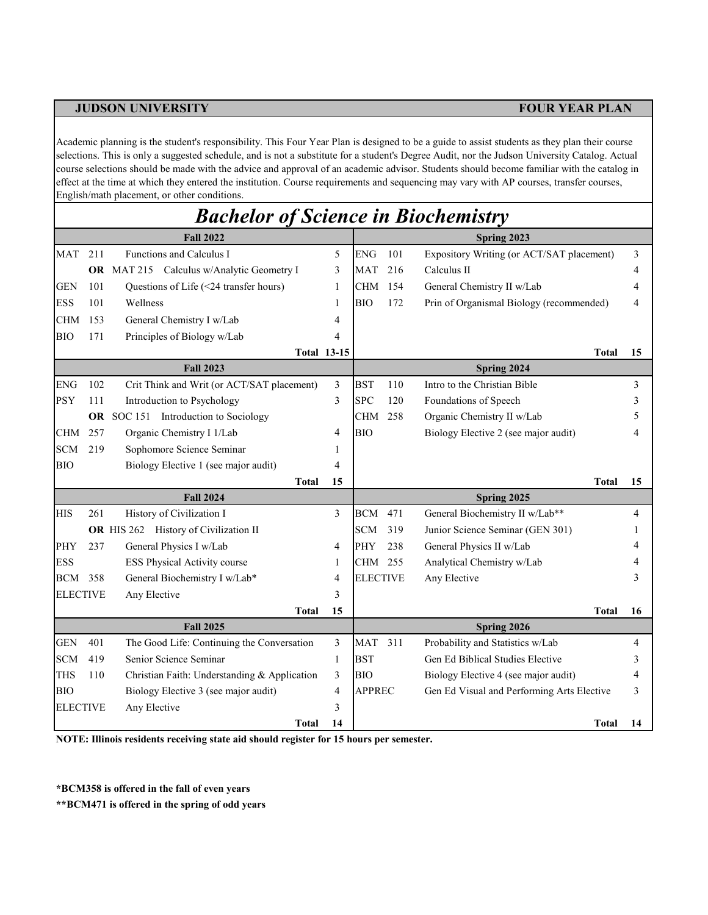Academic planning is the student's responsibility. This Four Year Plan is designed to be a guide to assist students as they plan their course selections. This is only a suggested schedule, and is not a substitute for a student's Degree Audit, nor the Judson University Catalog. Actual course selections should be made with the advice and approval of an academic advisor. Students should become familiar with the catalog in effect at the time at which they entered the institution. Course requirements and sequencing may vary with AP courses, transfer courses, English/math placement, or other conditions.

|                          |     | <b>Bachelor of Science in Biochemistry</b>   |                    |                          |     |                                            |        |
|--------------------------|-----|----------------------------------------------|--------------------|--------------------------|-----|--------------------------------------------|--------|
|                          |     | <b>Fall 2022</b>                             |                    |                          |     | Spring 2023                                |        |
| MAT                      | 211 | Functions and Calculus I                     | 5                  | <b>ENG</b>               | 101 | Expository Writing (or ACT/SAT placement)  | 3      |
|                          |     | OR MAT 215 Calculus w/Analytic Geometry I    | 3                  | <b>MAT</b>               | 216 | Calculus II                                | 4      |
| GEN                      | 101 | Questions of Life (<24 transfer hours)       | 1                  | <b>CHM</b>               | 154 | General Chemistry II w/Lab                 | 4      |
| <b>ESS</b>               | 101 | Wellness                                     | 1                  | <b>BIO</b>               | 172 | Prin of Organismal Biology (recommended)   | 4      |
| <b>CHM</b>               | 153 | General Chemistry I w/Lab                    | $\overline{4}$     |                          |     |                                            |        |
| <b>BIO</b>               | 171 | Principles of Biology w/Lab                  | 4                  |                          |     |                                            |        |
|                          |     |                                              | <b>Total 13-15</b> |                          |     | <b>Total</b>                               | 15     |
|                          |     | <b>Fall 2023</b>                             |                    |                          |     | Spring 2024                                |        |
| <b>ENG</b>               | 102 | Crit Think and Writ (or ACT/SAT placement)   | 3                  | <b>BST</b>               | 110 | Intro to the Christian Bible               | 3      |
| <b>PSY</b>               | 111 | Introduction to Psychology                   | 3                  | <b>SPC</b>               | 120 | Foundations of Speech                      | 3      |
|                          |     | OR SOC 151 Introduction to Sociology         |                    | <b>CHM</b>               | 258 | Organic Chemistry II w/Lab                 | 5      |
| CHM                      | 257 | Organic Chemistry I 1/Lab                    | 4                  | <b>BIO</b>               |     | Biology Elective 2 (see major audit)       | 4      |
| <b>SCM</b>               | 219 | Sophomore Science Seminar                    | 1                  |                          |     |                                            |        |
| BІO                      |     | Biology Elective 1 (see major audit)         | 4                  |                          |     |                                            |        |
|                          |     | <b>Total</b>                                 | 15                 |                          |     | <b>Total</b>                               | 15     |
|                          |     | <b>Fall 2024</b>                             |                    |                          |     | Spring 2025                                |        |
| <b>HIS</b>               | 261 | History of Civilization I                    | 3                  | <b>BCM</b>               | 471 | General Biochemistry II w/Lab**            | 4      |
|                          |     | <b>OR</b> HIS 262 History of Civilization II |                    | <b>SCM</b>               | 319 | Junior Science Seminar (GEN 301)           | 1      |
| PHY                      | 237 | General Physics I w/Lab                      | $\overline{4}$     | PHY                      | 238 | General Physics II w/Lab                   | 4      |
| <b>ESS</b>               |     | ESS Physical Activity course                 | 1                  | CHM 255                  |     | Analytical Chemistry w/Lab                 |        |
| <b>BCM</b> 358           |     | General Biochemistry I w/Lab*                | 4                  | <b>ELECTIVE</b>          |     | Any Elective                               | 3      |
| <b>ELECTIVE</b>          |     | Any Elective                                 | 3                  |                          |     |                                            |        |
|                          |     | Total                                        | 15                 |                          |     | <b>Total</b>                               | 16     |
|                          |     | <b>Fall 2025</b>                             |                    |                          |     | Spring 2026                                |        |
| <b>GEN</b>               | 401 | The Good Life: Continuing the Conversation   | 3                  | <b>MAT</b>               | 311 | Probability and Statistics w/Lab           | 4      |
| <b>SCM</b><br><b>THS</b> | 419 | Senior Science Seminar                       | 1                  | <b>BST</b><br><b>BIO</b> |     | Gen Ed Biblical Studies Elective           | 3<br>4 |
|                          | 110 | Christian Faith: Understanding & Application | 3                  |                          |     | Biology Elective 4 (see major audit)       |        |
| <b>BIO</b>               |     | Biology Elective 3 (see major audit)         | $\overline{4}$     | <b>APPREC</b>            |     | Gen Ed Visual and Performing Arts Elective | 3      |
| <b>ELECTIVE</b>          |     | Any Elective                                 | 3                  |                          |     |                                            |        |
|                          |     | Total                                        | 14                 |                          |     | Total                                      | 14     |

**NOTE: Illinois residents receiving state aid should register for 15 hours per semester.**

**\*BCM358 is offered in the fall of even years**

**\*\*BCM471 is offered in the spring of odd years**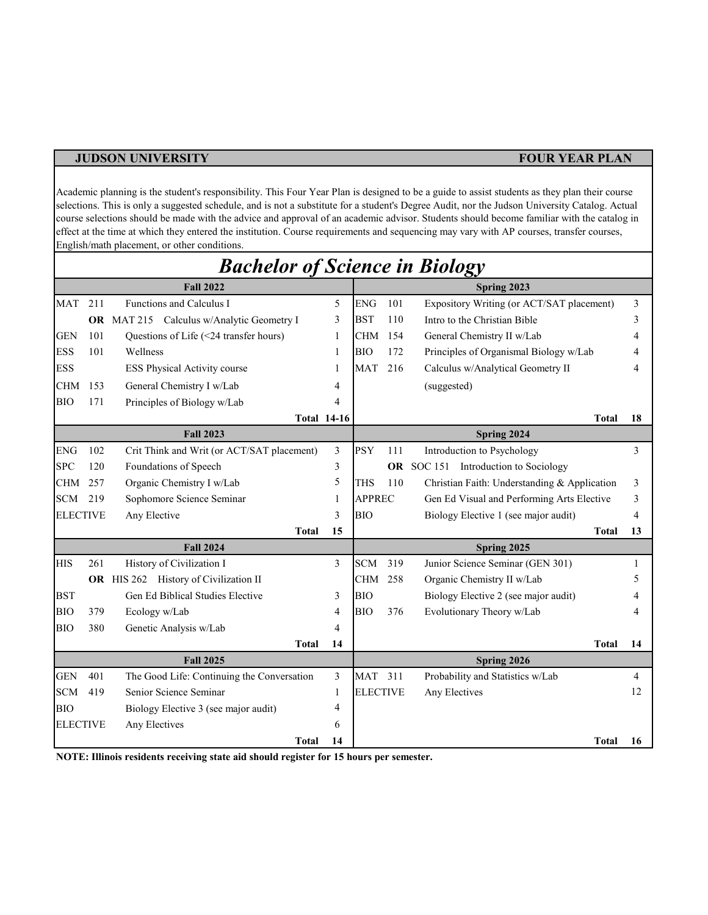Academic planning is the student's responsibility. This Four Year Plan is designed to be a guide to assist students as they plan their course selections. This is only a suggested schedule, and is not a substitute for a student's Degree Audit, nor the Judson University Catalog. Actual course selections should be made with the advice and approval of an academic advisor. Students should become familiar with the catalog in effect at the time at which they entered the institution. Course requirements and sequencing may vary with AP courses, transfer courses, English/math placement, or other conditions.

|                 |     | <b>Bachelor of Science in Biology</b>            |    |                 |     |                                              |    |
|-----------------|-----|--------------------------------------------------|----|-----------------|-----|----------------------------------------------|----|
|                 |     | <b>Fall 2022</b>                                 |    |                 |     | Spring 2023                                  |    |
| <b>MAT</b>      | 211 | Functions and Calculus I                         | 5  | <b>ENG</b>      | 101 | Expository Writing (or ACT/SAT placement)    | 3  |
|                 |     | <b>OR</b> MAT 215 Calculus w/Analytic Geometry I | 3  | <b>BST</b>      | 110 | Intro to the Christian Bible                 | 3  |
| <b>GEN</b>      | 101 | Questions of Life (<24 transfer hours)           | 1  | <b>CHM</b>      | 154 | General Chemistry II w/Lab                   | 4  |
| <b>ESS</b>      | 101 | Wellness                                         | 1  | <b>BIO</b>      | 172 | Principles of Organismal Biology w/Lab       | 4  |
| <b>ESS</b>      |     | <b>ESS Physical Activity course</b>              | 1  | <b>MAT</b>      | 216 | Calculus w/Analytical Geometry II            | 4  |
| <b>CHM</b>      | 153 | General Chemistry I w/Lab                        | 4  |                 |     | (suggested)                                  |    |
| <b>BIO</b>      | 171 | Principles of Biology w/Lab                      | 4  |                 |     |                                              |    |
|                 |     | <b>Total 14-16</b>                               |    |                 |     | Total                                        | 18 |
|                 |     | <b>Fall 2023</b>                                 |    |                 |     | Spring 2024                                  |    |
| <b>ENG</b>      | 102 | Crit Think and Writ (or ACT/SAT placement)       | 3  | <b>PSY</b>      | 111 | Introduction to Psychology                   | 3  |
| <b>SPC</b>      | 120 | Foundations of Speech                            | 3  |                 |     | OR SOC 151 Introduction to Sociology         |    |
| CHM             | 257 | Organic Chemistry I w/Lab                        | 5  | <b>THS</b>      | 110 | Christian Faith: Understanding & Application | 3  |
| <b>SCM</b>      | 219 | Sophomore Science Seminar                        | 1  | <b>APPREC</b>   |     | Gen Ed Visual and Performing Arts Elective   | 3  |
| <b>ELECTIVE</b> |     | Any Elective                                     | 3  | <b>BIO</b>      |     | Biology Elective 1 (see major audit)         | 4  |
|                 |     | <b>Total</b>                                     | 15 |                 |     | <b>Total</b>                                 | 13 |
|                 |     | <b>Fall 2024</b>                                 |    |                 |     | Spring 2025                                  |    |
| <b>HIS</b>      | 261 | History of Civilization I                        | 3  | <b>SCM</b>      | 319 | Junior Science Seminar (GEN 301)             | 1  |
|                 |     | OR HIS 262 History of Civilization II            |    | <b>CHM</b>      | 258 | Organic Chemistry II w/Lab                   | 5  |
| <b>BST</b>      |     | Gen Ed Biblical Studies Elective                 | 3  | <b>BIO</b>      |     | Biology Elective 2 (see major audit)         |    |
| <b>BIO</b>      | 379 | Ecology w/Lab                                    | 4  | <b>BIO</b>      | 376 | Evolutionary Theory w/Lab                    | 4  |
| <b>BIO</b>      | 380 | Genetic Analysis w/Lab                           | 4  |                 |     |                                              |    |
|                 |     | Total                                            | 14 |                 |     | Total                                        | 14 |
|                 |     | <b>Fall 2025</b>                                 |    |                 |     | Spring 2026                                  |    |
| <b>GEN</b>      | 401 | The Good Life: Continuing the Conversation       | 3  | MAT             | 311 | Probability and Statistics w/Lab             | 4  |
| <b>SCM</b>      | 419 | Senior Science Seminar                           | 1  | <b>ELECTIVE</b> |     | Any Electives                                | 12 |
| <b>BIO</b>      |     | Biology Elective 3 (see major audit)             | 4  |                 |     |                                              |    |
| <b>ELECTIVE</b> |     | Any Electives                                    | 6  |                 |     |                                              |    |
|                 |     | <b>Total</b>                                     | 14 |                 |     | <b>Total</b>                                 | 16 |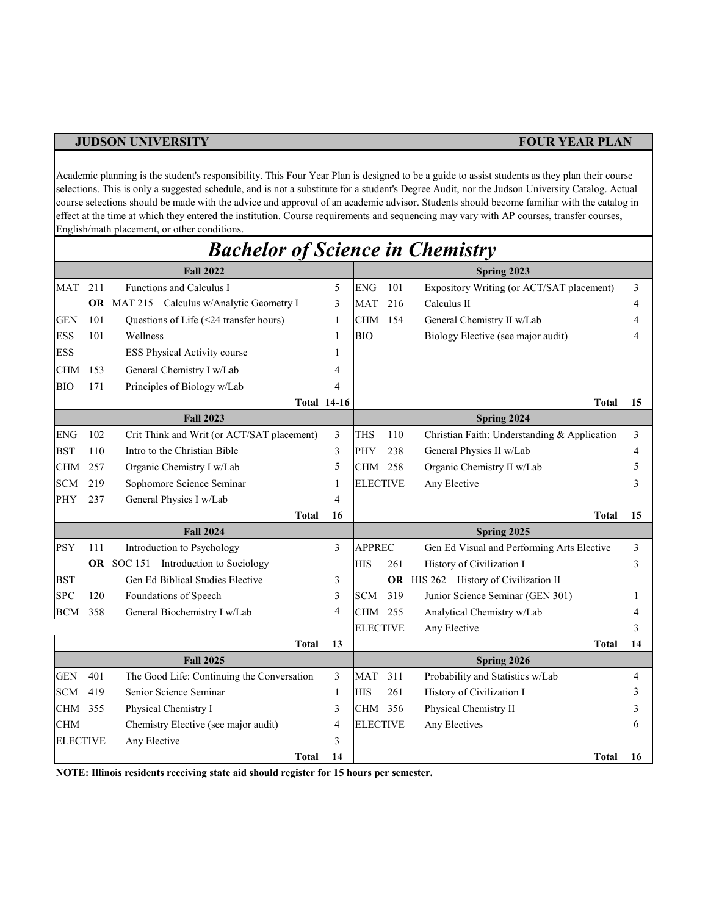Academic planning is the student's responsibility. This Four Year Plan is designed to be a guide to assist students as they plan their course selections. This is only a suggested schedule, and is not a substitute for a student's Degree Audit, nor the Judson University Catalog. Actual course selections should be made with the advice and approval of an academic advisor. Students should become familiar with the catalog in effect at the time at which they entered the institution. Course requirements and sequencing may vary with AP courses, transfer courses, English/math placement, or other conditions.

|                 |     | <b>Bachelor of Science in Chemistry</b>          |    |                 |     |                                              |    |
|-----------------|-----|--------------------------------------------------|----|-----------------|-----|----------------------------------------------|----|
|                 |     | <b>Fall 2022</b>                                 |    |                 |     | Spring 2023                                  |    |
| MAT             | 211 | Functions and Calculus I                         | 5  | <b>ENG</b>      | 101 | Expository Writing (or ACT/SAT placement)    | 3  |
|                 |     | <b>OR</b> MAT 215 Calculus w/Analytic Geometry I | 3  | MAT             | 216 | Calculus II                                  |    |
| <b>GEN</b>      | 101 | Questions of Life (<24 transfer hours)           | 1  | CHM             | 154 | General Chemistry II w/Lab                   |    |
| <b>ESS</b>      | 101 | Wellness                                         | 1  | <b>BIO</b>      |     | Biology Elective (see major audit)           |    |
| <b>ESS</b>      |     | ESS Physical Activity course                     | 1  |                 |     |                                              |    |
| <b>CHM</b>      | 153 | General Chemistry I w/Lab                        | 4  |                 |     |                                              |    |
| BIO             | 171 | Principles of Biology w/Lab                      | 4  |                 |     |                                              |    |
|                 |     | <b>Total 14-16</b>                               |    |                 |     | Total                                        | 15 |
|                 |     | <b>Fall 2023</b>                                 |    |                 |     | Spring 2024                                  |    |
| ${\rm ENG}$     | 102 | Crit Think and Writ (or ACT/SAT placement)       | 3  | <b>THS</b>      | 110 | Christian Faith: Understanding & Application | 3  |
| <b>BST</b>      | 110 | Intro to the Christian Bible                     | 3  | PHY             | 238 | General Physics II w/Lab                     | 4  |
| <b>CHM</b>      | 257 | Organic Chemistry I w/Lab                        | 5  | CHM             | 258 | Organic Chemistry II w/Lab                   |    |
| <b>SCM</b>      | 219 | Sophomore Science Seminar                        | 1  | <b>ELECTIVE</b> |     | Any Elective                                 |    |
| PHY             | 237 | General Physics I w/Lab                          | 4  |                 |     |                                              |    |
|                 |     | Total                                            | 16 |                 |     | Total                                        | 15 |
|                 |     | <b>Fall 2024</b>                                 |    |                 |     | Spring 2025                                  |    |
| <b>PSY</b>      | 111 | Introduction to Psychology                       | 3  | <b>APPREC</b>   |     | Gen Ed Visual and Performing Arts Elective   | 3  |
|                 |     | OR SOC 151 Introduction to Sociology             |    | HIS             | 261 | History of Civilization I                    | 3  |
| <b>BST</b>      |     | Gen Ed Biblical Studies Elective                 | 3  |                 |     | OR HIS 262 History of Civilization II        |    |
| <b>SPC</b>      | 120 | Foundations of Speech                            | 3  | <b>SCM</b>      | 319 | Junior Science Seminar (GEN 301)             |    |
| <b>BCM</b>      | 358 | General Biochemistry I w/Lab                     | 4  | CHM 255         |     | Analytical Chemistry w/Lab                   |    |
|                 |     |                                                  |    | <b>ELECTIVE</b> |     | Any Elective                                 |    |
|                 |     | Total                                            | 13 |                 |     | <b>Total</b>                                 | 14 |
|                 |     | <b>Fall 2025</b>                                 |    |                 |     | Spring 2026                                  |    |
| <b>GEN</b>      | 401 | The Good Life: Continuing the Conversation       | 3  | MAT             | 311 | Probability and Statistics w/Lab             | 4  |
| <b>SCM</b>      | 419 | Senior Science Seminar                           | 1  | <b>HIS</b>      | 261 | History of Civilization I                    |    |
| CHM             | 355 | Physical Chemistry I                             | 3  | CHM 356         |     | Physical Chemistry II                        |    |
| CHM             |     | Chemistry Elective (see major audit)             | 4  | <b>ELECTIVE</b> |     | Any Electives                                |    |
| <b>ELECTIVE</b> |     | Any Elective                                     | 3  |                 |     |                                              |    |
|                 |     | Total                                            | 14 |                 |     | <b>Total</b>                                 | 16 |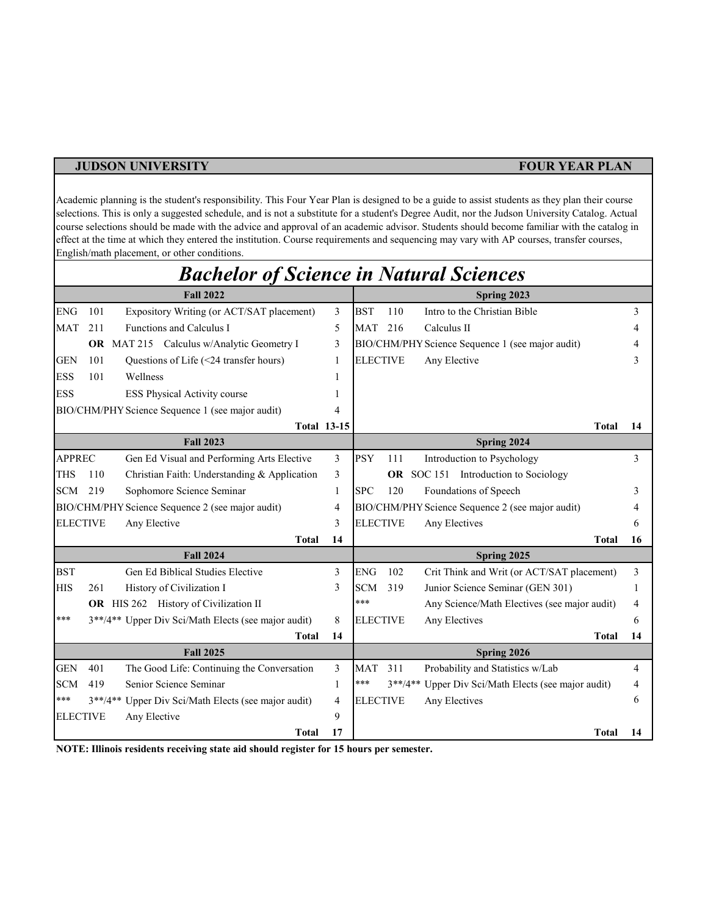Academic planning is the student's responsibility. This Four Year Plan is designed to be a guide to assist students as they plan their course selections. This is only a suggested schedule, and is not a substitute for a student's Degree Audit, nor the Judson University Catalog. Actual course selections should be made with the advice and approval of an academic advisor. Students should become familiar with the catalog in effect at the time at which they entered the institution. Course requirements and sequencing may vary with AP courses, transfer courses, English/math placement, or other conditions.

|                 |     | <b>Bachelor of Science in Natural Sciences</b>      |                    |                 |           |                                                  |    |
|-----------------|-----|-----------------------------------------------------|--------------------|-----------------|-----------|--------------------------------------------------|----|
|                 |     | <b>Fall 2022</b>                                    |                    |                 |           | Spring 2023                                      |    |
| <b>ENG</b>      | 101 | Expository Writing (or ACT/SAT placement)           | 3                  | <b>BST</b>      | 110       | Intro to the Christian Bible                     | 3  |
| <b>MAT</b>      | 211 | Functions and Calculus I                            | 5                  | <b>MAT</b>      | 216       | Calculus II                                      | 4  |
|                 |     | OR MAT 215 Calculus w/Analytic Geometry I           | 3                  |                 |           | BIO/CHM/PHY Science Sequence 1 (see major audit) | 4  |
| <b>GEN</b>      | 101 | Questions of Life (<24 transfer hours)              | 1                  | <b>ELECTIVE</b> |           | Any Elective                                     | 3  |
| <b>ESS</b>      | 101 | Wellness                                            |                    |                 |           |                                                  |    |
| <b>ESS</b>      |     | ESS Physical Activity course                        |                    |                 |           |                                                  |    |
|                 |     | BIO/CHM/PHY Science Sequence 1 (see major audit)    | 4                  |                 |           |                                                  |    |
|                 |     |                                                     | <b>Total 13-15</b> |                 |           | <b>Total</b>                                     | 14 |
|                 |     | <b>Fall 2023</b>                                    |                    |                 |           | Spring 2024                                      |    |
| <b>APPREC</b>   |     | Gen Ed Visual and Performing Arts Elective          | 3                  | <b>PSY</b>      | 111       | Introduction to Psychology                       | 3  |
| <b>THS</b>      | 110 | Christian Faith: Understanding & Application        | 3                  |                 | OR -      | SOC 151 Introduction to Sociology                |    |
| <b>SCM</b>      | 219 | Sophomore Science Seminar                           | 1                  | <b>SPC</b>      | 120       | Foundations of Speech                            | 3  |
|                 |     | BIO/CHM/PHY Science Sequence 2 (see major audit)    | 4                  |                 |           | BIO/CHM/PHY Science Sequence 2 (see major audit) | 4  |
| <b>ELECTIVE</b> |     | Any Elective                                        | 3                  | <b>ELECTIVE</b> |           | Any Electives                                    | 6  |
|                 |     | <b>Total</b>                                        | 14                 |                 |           | <b>Total</b>                                     | 16 |
|                 |     | <b>Fall 2024</b>                                    |                    |                 |           | Spring 2025                                      |    |
| <b>BST</b>      |     | Gen Ed Biblical Studies Elective                    | 3                  | <b>ENG</b>      | 102       | Crit Think and Writ (or ACT/SAT placement)       | 3  |
| <b>HIS</b>      | 261 | History of Civilization I                           | 3                  | <b>SCM</b>      | 319       | Junior Science Seminar (GEN 301)                 |    |
|                 |     | <b>OR</b> HIS 262 History of Civilization II        |                    | ***             |           | Any Science/Math Electives (see major audit)     | 4  |
| ***             |     | 3**/4** Upper Div Sci/Math Elects (see major audit) | 8                  | <b>ELECTIVE</b> |           | Any Electives                                    | 6  |
|                 |     | <b>Total</b>                                        | 14                 |                 |           | <b>Total</b>                                     | 14 |
|                 |     | <b>Fall 2025</b>                                    |                    |                 |           | Spring 2026                                      |    |
| <b>GEN</b>      | 401 | The Good Life: Continuing the Conversation          | 3                  | <b>MAT</b>      | 311       | Probability and Statistics w/Lab                 | 4  |
| <b>SCM</b>      | 419 | Senior Science Seminar                              | 1                  | ***             | $3**/4**$ | Upper Div Sci/Math Elects (see major audit)      | 4  |
| ***             |     | 3**/4** Upper Div Sci/Math Elects (see major audit) | 4                  | <b>ELECTIVE</b> |           | Any Electives                                    | 6  |
| <b>ELECTIVE</b> |     | Any Elective                                        | 9                  |                 |           |                                                  |    |
|                 |     | <b>Total</b>                                        | 17                 |                 |           | Total                                            | 14 |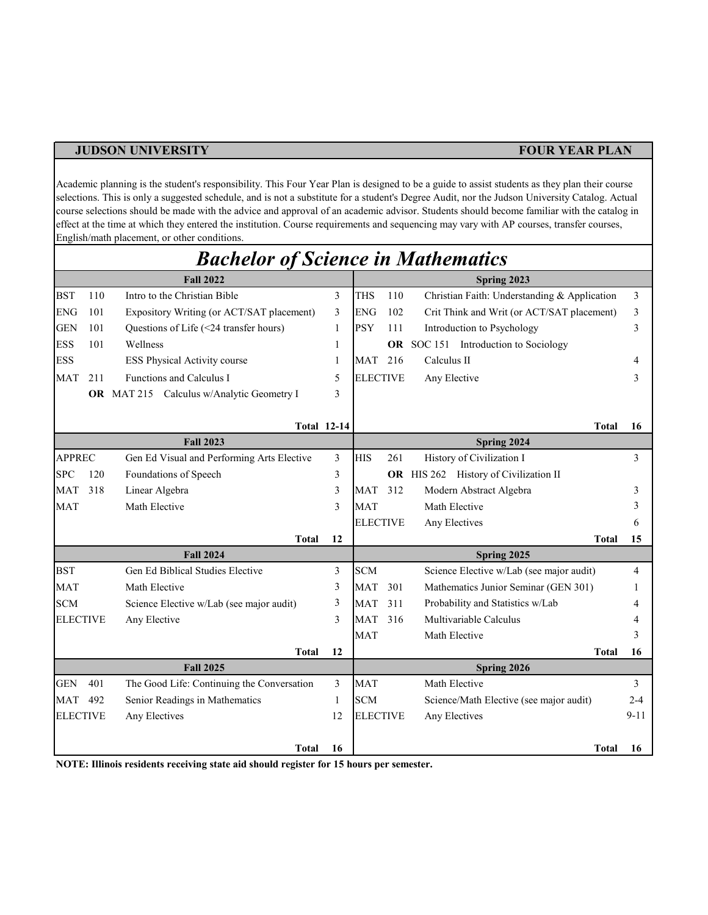Academic planning is the student's responsibility. This Four Year Plan is designed to be a guide to assist students as they plan their course selections. This is only a suggested schedule, and is not a substitute for a student's Degree Audit, nor the Judson University Catalog. Actual course selections should be made with the advice and approval of an academic advisor. Students should become familiar with the catalog in effect at the time at which they entered the institution. Course requirements and sequencing may vary with AP courses, transfer courses, English/math placement, or other conditions.

|                 |     | <b>Bachelor of Science in Mathematics</b>  |    |                 |     |                                              |          |
|-----------------|-----|--------------------------------------------|----|-----------------|-----|----------------------------------------------|----------|
|                 |     | <b>Fall 2022</b>                           |    |                 |     | Spring 2023                                  |          |
| <b>BST</b>      | 110 | Intro to the Christian Bible               | 3  | <b>THS</b>      | 110 | Christian Faith: Understanding & Application | 3        |
| <b>ENG</b>      | 101 | Expository Writing (or ACT/SAT placement)  | 3  | <b>ENG</b>      | 102 | Crit Think and Writ (or ACT/SAT placement)   | 3        |
| <b>GEN</b>      | 101 | Questions of Life (<24 transfer hours)     | 1  | <b>PSY</b>      | 111 | Introduction to Psychology                   | 3        |
| <b>ESS</b>      | 101 | Wellness                                   | 1  |                 |     | OR SOC 151 Introduction to Sociology         |          |
| <b>ESS</b>      |     | <b>ESS Physical Activity course</b>        | 1  | <b>MAT</b>      | 216 | Calculus II                                  | 4        |
| <b>MAT</b>      | 211 | Functions and Calculus I                   | 5  | <b>ELECTIVE</b> |     | Any Elective                                 | 3        |
|                 |     | OR MAT 215 Calculus w/Analytic Geometry I  | 3  |                 |     |                                              |          |
|                 |     | <b>Total 12-14</b>                         |    |                 |     | <b>Total</b>                                 | 16       |
|                 |     | <b>Fall 2023</b>                           |    |                 |     | Spring 2024                                  |          |
| <b>APPREC</b>   |     | Gen Ed Visual and Performing Arts Elective | 3  | <b>HIS</b>      | 261 | History of Civilization I                    | 3        |
| <b>SPC</b>      | 120 | Foundations of Speech                      | 3  |                 |     | OR HIS 262 History of Civilization II        |          |
| MAT             | 318 | Linear Algebra                             | 3  | <b>MAT</b>      | 312 | Modern Abstract Algebra                      |          |
| <b>MAT</b>      |     | Math Elective                              | 3  | <b>MAT</b>      |     | Math Elective                                |          |
|                 |     |                                            |    | <b>ELECTIVE</b> |     | Any Electives                                | 6        |
|                 |     | <b>Total</b>                               | 12 |                 |     | <b>Total</b>                                 | 15       |
|                 |     | <b>Fall 2024</b>                           |    |                 |     | Spring 2025                                  |          |
| <b>BST</b>      |     | Gen Ed Biblical Studies Elective           | 3  | <b>SCM</b>      |     | Science Elective w/Lab (see major audit)     | 4        |
| <b>MAT</b>      |     | Math Elective                              | 3  | <b>MAT</b>      | 301 | Mathematics Junior Seminar (GEN 301)         |          |
| <b>SCM</b>      |     | Science Elective w/Lab (see major audit)   | 3  | <b>MAT</b>      | 311 | Probability and Statistics w/Lab             |          |
| <b>ELECTIVE</b> |     | Any Elective                               | 3  | MAT             | 316 | Multivariable Calculus                       |          |
|                 |     |                                            |    | <b>MAT</b>      |     | Math Elective                                |          |
|                 |     | Total                                      | 12 |                 |     | <b>Total</b>                                 | 16       |
|                 |     | <b>Fall 2025</b>                           |    |                 |     | Spring 2026                                  |          |
| <b>GEN</b>      | 401 | The Good Life: Continuing the Conversation | 3  | <b>MAT</b>      |     | Math Elective                                | 3        |
| MAT             | 492 | Senior Readings in Mathematics             | 1  | <b>SCM</b>      |     | Science/Math Elective (see major audit)      | $2 - 4$  |
| <b>ELECTIVE</b> |     | Any Electives                              | 12 | <b>ELECTIVE</b> |     | Any Electives                                | $9 - 11$ |
|                 |     | Total                                      | 16 |                 |     | Total                                        | 16       |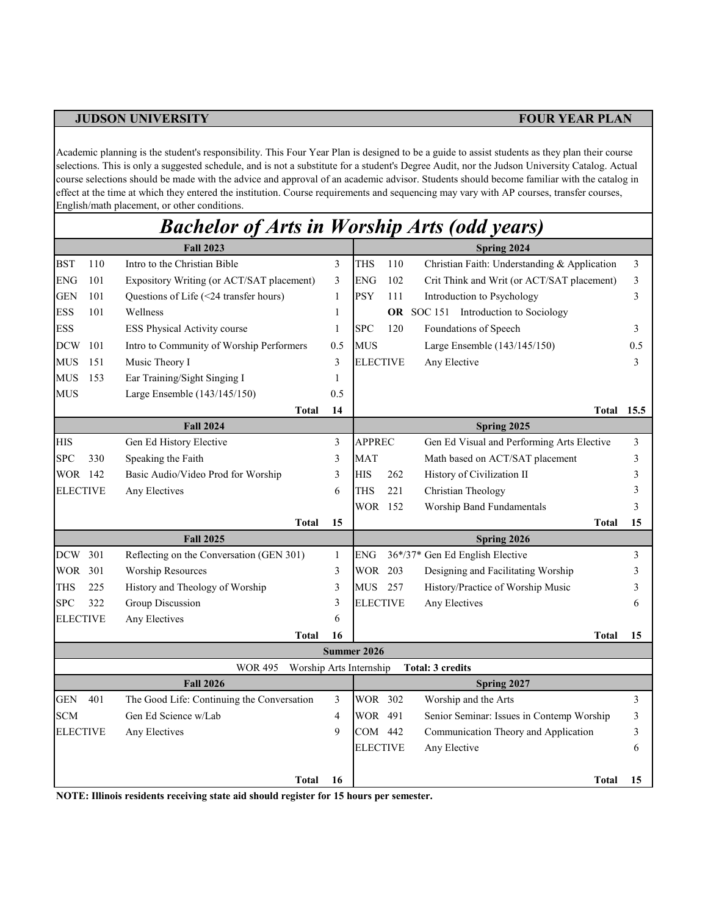Academic planning is the student's responsibility. This Four Year Plan is designed to be a guide to assist students as they plan their course selections. This is only a suggested schedule, and is not a substitute for a student's Degree Audit, nor the Judson University Catalog. Actual course selections should be made with the advice and approval of an academic advisor. Students should become familiar with the catalog in effect at the time at which they entered the institution. Course requirements and sequencing may vary with AP courses, transfer courses, English/math placement, or other conditions.

## *Bachelor of Arts in Worship Arts (odd years)*

|                 |     | <b>Fall 2023</b>                           | Spring 2024  |                 |     |                                              |      |  |  |
|-----------------|-----|--------------------------------------------|--------------|-----------------|-----|----------------------------------------------|------|--|--|
| <b>BST</b>      | 110 | Intro to the Christian Bible               | 3            | <b>THS</b>      | 110 | Christian Faith: Understanding & Application | 3    |  |  |
| <b>ENG</b>      | 101 | Expository Writing (or ACT/SAT placement)  | 3            | <b>ENG</b>      | 102 | Crit Think and Writ (or ACT/SAT placement)   | 3    |  |  |
| <b>GEN</b>      | 101 | Questions of Life (<24 transfer hours)     | 1            | <b>PSY</b>      | 111 | Introduction to Psychology                   | 3    |  |  |
| <b>ESS</b>      | 101 | Wellness                                   | 1            |                 | OR  | SOC 151 Introduction to Sociology            |      |  |  |
| <b>ESS</b>      |     | ESS Physical Activity course               | 1            | <b>SPC</b>      | 120 | Foundations of Speech                        | 3    |  |  |
| <b>DCW</b>      | 101 | Intro to Community of Worship Performers   | 0.5          | <b>MUS</b>      |     | Large Ensemble (143/145/150)                 | 0.5  |  |  |
| <b>MUS</b>      | 151 | Music Theory I                             | 3            | <b>ELECTIVE</b> |     | Any Elective                                 | 3    |  |  |
| <b>MUS</b>      | 153 | Ear Training/Sight Singing I               | 1            |                 |     |                                              |      |  |  |
| <b>MUS</b>      |     | Large Ensemble (143/145/150)               | 0.5          |                 |     |                                              |      |  |  |
|                 |     | <b>Total</b>                               | 14           |                 |     | Total                                        | 15.5 |  |  |
|                 |     | <b>Fall 2024</b>                           |              |                 |     | Spring 2025                                  |      |  |  |
| <b>HIS</b>      |     | Gen Ed History Elective                    | 3            | <b>APPREC</b>   |     | Gen Ed Visual and Performing Arts Elective   | 3    |  |  |
| <b>SPC</b>      | 330 | Speaking the Faith                         | 3            | <b>MAT</b>      |     | Math based on ACT/SAT placement              | 3    |  |  |
| WOR 142         |     | Basic Audio/Video Prod for Worship         | 3            | <b>HIS</b>      | 262 | History of Civilization II                   | 3    |  |  |
| <b>ELECTIVE</b> |     | Any Electives                              | 6            | <b>THS</b>      | 221 | Christian Theology                           | 3    |  |  |
|                 |     |                                            |              | WOR 152         |     | Worship Band Fundamentals                    | 3    |  |  |
|                 |     | <b>Total</b>                               | 15           |                 |     | <b>Total</b>                                 | 15   |  |  |
|                 |     | <b>Fall 2025</b>                           |              |                 |     | Spring 2026                                  |      |  |  |
| <b>DCW</b>      | 301 | Reflecting on the Conversation (GEN 301)   | $\mathbf{1}$ | ENG             |     | 36*/37* Gen Ed English Elective              | 3    |  |  |
| WOR 301         |     | <b>Worship Resources</b>                   | 3            | <b>WOR</b>      | 203 | Designing and Facilitating Worship           | 3    |  |  |
| THS             | 225 | History and Theology of Worship            | 3            | MUS 257         |     | History/Practice of Worship Music            | 3    |  |  |
| <b>SPC</b>      | 322 | Group Discussion                           | 3            | <b>ELECTIVE</b> |     | Any Electives                                | 6    |  |  |
| <b>ELECTIVE</b> |     | Any Electives                              | 6            |                 |     |                                              |      |  |  |
|                 |     | <b>Total</b>                               | 16           |                 |     | <b>Total</b>                                 | 15   |  |  |
|                 |     |                                            |              | Summer 2026     |     |                                              |      |  |  |
|                 |     | <b>WOR 495</b><br>Worship Arts Internship  |              |                 |     | <b>Total: 3 credits</b>                      |      |  |  |
|                 |     | <b>Fall 2026</b>                           |              |                 |     | Spring 2027                                  |      |  |  |
| <b>GEN</b>      | 401 | The Good Life: Continuing the Conversation | 3            | <b>WOR 302</b>  |     | Worship and the Arts                         | 3    |  |  |
| <b>SCM</b>      |     | Gen Ed Science w/Lab                       | 4            | WOR 491         |     | Senior Seminar: Issues in Contemp Worship    | 3    |  |  |
| <b>ELECTIVE</b> |     | Any Electives                              | 9            | COM 442         |     | Communication Theory and Application         | 3    |  |  |
|                 |     |                                            |              | <b>ELECTIVE</b> |     | Any Elective                                 | 6    |  |  |
|                 |     |                                            |              |                 |     |                                              |      |  |  |
|                 |     | Total                                      | 16           |                 |     | <b>Total</b>                                 | 15   |  |  |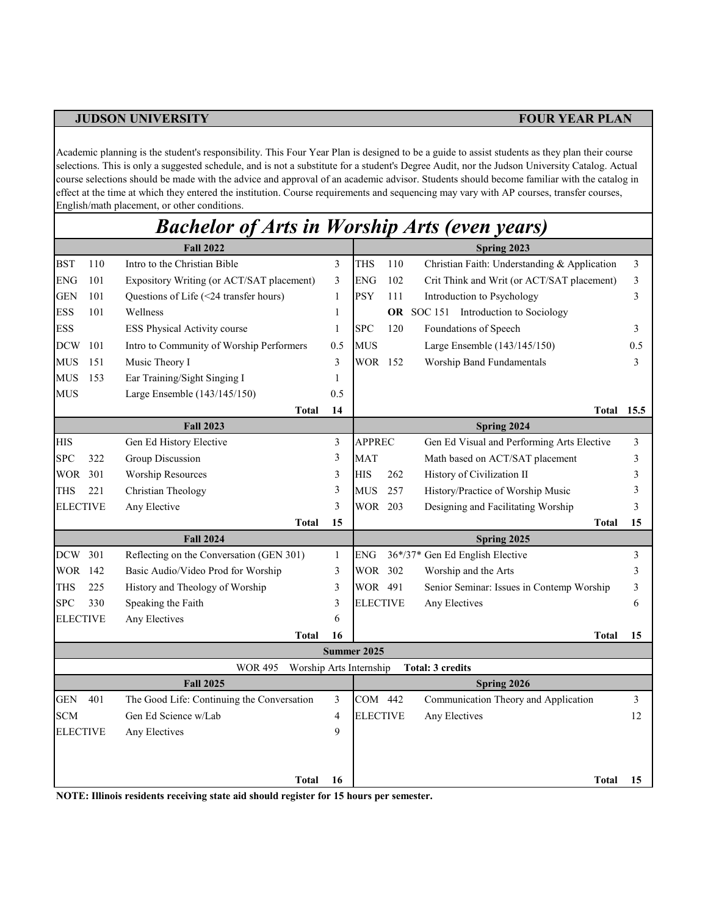Academic planning is the student's responsibility. This Four Year Plan is designed to be a guide to assist students as they plan their course selections. This is only a suggested schedule, and is not a substitute for a student's Degree Audit, nor the Judson University Catalog. Actual course selections should be made with the advice and approval of an academic advisor. Students should become familiar with the catalog in effect at the time at which they entered the institution. Course requirements and sequencing may vary with AP courses, transfer courses, English/math placement, or other conditions.

## *Bachelor of Arts in Worship Arts (even years)*

| <b>Fall 2022</b> |     |                                            |              |                    | Spring 2023 |                                              |      |  |  |  |
|------------------|-----|--------------------------------------------|--------------|--------------------|-------------|----------------------------------------------|------|--|--|--|
| <b>BST</b>       | 110 | Intro to the Christian Bible               | 3            | <b>THS</b>         | 110         | Christian Faith: Understanding & Application | 3    |  |  |  |
| <b>ENG</b>       | 101 | Expository Writing (or ACT/SAT placement)  | 3            | <b>ENG</b>         | 102         | Crit Think and Writ (or ACT/SAT placement)   | 3    |  |  |  |
| <b>GEN</b>       | 101 | Questions of Life (<24 transfer hours)     | 1            | PSY                | 111         | Introduction to Psychology                   | 3    |  |  |  |
| <b>ESS</b>       | 101 | Wellness                                   | 1            |                    | OR          | SOC 151 Introduction to Sociology            |      |  |  |  |
| <b>ESS</b>       |     | ESS Physical Activity course               | 1            | <b>SPC</b>         | 120         | Foundations of Speech                        | 3    |  |  |  |
| <b>DCW</b>       | 101 | Intro to Community of Worship Performers   | 0.5          | <b>MUS</b>         |             | Large Ensemble (143/145/150)                 | 0.5  |  |  |  |
| MUS              | 151 | Music Theory I                             | 3            | WOR 152            |             | Worship Band Fundamentals                    | 3    |  |  |  |
| <b>MUS</b>       | 153 | Ear Training/Sight Singing I               | 1            |                    |             |                                              |      |  |  |  |
| <b>MUS</b>       |     | Large Ensemble (143/145/150)               | 0.5          |                    |             |                                              |      |  |  |  |
|                  |     | <b>Total</b>                               | 14           |                    |             | Total                                        | 15.5 |  |  |  |
| <b>Fall 2023</b> |     |                                            |              |                    | Spring 2024 |                                              |      |  |  |  |
| <b>HIS</b>       |     | Gen Ed History Elective                    | 3            | <b>APPREC</b>      |             | Gen Ed Visual and Performing Arts Elective   | 3    |  |  |  |
| <b>SPC</b>       | 322 | Group Discussion                           | 3            | <b>MAT</b>         |             | Math based on ACT/SAT placement              | 3    |  |  |  |
| WOR 301          |     | <b>Worship Resources</b>                   | 3            | <b>HIS</b>         | 262         | History of Civilization II                   | 3    |  |  |  |
| <b>THS</b>       | 221 | Christian Theology                         | 3            | <b>MUS</b>         | 257         | History/Practice of Worship Music            | 3    |  |  |  |
| <b>ELECTIVE</b>  |     | Any Elective                               | 3            | WOR 203            |             | Designing and Facilitating Worship           | 3    |  |  |  |
|                  |     | <b>Total</b>                               | 15           |                    |             | <b>Total</b>                                 | 15   |  |  |  |
| <b>Fall 2024</b> |     |                                            |              |                    |             | Spring 2025                                  |      |  |  |  |
| DCW 301          |     | Reflecting on the Conversation (GEN 301)   | $\mathbf{1}$ | ENG                |             | 36*/37* Gen Ed English Elective              | 3    |  |  |  |
| WOR 142          |     | Basic Audio/Video Prod for Worship         | 3            | WOR 302            |             | Worship and the Arts                         | 3    |  |  |  |
| <b>THS</b>       | 225 | History and Theology of Worship            | 3            | WOR 491            |             | Senior Seminar: Issues in Contemp Worship    | 3    |  |  |  |
| <b>SPC</b>       | 330 | Speaking the Faith                         | 3            | <b>ELECTIVE</b>    |             | Any Electives                                | 6    |  |  |  |
| <b>ELECTIVE</b>  |     | Any Electives                              | 6            |                    |             |                                              |      |  |  |  |
|                  |     | <b>Total</b>                               | 16           |                    |             | Total                                        | 15   |  |  |  |
|                  |     |                                            |              | <b>Summer 2025</b> |             |                                              |      |  |  |  |
|                  |     | <b>WOR 495</b><br>Worship Arts Internship  |              |                    |             | <b>Total: 3 credits</b>                      |      |  |  |  |
|                  |     | <b>Fall 2025</b>                           |              |                    |             | Spring 2026                                  |      |  |  |  |
| <b>GEN</b>       | 401 | The Good Life: Continuing the Conversation | 3            | COM 442            |             | Communication Theory and Application         | 3    |  |  |  |
| <b>SCM</b>       |     | Gen Ed Science w/Lab                       | 4            | <b>ELECTIVE</b>    |             | Any Electives                                | 12   |  |  |  |
| <b>ELECTIVE</b>  |     | Any Electives                              | 9            |                    |             |                                              |      |  |  |  |
|                  |     |                                            |              |                    |             |                                              |      |  |  |  |
|                  |     |                                            |              |                    |             |                                              |      |  |  |  |
|                  |     | Total                                      | 16           |                    |             | <b>Total</b>                                 | 15   |  |  |  |